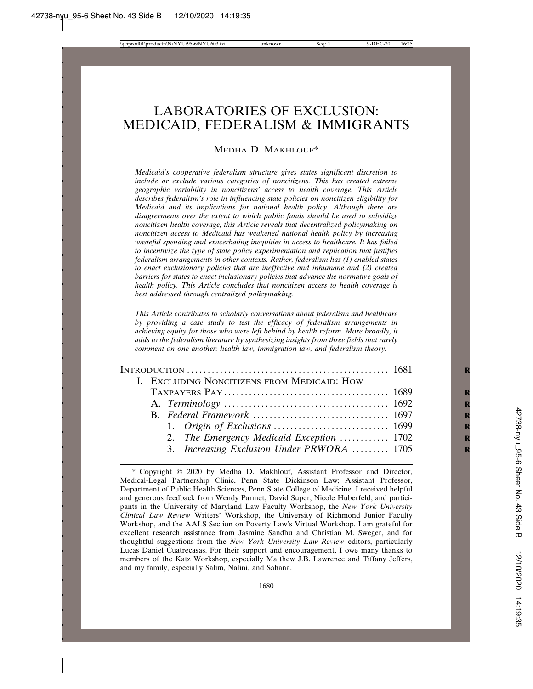# LABORATORIES OF EXCLUSION: MEDICAID, FEDERALISM & IMMIGRANTS

#### MEDHA D. MAKHLOUF\*

*Medicaid's cooperative federalism structure gives states significant discretion to include or exclude various categories of noncitizens. This has created extreme geographic variability in noncitizens' access to health coverage. This Article describes federalism's role in influencing state policies on noncitizen eligibility for Medicaid and its implications for national health policy. Although there are disagreements over the extent to which public funds should be used to subsidize noncitizen health coverage, this Article reveals that decentralized policymaking on noncitizen access to Medicaid has weakened national health policy by increasing wasteful spending and exacerbating inequities in access to healthcare. It has failed to incentivize the type of state policy experimentation and replication that justifies federalism arrangements in other contexts. Rather, federalism has (1) enabled states to enact exclusionary policies that are ineffective and inhumane and (2) created barriers for states to enact inclusionary policies that advance the normative goals of health policy. This Article concludes that noncitizen access to health coverage is best addressed through centralized policymaking.*

*This Article contributes to scholarly conversations about federalism and healthcare by providing a case study to test the efficacy of federalism arrangements in achieving equity for those who were left behind by health reform. More broadly, it adds to the federalism literature by synthesizing insights from three fields that rarely comment on one another: health law, immigration law, and federalism theory.*

|  |  | I. EXCLUDING NONCITIZENS FROM MEDICAID: HOW |  |
|--|--|---------------------------------------------|--|
|  |  |                                             |  |
|  |  |                                             |  |
|  |  |                                             |  |
|  |  |                                             |  |
|  |  | 2. The Emergency Medicaid Exception  1702   |  |
|  |  | 3. Increasing Exclusion Under PRWORA  1705  |  |
|  |  |                                             |  |

<sup>\*</sup> Copyright 2020 by Medha D. Makhlouf, Assistant Professor and Director, Medical-Legal Partnership Clinic, Penn State Dickinson Law; Assistant Professor, Department of Public Health Sciences, Penn State College of Medicine. I received helpful and generous feedback from Wendy Parmet, David Super, Nicole Huberfeld, and participants in the University of Maryland Law Faculty Workshop, the *New York University Clinical Law Review* Writers' Workshop, the University of Richmond Junior Faculty Workshop, and the AALS Section on Poverty Law's Virtual Workshop. I am grateful for excellent research assistance from Jasmine Sandhu and Christian M. Sweger, and for thoughtful suggestions from the *New York University Law Review* editors, particularly Lucas Daniel Cuatrecasas. For their support and encouragement, I owe many thanks to members of the Katz Workshop, especially Matthew J.B. Lawrence and Tiffany Jeffers, and my family, especially Salim, Nalini, and Sahana.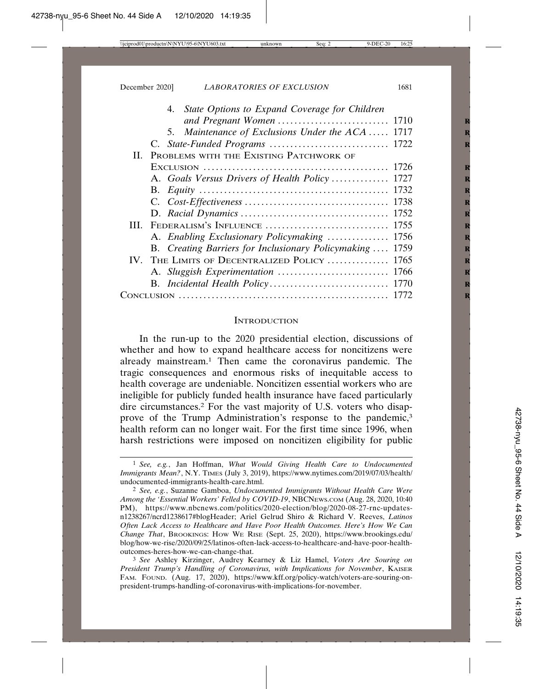|  | 4. State Options to Expand Coverage for Children         |  |
|--|----------------------------------------------------------|--|
|  |                                                          |  |
|  | 5. Maintenance of Exclusions Under the ACA  1717         |  |
|  | C. State-Funded Programs  1722                           |  |
|  | II. PROBLEMS WITH THE EXISTING PATCHWORK OF              |  |
|  |                                                          |  |
|  | A. Goals Versus Drivers of Health Policy 1727            |  |
|  |                                                          |  |
|  |                                                          |  |
|  |                                                          |  |
|  |                                                          |  |
|  | A. Enabling Exclusionary Policymaking  1756              |  |
|  | B. Creating Barriers for Inclusionary Policymaking  1759 |  |
|  | IV. THE LIMITS OF DECENTRALIZED POLICY  1765             |  |
|  |                                                          |  |
|  |                                                          |  |
|  |                                                          |  |

#### **INTRODUCTION**

In the run-up to the 2020 presidential election, discussions of whether and how to expand healthcare access for noncitizens were already mainstream.1 Then came the coronavirus pandemic. The tragic consequences and enormous risks of inequitable access to health coverage are undeniable. Noncitizen essential workers who are ineligible for publicly funded health insurance have faced particularly dire circumstances.2 For the vast majority of U.S. voters who disapprove of the Trump Administration's response to the pandemic,<sup>3</sup> health reform can no longer wait. For the first time since 1996, when harsh restrictions were imposed on noncitizen eligibility for public

<sup>1</sup> *See, e.g.*, Jan Hoffman, *What Would Giving Health Care to Undocumented Immigrants Mean?*, N.Y. TIMES (July 3, 2019), https://www.nytimes.com/2019/07/03/health/ undocumented-immigrants-health-care.html.

<sup>2</sup> *See, e.g.*, Suzanne Gamboa, *Undocumented Immigrants Without Health Care Were Among the 'Essential Workers' Felled by COVID-19*, NBCNEWS.COM (Aug. 28, 2020, 10:40 PM), https://www.nbcnews.com/politics/2020-election/blog/2020-08-27-rnc-updatesn1238267/ncrd1238617#blogHeader; Ariel Gelrud Shiro & Richard V. Reeves, *Latinos Often Lack Access to Healthcare and Have Poor Health Outcomes. Here's How We Can Change That*, BROOKINGS: HOW WE RISE (Sept. 25, 2020), https://www.brookings.edu/ blog/how-we-rise/2020/09/25/latinos-often-lack-access-to-healthcare-and-have-poor-healthoutcomes-heres-how-we-can-change-that.

<sup>3</sup> *See* Ashley Kirzinger, Audrey Kearney & Liz Hamel, *Voters Are Souring on President Trump's Handling of Coronavirus, with Implications for November*, KAISER FAM. FOUND. (Aug. 17, 2020), https://www.kff.org/policy-watch/voters-are-souring-onpresident-trumps-handling-of-coronavirus-with-implications-for-november.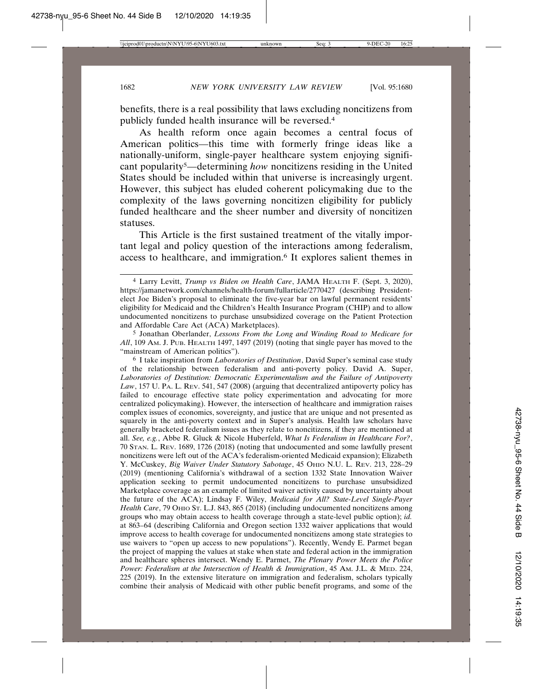benefits, there is a real possibility that laws excluding noncitizens from publicly funded health insurance will be reversed.4

As health reform once again becomes a central focus of American politics—this time with formerly fringe ideas like a nationally-uniform, single-payer healthcare system enjoying significant popularity5—determining *how* noncitizens residing in the United States should be included within that universe is increasingly urgent. However, this subject has eluded coherent policymaking due to the complexity of the laws governing noncitizen eligibility for publicly funded healthcare and the sheer number and diversity of noncitizen statuses.

This Article is the first sustained treatment of the vitally important legal and policy question of the interactions among federalism, access to healthcare, and immigration.6 It explores salient themes in

6 I take inspiration from *Laboratories of Destitution*, David Super's seminal case study of the relationship between federalism and anti-poverty policy. David A. Super, *Laboratories of Destitution: Democratic Experimentalism and the Failure of Antipoverty Law*, 157 U. PA. L. REV. 541, 547 (2008) (arguing that decentralized antipoverty policy has failed to encourage effective state policy experimentation and advocating for more centralized policymaking). However, the intersection of healthcare and immigration raises complex issues of economics, sovereignty, and justice that are unique and not presented as squarely in the anti-poverty context and in Super's analysis. Health law scholars have generally bracketed federalism issues as they relate to noncitizens, if they are mentioned at all. *See, e.g.*, Abbe R. Gluck & Nicole Huberfeld, *What Is Federalism in Healthcare For?*, 70 STAN. L. REV. 1689, 1726 (2018) (noting that undocumented and some lawfully present noncitizens were left out of the ACA's federalism-oriented Medicaid expansion); Elizabeth Y. McCuskey, *Big Waiver Under Statutory Sabotage*, 45 OHIO N.U. L. REV. 213, 228–29 (2019) (mentioning California's withdrawal of a section 1332 State Innovation Waiver application seeking to permit undocumented noncitizens to purchase unsubsidized Marketplace coverage as an example of limited waiver activity caused by uncertainty about the future of the ACA); Lindsay F. Wiley, *Medicaid for All? State-Level Single-Payer* Health Care, 79 OHIO ST. L.J. 843, 865 (2018) (including undocumented noncitizens among groups who may obtain access to health coverage through a state-level public option); *id.* at 863–64 (describing California and Oregon section 1332 waiver applications that would improve access to health coverage for undocumented noncitizens among state strategies to use waivers to "open up access to new populations"). Recently, Wendy E. Parmet began the project of mapping the values at stake when state and federal action in the immigration and healthcare spheres intersect. Wendy E. Parmet, *The Plenary Power Meets the Police Power: Federalism at the Intersection of Health & Immigration*, 45 AM. J.L. & MED. 224, 225 (2019). In the extensive literature on immigration and federalism, scholars typically combine their analysis of Medicaid with other public benefit programs, and some of the

<sup>4</sup> Larry Levitt, *Trump vs Biden on Health Care*, JAMA HEALTH F. (Sept. 3, 2020), https://jamanetwork.com/channels/health-forum/fullarticle/2770427 (describing Presidentelect Joe Biden's proposal to eliminate the five-year bar on lawful permanent residents' eligibility for Medicaid and the Children's Health Insurance Program (CHIP) and to allow undocumented noncitizens to purchase unsubsidized coverage on the Patient Protection and Affordable Care Act (ACA) Marketplaces).

<sup>5</sup> Jonathan Oberlander, *Lessons From the Long and Winding Road to Medicare for All*, 109 AM. J. PUB. HEALTH 1497, 1497 (2019) (noting that single payer has moved to the "mainstream of American politics").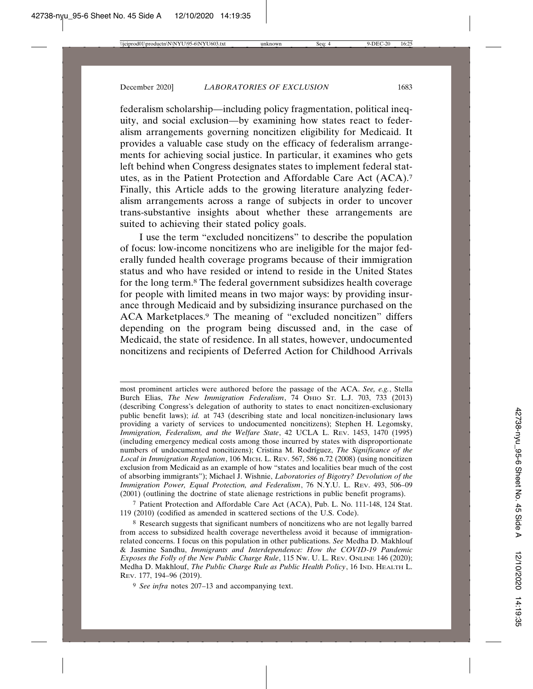federalism scholarship—including policy fragmentation, political inequity, and social exclusion—by examining how states react to federalism arrangements governing noncitizen eligibility for Medicaid. It provides a valuable case study on the efficacy of federalism arrangements for achieving social justice. In particular, it examines who gets left behind when Congress designates states to implement federal statutes, as in the Patient Protection and Affordable Care Act (ACA).7 Finally, this Article adds to the growing literature analyzing federalism arrangements across a range of subjects in order to uncover trans-substantive insights about whether these arrangements are suited to achieving their stated policy goals.

I use the term "excluded noncitizens" to describe the population of focus: low-income noncitizens who are ineligible for the major federally funded health coverage programs because of their immigration status and who have resided or intend to reside in the United States for the long term.8 The federal government subsidizes health coverage for people with limited means in two major ways: by providing insurance through Medicaid and by subsidizing insurance purchased on the ACA Marketplaces.9 The meaning of "excluded noncitizen" differs depending on the program being discussed and, in the case of Medicaid, the state of residence. In all states, however, undocumented noncitizens and recipients of Deferred Action for Childhood Arrivals

most prominent articles were authored before the passage of the ACA. *See, e.g.*, Stella Burch Elias, *The New Immigration Federalism*, 74 OHIO ST. L.J. 703, 733 (2013) (describing Congress's delegation of authority to states to enact noncitizen-exclusionary public benefit laws); *id.* at 743 (describing state and local noncitizen-inclusionary laws providing a variety of services to undocumented noncitizens); Stephen H. Legomsky, *Immigration, Federalism, and the Welfare State*, 42 UCLA L. REV. 1453, 1470 (1995) (including emergency medical costs among those incurred by states with disproportionate numbers of undocumented noncitizens); Cristina M. Rodríguez, *The Significance of the Local in Immigration Regulation*, 106 MICH. L. REV. 567, 586 n.72 (2008) (using noncitizen exclusion from Medicaid as an example of how "states and localities bear much of the cost of absorbing immigrants"); Michael J. Wishnie, *Laboratories of Bigotry? Devolution of the Immigration Power, Equal Protection, and Federalism*, 76 N.Y.U. L. REV. 493, 506–09 (2001) (outlining the doctrine of state alienage restrictions in public benefit programs).

7 Patient Protection and Affordable Care Act (ACA), Pub. L. No. 111-148, 124 Stat. 119 (2010) (codified as amended in scattered sections of the U.S. Code).

8 Research suggests that significant numbers of noncitizens who are not legally barred from access to subsidized health coverage nevertheless avoid it because of immigrationrelated concerns. I focus on this population in other publications. *See* Medha D. Makhlouf & Jasmine Sandhu, *Immigrants and Interdependence: How the COVID-19 Pandemic Exposes the Folly of the New Public Charge Rule*, 115 NW. U. L. REV. ONLINE 146 (2020); Medha D. Makhlouf, *The Public Charge Rule as Public Health Policy*, 16 IND. HEALTH L. REV. 177, 194–96 (2019).

9 *See infra* notes 207–13 and accompanying text.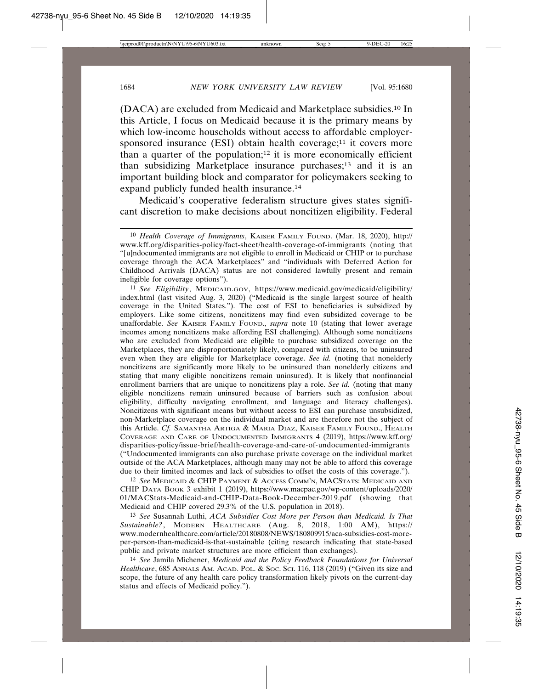(DACA) are excluded from Medicaid and Marketplace subsidies.10 In this Article, I focus on Medicaid because it is the primary means by which low-income households without access to affordable employersponsored insurance (ESI) obtain health coverage;<sup>11</sup> it covers more than a quarter of the population;<sup>12</sup> it is more economically efficient than subsidizing Marketplace insurance purchases;13 and it is an important building block and comparator for policymakers seeking to expand publicly funded health insurance.14

Medicaid's cooperative federalism structure gives states significant discretion to make decisions about noncitizen eligibility. Federal

11 *See Eligibility*, MEDICAID.GOV, https://www.medicaid.gov/medicaid/eligibility/ index.html (last visited Aug. 3, 2020) ("Medicaid is the single largest source of health coverage in the United States."). The cost of ESI to beneficiaries is subsidized by employers. Like some citizens, noncitizens may find even subsidized coverage to be unaffordable. *See* KAISER FAMILY FOUND., *supra* note 10 (stating that lower average incomes among noncitizens make affording ESI challenging). Although some noncitizens who are excluded from Medicaid are eligible to purchase subsidized coverage on the Marketplaces, they are disproportionately likely, compared with citizens, to be uninsured even when they are eligible for Marketplace coverage. *See id.* (noting that nonelderly noncitizens are significantly more likely to be uninsured than nonelderly citizens and stating that many eligible noncitizens remain uninsured). It is likely that nonfinancial enrollment barriers that are unique to noncitizens play a role. *See id.* (noting that many eligible noncitizens remain uninsured because of barriers such as confusion about eligibility, difficulty navigating enrollment, and language and literacy challenges). Noncitizens with significant means but without access to ESI can purchase unsubsidized, non-Marketplace coverage on the individual market and are therefore not the subject of this Article. *Cf.* SAMANTHA ARTIGA & MARIA DIAZ, KAISER FAMILY FOUND., HEALTH COVERAGE AND CARE OF UNDOCUMENTED IMMIGRANTS 4 (2019), https://www.kff.org/ disparities-policy/issue-brief/health-coverage-and-care-of-undocumented-immigrants ("Undocumented immigrants can also purchase private coverage on the individual market outside of the ACA Marketplaces, although many may not be able to afford this coverage due to their limited incomes and lack of subsidies to offset the costs of this coverage.").

12 *See* MEDICAID & CHIP PAYMENT & ACCESS COMM'N, MACSTATS: MEDICAID AND CHIP DATA BOOK 3 exhibit 1 (2019), https://www.macpac.gov/wp-content/uploads/2020/ 01/MACStats-Medicaid-and-CHIP-Data-Book-December-2019.pdf (showing that Medicaid and CHIP covered 29.3% of the U.S. population in 2018).

13 *See* Susannah Luthi, *ACA Subsidies Cost More per Person than Medicaid. Is That Sustainable?*, MODERN HEALTHCARE (Aug. 8, 2018, 1:00 AM), https:// www.modernhealthcare.com/article/20180808/NEWS/180809915/aca-subsidies-cost-moreper-person-than-medicaid-is-that-sustainable (citing research indicating that state-based public and private market structures are more efficient than exchanges).

14 *See* Jamila Michener, *Medicaid and the Policy Feedback Foundations for Universal Healthcare*, 685 ANNALS AM. ACAD. POL. & SOC. SCI. 116, 118 (2019) ("Given its size and scope, the future of any health care policy transformation likely pivots on the current-day status and effects of Medicaid policy.").

<sup>10</sup> *Health Coverage of Immigrants*, KAISER FAMILY FOUND. (Mar. 18, 2020), http:// www.kff.org/disparities-policy/fact-sheet/health-coverage-of-immigrants (noting that "[u]ndocumented immigrants are not eligible to enroll in Medicaid or CHIP or to purchase coverage through the ACA Marketplaces" and "individuals with Deferred Action for Childhood Arrivals (DACA) status are not considered lawfully present and remain ineligible for coverage options").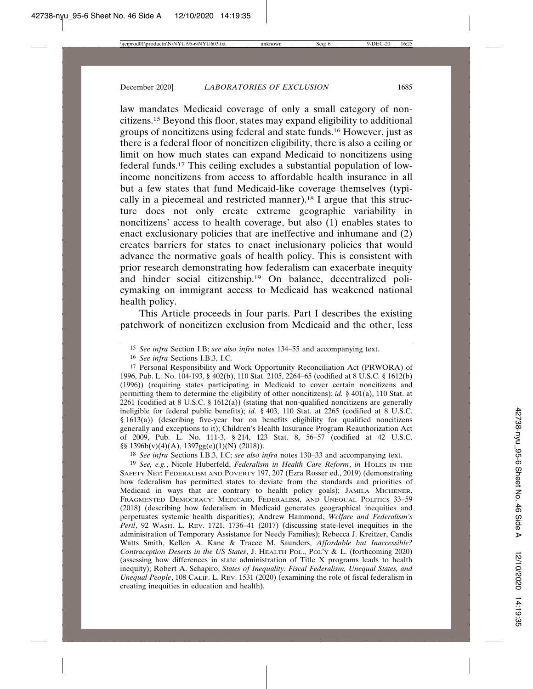law mandates Medicaid coverage of only a small category of noncitizens.15 Beyond this floor, states may expand eligibility to additional groups of noncitizens using federal and state funds.16 However, just as there is a federal floor of noncitizen eligibility, there is also a ceiling or limit on how much states can expand Medicaid to noncitizens using federal funds.17 This ceiling excludes a substantial population of lowincome noncitizens from access to affordable health insurance in all but a few states that fund Medicaid-like coverage themselves (typically in a piecemeal and restricted manner).18 I argue that this structure does not only create extreme geographic variability in noncitizens' access to health coverage, but also (1) enables states to enact exclusionary policies that are ineffective and inhumane and (2) creates barriers for states to enact inclusionary policies that would advance the normative goals of health policy. This is consistent with prior research demonstrating how federalism can exacerbate inequity and hinder social citizenship.19 On balance, decentralized policymaking on immigrant access to Medicaid has weakened national health policy.

This Article proceeds in four parts. Part I describes the existing patchwork of noncitizen exclusion from Medicaid and the other, less

17 Personal Responsibility and Work Opportunity Reconciliation Act (PRWORA) of 1996, Pub. L. No. 104-193, § 402(b), 110 Stat. 2105, 2264–65 (codified at 8 U.S.C. § 1612(b) (1996)) (requiring states participating in Medicaid to cover certain noncitizens and permitting them to determine the eligibility of other noncitizens); *id.* § 401(a), 110 Stat. at 2261 (codified at 8 U.S.C. § 1612(a)) (stating that non-qualified noncitizens are generally ineligible for federal public benefits); *id.* § 403, 110 Stat. at 2265 (codified at 8 U.S.C. § 1613(a)) (describing five-year bar on benefits eligibility for qualified noncitizens generally and exceptions to it); Children's Health Insurance Program Reauthorization Act of 2009, Pub. L. No. 111-3, § 214, 123 Stat. 8, 56–57 (codified at 42 U.S.C. §§ 1396b(v)(4)(A), 1397gg(e)(1)(N) (2018)).

18 *See infra* Sections I.B.3, I.C; *see also infra* notes 130–33 and accompanying text.

19 *See, e.g.*, Nicole Huberfeld, *Federalism in Health Care Reform*, *in* HOLES IN THE SAFETY NET: FEDERALISM AND POVERTY 197, 207 (Ezra Rosser ed., 2019) (demonstrating how federalism has permitted states to deviate from the standards and priorities of Medicaid in ways that are contrary to health policy goals); JAMILA MICHENER, FRAGMENTED DEMOCRACY: MEDICAID, FEDERALISM, AND UNEQUAL POLITICS 33–59 (2018) (describing how federalism in Medicaid generates geographical inequities and perpetuates systemic health disparities); Andrew Hammond, *Welfare and Federalism's Peril*, 92 WASH. L. REV. 1721, 1736–41 (2017) (discussing state-level inequities in the administration of Temporary Assistance for Needy Families); Rebecca J. Kreitzer, Candis Watts Smith, Kellen A. Kane & Tracee M. Saunders, *Affordable but Inaccessible? Contraception Deserts in the US States*, J. HEALTH POL., POL'Y & L. (forthcoming 2020) (assessing how differences in state administration of Title X programs leads to health inequity); Robert A. Schapiro, *States of Inequality: Fiscal Federalism, Unequal States, and Unequal People*, 108 CALIF. L. REV. 1531 (2020) (examining the role of fiscal federalism in creating inequities in education and health).

<sup>15</sup> *See infra* Section I.B; *see also infra* notes 134–55 and accompanying text.

<sup>16</sup> *See infra* Sections I.B.3, I.C.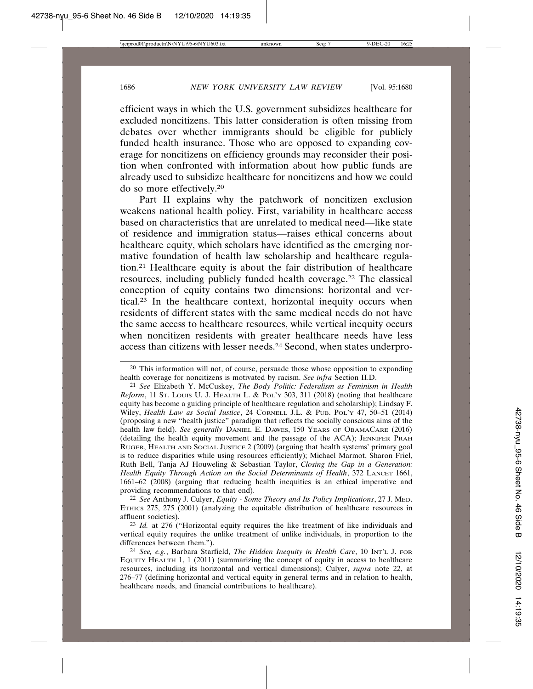efficient ways in which the U.S. government subsidizes healthcare for excluded noncitizens. This latter consideration is often missing from debates over whether immigrants should be eligible for publicly funded health insurance. Those who are opposed to expanding coverage for noncitizens on efficiency grounds may reconsider their position when confronted with information about how public funds are already used to subsidize healthcare for noncitizens and how we could do so more effectively.20

Part II explains why the patchwork of noncitizen exclusion weakens national health policy. First, variability in healthcare access based on characteristics that are unrelated to medical need—like state of residence and immigration status—raises ethical concerns about healthcare equity, which scholars have identified as the emerging normative foundation of health law scholarship and healthcare regulation.21 Healthcare equity is about the fair distribution of healthcare resources, including publicly funded health coverage.22 The classical conception of equity contains two dimensions: horizontal and vertical.23 In the healthcare context, horizontal inequity occurs when residents of different states with the same medical needs do not have the same access to healthcare resources, while vertical inequity occurs when noncitizen residents with greater healthcare needs have less access than citizens with lesser needs.24 Second, when states underpro-

22 *See* Anthony J. Culyer, *Equity - Some Theory and Its Policy Implications*, 27 J. MED. ETHICS 275, 275 (2001) (analyzing the equitable distribution of healthcare resources in affluent societies).

23 *Id.* at 276 ("Horizontal equity requires the like treatment of like individuals and vertical equity requires the unlike treatment of unlike individuals, in proportion to the differences between them.").

<sup>20</sup> This information will not, of course, persuade those whose opposition to expanding health coverage for noncitizens is motivated by racism. *See infra* Section II.D.

<sup>21</sup> *See* Elizabeth Y. McCuskey, *The Body Politic: Federalism as Feminism in Health Reform*, 11 ST. LOUIS U. J. HEALTH L. & POL'Y 303, 311 (2018) (noting that healthcare equity has become a guiding principle of healthcare regulation and scholarship); Lindsay F. Wiley, *Health Law as Social Justice*, 24 CORNELL J.L. & PUB. POL'Y 47, 50–51 (2014) (proposing a new "health justice" paradigm that reflects the socially conscious aims of the health law field). *See generally* DANIEL E. DAWES, 150 YEARS OF OBAMACARE (2016) (detailing the health equity movement and the passage of the ACA); JENNIFER PRAH RUGER, HEALTH AND SOCIAL JUSTICE 2 (2009) (arguing that health systems' primary goal is to reduce disparities while using resources efficiently); Michael Marmot, Sharon Friel, Ruth Bell, Tanja AJ Houweling & Sebastian Taylor, *Closing the Gap in a Generation: Health Equity Through Action on the Social Determinants of Health*, 372 LANCET 1661, 1661–62 (2008) (arguing that reducing health inequities is an ethical imperative and providing recommendations to that end).

<sup>24</sup> *See, e.g.*, Barbara Starfield, *The Hidden Inequity in Health Care*, 10 INT'L J. FOR EQUITY HEALTH 1, 1 (2011) (summarizing the concept of equity in access to healthcare resources, including its horizontal and vertical dimensions); Culyer, *supra* note 22, at 276–77 (defining horizontal and vertical equity in general terms and in relation to health, healthcare needs, and financial contributions to healthcare).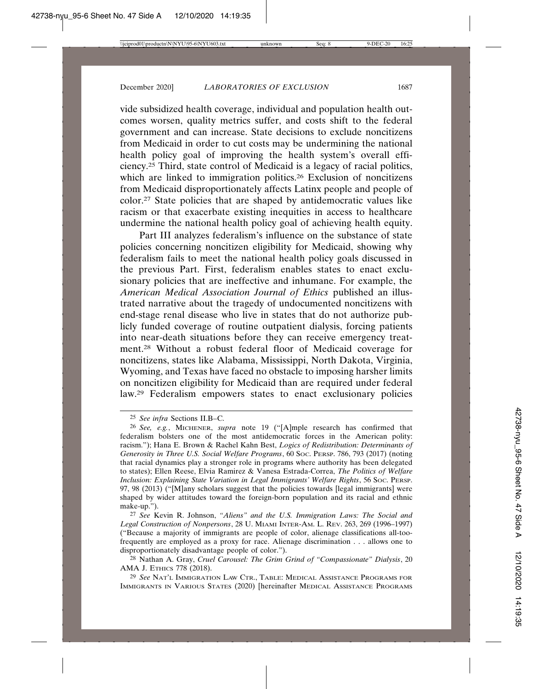vide subsidized health coverage, individual and population health outcomes worsen, quality metrics suffer, and costs shift to the federal government and can increase. State decisions to exclude noncitizens from Medicaid in order to cut costs may be undermining the national health policy goal of improving the health system's overall efficiency.25 Third, state control of Medicaid is a legacy of racial politics, which are linked to immigration politics.<sup>26</sup> Exclusion of noncitizens from Medicaid disproportionately affects Latinx people and people of color.27 State policies that are shaped by antidemocratic values like racism or that exacerbate existing inequities in access to healthcare undermine the national health policy goal of achieving health equity.

Part III analyzes federalism's influence on the substance of state policies concerning noncitizen eligibility for Medicaid, showing why federalism fails to meet the national health policy goals discussed in the previous Part. First, federalism enables states to enact exclusionary policies that are ineffective and inhumane. For example, the *American Medical Association Journal of Ethics* published an illustrated narrative about the tragedy of undocumented noncitizens with end-stage renal disease who live in states that do not authorize publicly funded coverage of routine outpatient dialysis, forcing patients into near-death situations before they can receive emergency treatment.28 Without a robust federal floor of Medicaid coverage for noncitizens, states like Alabama, Mississippi, North Dakota, Virginia, Wyoming, and Texas have faced no obstacle to imposing harsher limits on noncitizen eligibility for Medicaid than are required under federal law.29 Federalism empowers states to enact exclusionary policies

<sup>25</sup> *See infra* Sections II.B–C.

<sup>26</sup> *See, e.g.*, MICHENER, *supra* note 19 ("[A]mple research has confirmed that federalism bolsters one of the most antidemocratic forces in the American polity: racism."); Hana E. Brown & Rachel Kahn Best, *Logics of Redistribution: Determinants of Generosity in Three U.S. Social Welfare Programs*, 60 SOC. PERSP. 786, 793 (2017) (noting that racial dynamics play a stronger role in programs where authority has been delegated to states); Ellen Reese, Elvia Ramirez & Vanesa Estrada-Correa, *The Politics of Welfare Inclusion: Explaining State Variation in Legal Immigrants' Welfare Rights*, 56 SOC. PERSP. 97, 98 (2013) ("[M]any scholars suggest that the policies towards [legal immigrants] were shaped by wider attitudes toward the foreign-born population and its racial and ethnic make-up.").

<sup>27</sup> *See* Kevin R. Johnson, *"Aliens" and the U.S. Immigration Laws: The Social and Legal Construction of Nonpersons*, 28 U. MIAMI INTER-AM. L. REV. 263, 269 (1996–1997) ("Because a majority of immigrants are people of color, alienage classifications all-toofrequently are employed as a proxy for race. Alienage discrimination . . . allows one to disproportionately disadvantage people of color.").

<sup>28</sup> Nathan A. Gray, *Cruel Carousel: The Grim Grind of "Compassionate" Dialysis*, 20 AMA J. ETHICS 778 (2018).

<sup>29</sup> *See* NAT'L IMMIGRATION LAW CTR., TABLE: MEDICAL ASSISTANCE PROGRAMS FOR IMMIGRANTS IN VARIOUS STATES (2020) [hereinafter MEDICAL ASSISTANCE PROGRAMS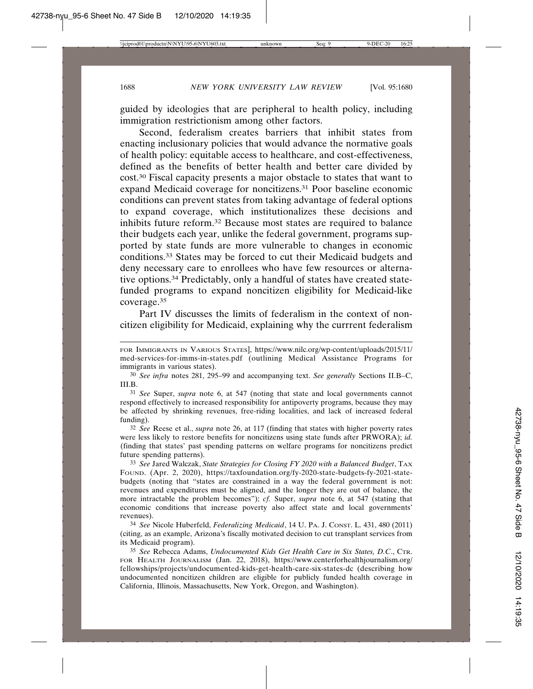guided by ideologies that are peripheral to health policy, including immigration restrictionism among other factors.

Second, federalism creates barriers that inhibit states from enacting inclusionary policies that would advance the normative goals of health policy: equitable access to healthcare, and cost-effectiveness, defined as the benefits of better health and better care divided by cost.30 Fiscal capacity presents a major obstacle to states that want to expand Medicaid coverage for noncitizens.31 Poor baseline economic conditions can prevent states from taking advantage of federal options to expand coverage, which institutionalizes these decisions and inhibits future reform.32 Because most states are required to balance their budgets each year, unlike the federal government, programs supported by state funds are more vulnerable to changes in economic conditions.33 States may be forced to cut their Medicaid budgets and deny necessary care to enrollees who have few resources or alternative options.34 Predictably, only a handful of states have created statefunded programs to expand noncitizen eligibility for Medicaid-like coverage.35

Part IV discusses the limits of federalism in the context of noncitizen eligibility for Medicaid, explaining why the currrent federalism

31 *See* Super, *supra* note 6, at 547 (noting that state and local governments cannot respond effectively to increased responsibility for antipoverty programs, because they may be affected by shrinking revenues, free-riding localities, and lack of increased federal funding).

32 *See* Reese et al., *supra* note 26, at 117 (finding that states with higher poverty rates were less likely to restore benefits for noncitizens using state funds after PRWORA); *id.* (finding that states' past spending patterns on welfare programs for noncitizens predict future spending patterns).

33 *See* Jared Walczak, *State Strategies for Closing FY 2020 with a Balanced Budget*, TAX FOUND. (Apr. 2, 2020), https://taxfoundation.org/fy-2020-state-budgets-fy-2021-statebudgets (noting that "states are constrained in a way the federal government is not: revenues and expenditures must be aligned, and the longer they are out of balance, the more intractable the problem becomes"); *cf.* Super, *supra* note 6, at 547 (stating that economic conditions that increase poverty also affect state and local governments' revenues).

34 *See* Nicole Huberfeld, *Federalizing Medicaid*, 14 U. PA. J. CONST. L. 431, 480 (2011) (citing, as an example, Arizona's fiscally motivated decision to cut transplant services from its Medicaid program).

35 *See* Rebecca Adams, *Undocumented Kids Get Health Care in Six States, D.C*., CTR. FOR HEALTH JOURNALISM (Jan. 22, 2018), https://www.centerforhealthjournalism.org/ fellowships/projects/undocumented-kids-get-health-care-six-states-dc (describing how undocumented noncitizen children are eligible for publicly funded health coverage in California, Illinois, Massachusetts, New York, Oregon, and Washington).

FOR IMMIGRANTS IN VARIOUS STATES], https://www.nilc.org/wp-content/uploads/2015/11/ med-services-for-imms-in-states.pdf (outlining Medical Assistance Programs for immigrants in various states).

<sup>30</sup> *See infra* notes 281, 295–99 and accompanying text. *See generally* Sections II.B–C, III.B.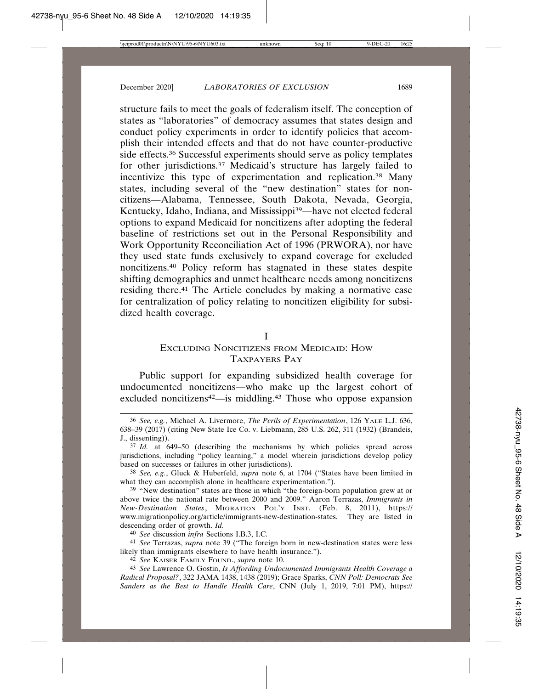structure fails to meet the goals of federalism itself. The conception of states as "laboratories" of democracy assumes that states design and conduct policy experiments in order to identify policies that accomplish their intended effects and that do not have counter-productive side effects.36 Successful experiments should serve as policy templates for other jurisdictions.37 Medicaid's structure has largely failed to incentivize this type of experimentation and replication.38 Many states, including several of the "new destination" states for noncitizens—Alabama, Tennessee, South Dakota, Nevada, Georgia, Kentucky, Idaho, Indiana, and Mississippi<sup>39</sup>—have not elected federal options to expand Medicaid for noncitizens after adopting the federal baseline of restrictions set out in the Personal Responsibility and Work Opportunity Reconciliation Act of 1996 (PRWORA), nor have they used state funds exclusively to expand coverage for excluded noncitizens.40 Policy reform has stagnated in these states despite shifting demographics and unmet healthcare needs among noncitizens residing there.41 The Article concludes by making a normative case for centralization of policy relating to noncitizen eligibility for subsidized health coverage.

#### I

# EXCLUDING NONCITIZENS FROM MEDICAID: HOW TAXPAYERS PAY

Public support for expanding subsidized health coverage for undocumented noncitizens—who make up the largest cohort of excluded noncitizens<sup>42</sup>—is middling.<sup>43</sup> Those who oppose expansion

40 *See* discussion *infra* Sections I.B.3, I.C.

41 *See* Terrazas, *supra* note 39 ("The foreign born in new-destination states were less likely than immigrants elsewhere to have health insurance.").

42 *See* KAISER FAMILY FOUND., *supra* note 10.

43 *See* Lawrence O. Gostin, *Is Affording Undocumented Immigrants Health Coverage a Radical Proposal?*, 322 JAMA 1438, 1438 (2019); Grace Sparks, *CNN Poll: Democrats See Sanders as the Best to Handle Health Care*, CNN (July 1, 2019, 7:01 PM), https://

<sup>36</sup> *See, e.g.*, Michael A. Livermore, *The Perils of Experimentation*, 126 YALE L.J. 636, 638–39 (2017) (citing New State Ice Co. v. Liebmann, 285 U.S. 262, 311 (1932) (Brandeis, J., dissenting)).

<sup>37</sup> *Id.* at 649–50 (describing the mechanisms by which policies spread across jurisdictions, including "policy learning," a model wherein jurisdictions develop policy based on successes or failures in other jurisdictions).

<sup>38</sup> *See, e.g.*, Gluck & Huberfeld, *supra* note 6, at 1704 ("States have been limited in what they can accomplish alone in healthcare experimentation.").

<sup>39</sup> "New destination" states are those in which "the foreign-born population grew at or above twice the national rate between 2000 and 2009." Aaron Terrazas, *Immigrants in New-Destination States*, MIGRATION POL'Y INST. (Feb. 8, 2011), https:// www.migrationpolicy.org/article/immigrants-new-destination-states. They are listed in descending order of growth. *Id.*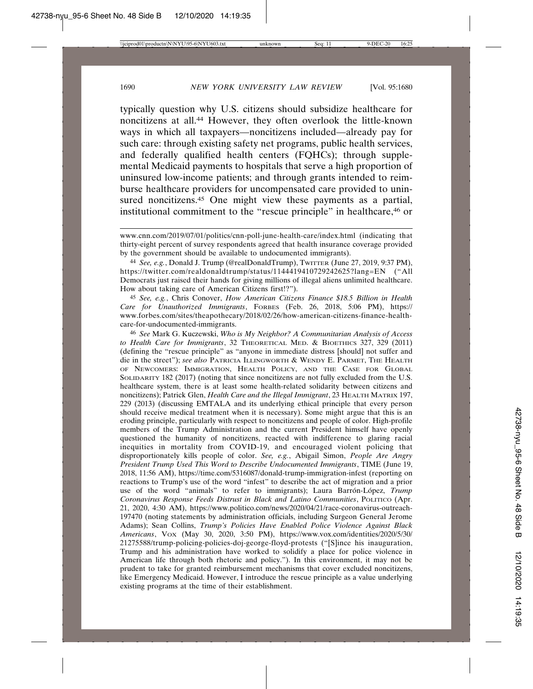typically question why U.S. citizens should subsidize healthcare for noncitizens at all.44 However, they often overlook the little-known ways in which all taxpayers—noncitizens included—already pay for such care: through existing safety net programs, public health services, and federally qualified health centers (FQHCs); through supplemental Medicaid payments to hospitals that serve a high proportion of uninsured low-income patients; and through grants intended to reimburse healthcare providers for uncompensated care provided to uninsured noncitizens.<sup>45</sup> One might view these payments as a partial, institutional commitment to the "rescue principle" in healthcare,46 or

www.cnn.com/2019/07/01/politics/cnn-poll-june-health-care/index.html (indicating that thirty-eight percent of survey respondents agreed that health insurance coverage provided by the government should be available to undocumented immigrants).

44 *See, e.g.*, Donald J. Trump (@realDonaldTrump), TWITTER (June 27, 2019, 9:37 PM), https://twitter.com/realdonaldtrump/status/1144419410729242625?lang=EN ("All Democrats just raised their hands for giving millions of illegal aliens unlimited healthcare. How about taking care of American Citizens first!?").

45 *See, e.g.*, Chris Conover, *How American Citizens Finance \$18.5 Billion in Health Care for Unauthorized Immigrants*, FORBES (Feb. 26, 2018, 5:06 PM), https:// www.forbes.com/sites/theapothecary/2018/02/26/how-american-citizens-finance-healthcare-for-undocumented-immigrants.

46 *See* Mark G. Kuczewski, *Who is My Neighbor? A Communitarian Analysis of Access to Health Care for Immigrants*, 32 THEORETICAL MED. & BIOETHICS 327, 329 (2011) (defining the "rescue principle" as "anyone in immediate distress [should] not suffer and die in the street"); *see also* PATRICIA ILLINGWORTH & WENDY E. PARMET, THE HEALTH OF NEWCOMERS: IMMIGRATION, HEALTH POLICY, AND THE CASE FOR GLOBAL SOLIDARITY 182 (2017) (noting that since noncitizens are not fully excluded from the U.S. healthcare system, there is at least some health-related solidarity between citizens and noncitizens); Patrick Glen, *Health Care and the Illegal Immigrant*, 23 HEALTH MATRIX 197, 229 (2013) (discussing EMTALA and its underlying ethical principle that every person should receive medical treatment when it is necessary). Some might argue that this is an eroding principle, particularly with respect to noncitizens and people of color. High-profile members of the Trump Administration and the current President himself have openly questioned the humanity of noncitizens, reacted with indifference to glaring racial inequities in mortality from COVID-19, and encouraged violent policing that disproportionately kills people of color. *See, e.g.*, Abigail Simon, *People Are Angry President Trump Used This Word to Describe Undocumented Immigrants*, TIME (June 19, 2018, 11:56 AM), https://time.com/5316087/donald-trump-immigration-infest (reporting on reactions to Trump's use of the word "infest" to describe the act of migration and a prior use of the word "animals" to refer to immigrants); Laura Barrón-López, *Trump Coronavirus Response Feeds Distrust in Black and Latino Communities*, POLITICO (Apr. 21, 2020, 4:30 AM), https://www.politico.com/news/2020/04/21/race-coronavirus-outreach-197470 (noting statements by administration officials, including Surgeon General Jerome Adams); Sean Collins, *Trump's Policies Have Enabled Police Violence Against Black Americans*, VOX (May 30, 2020, 3:50 PM), https://www.vox.com/identities/2020/5/30/ 21275588/trump-policing-policies-doj-george-floyd-protests ("[S]ince his inauguration, Trump and his administration have worked to solidify a place for police violence in American life through both rhetoric and policy."). In this environment, it may not be prudent to take for granted reimbursement mechanisms that cover excluded noncitizens, like Emergency Medicaid. However, I introduce the rescue principle as a value underlying existing programs at the time of their establishment.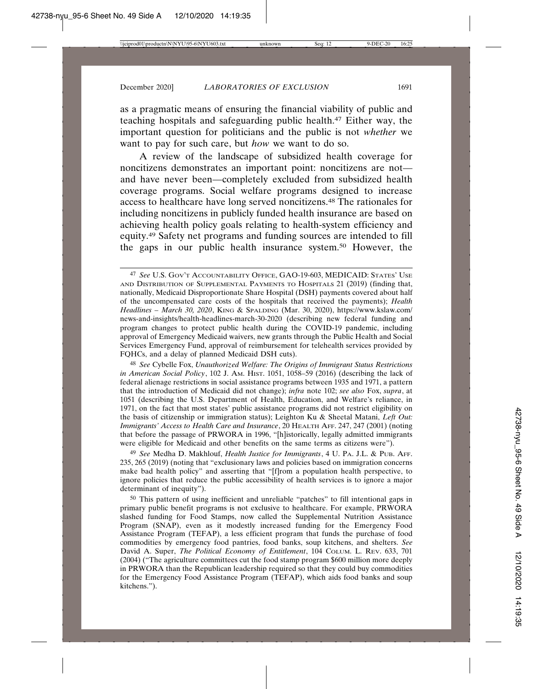as a pragmatic means of ensuring the financial viability of public and teaching hospitals and safeguarding public health.47 Either way, the important question for politicians and the public is not *whether* we want to pay for such care, but *how* we want to do so.

A review of the landscape of subsidized health coverage for noncitizens demonstrates an important point: noncitizens are not and have never been—completely excluded from subsidized health coverage programs. Social welfare programs designed to increase access to healthcare have long served noncitizens.48 The rationales for including noncitizens in publicly funded health insurance are based on achieving health policy goals relating to health-system efficiency and equity.49 Safety net programs and funding sources are intended to fill the gaps in our public health insurance system.50 However, the

48 *See* Cybelle Fox, *Unauthorized Welfare: The Origins of Immigrant Status Restrictions in American Social Policy*, 102 J. AM. HIST. 1051, 1058–59 (2016) (describing the lack of federal alienage restrictions in social assistance programs between 1935 and 1971, a pattern that the introduction of Medicaid did not change); *infra* note 102; *see also* Fox, *supra*, at 1051 (describing the U.S. Department of Health, Education, and Welfare's reliance, in 1971, on the fact that most states' public assistance programs did not restrict eligibility on the basis of citizenship or immigration status); Leighton Ku & Sheetal Matani, *Left Out: Immigrants' Access to Health Care and Insurance*, 20 HEALTH AFF. 247, 247 (2001) (noting that before the passage of PRWORA in 1996, "[h]istorically, legally admitted immigrants were eligible for Medicaid and other benefits on the same terms as citizens were").

49 *See* Medha D. Makhlouf, *Health Justice for Immigrants*, 4 U. PA. J.L. & PUB. AFF. 235, 265 (2019) (noting that "exclusionary laws and policies based on immigration concerns make bad health policy" and asserting that "[f]rom a population health perspective, to ignore policies that reduce the public accessibility of health services is to ignore a major determinant of inequity").

50 This pattern of using inefficient and unreliable "patches" to fill intentional gaps in primary public benefit programs is not exclusive to healthcare. For example, PRWORA slashed funding for Food Stamps, now called the Supplemental Nutrition Assistance Program (SNAP), even as it modestly increased funding for the Emergency Food Assistance Program (TEFAP), a less efficient program that funds the purchase of food commodities by emergency food pantries, food banks, soup kitchens, and shelters. *See* David A. Super, *The Political Economy of Entitlement*, 104 COLUM. L. REV. 633, 701 (2004) ("The agriculture committees cut the food stamp program \$600 million more deeply in PRWORA than the Republican leadership required so that they could buy commodities for the Emergency Food Assistance Program (TEFAP), which aids food banks and soup kitchens.").

<sup>47</sup> *See* U.S. GOV'T ACCOUNTABILITY OFFICE, GAO-19-603, MEDICAID: STATES' USE AND DISTRIBUTION OF SUPPLEMENTAL PAYMENTS TO HOSPITALS 21 (2019) (finding that, nationally, Medicaid Disproportionate Share Hospital (DSH) payments covered about half of the uncompensated care costs of the hospitals that received the payments); *Health Headlines – March 30, 2020*, KING & SPALDING (Mar. 30, 2020), https://www.kslaw.com/ news-and-insights/health-headlines-march-30-2020 (describing new federal funding and program changes to protect public health during the COVID-19 pandemic, including approval of Emergency Medicaid waivers, new grants through the Public Health and Social Services Emergency Fund, approval of reimbursement for telehealth services provided by FQHCs, and a delay of planned Medicaid DSH cuts).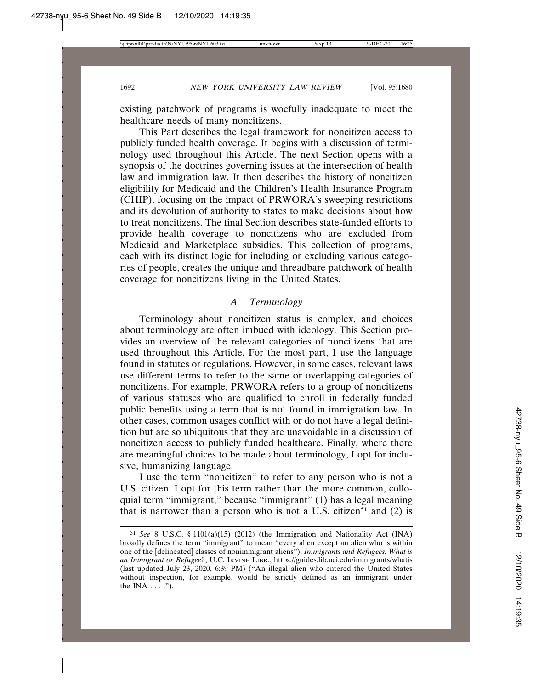existing patchwork of programs is woefully inadequate to meet the healthcare needs of many noncitizens.

This Part describes the legal framework for noncitizen access to publicly funded health coverage. It begins with a discussion of terminology used throughout this Article. The next Section opens with a synopsis of the doctrines governing issues at the intersection of health law and immigration law. It then describes the history of noncitizen eligibility for Medicaid and the Children's Health Insurance Program (CHIP), focusing on the impact of PRWORA's sweeping restrictions and its devolution of authority to states to make decisions about how to treat noncitizens. The final Section describes state-funded efforts to provide health coverage to noncitizens who are excluded from Medicaid and Marketplace subsidies. This collection of programs, each with its distinct logic for including or excluding various categories of people, creates the unique and threadbare patchwork of health coverage for noncitizens living in the United States.

### *A. Terminology*

Terminology about noncitizen status is complex, and choices about terminology are often imbued with ideology. This Section provides an overview of the relevant categories of noncitizens that are used throughout this Article. For the most part, I use the language found in statutes or regulations. However, in some cases, relevant laws use different terms to refer to the same or overlapping categories of noncitizens. For example, PRWORA refers to a group of noncitizens of various statuses who are qualified to enroll in federally funded public benefits using a term that is not found in immigration law. In other cases, common usages conflict with or do not have a legal definition but are so ubiquitous that they are unavoidable in a discussion of noncitizen access to publicly funded healthcare. Finally, where there are meaningful choices to be made about terminology, I opt for inclusive, humanizing language.

I use the term "noncitizen" to refer to any person who is not a U.S. citizen. I opt for this term rather than the more common, colloquial term "immigrant," because "immigrant" (1) has a legal meaning that is narrower than a person who is not a U.S. citizen<sup>51</sup> and  $(2)$  is

<sup>51</sup> *See* 8 U.S.C. § 1101(a)(15) (2012) (the Immigration and Nationality Act (INA) broadly defines the term "immigrant" to mean "every alien except an alien who is within one of the [delineated] classes of nonimmigrant aliens"); *Immigrants and Refugees: What is an Immigrant or Refugee?*, U.C. IRVINE LIBR., https://guides.lib.uci.edu/immigrants/whatis (last updated July 23, 2020, 6:39 PM) ("An illegal alien who entered the United States without inspection, for example, would be strictly defined as an immigrant under the INA  $\dots$ .").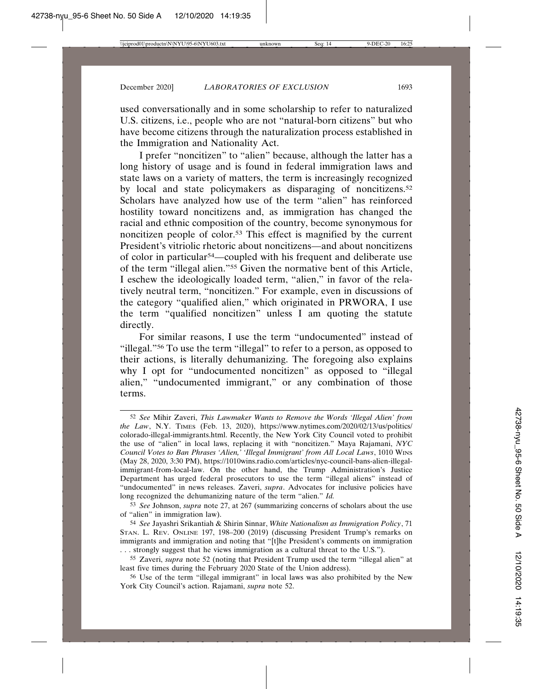used conversationally and in some scholarship to refer to naturalized U.S. citizens, i.e., people who are not "natural-born citizens" but who have become citizens through the naturalization process established in the Immigration and Nationality Act.

I prefer "noncitizen" to "alien" because, although the latter has a long history of usage and is found in federal immigration laws and state laws on a variety of matters, the term is increasingly recognized by local and state policymakers as disparaging of noncitizens.<sup>52</sup> Scholars have analyzed how use of the term "alien" has reinforced hostility toward noncitizens and, as immigration has changed the racial and ethnic composition of the country, become synonymous for noncitizen people of color.53 This effect is magnified by the current President's vitriolic rhetoric about noncitizens—and about noncitizens of color in particular54—coupled with his frequent and deliberate use of the term "illegal alien."55 Given the normative bent of this Article, I eschew the ideologically loaded term, "alien," in favor of the relatively neutral term, "noncitizen." For example, even in discussions of the category "qualified alien," which originated in PRWORA, I use the term "qualified noncitizen" unless I am quoting the statute directly.

For similar reasons, I use the term "undocumented" instead of "illegal."56 To use the term "illegal" to refer to a person, as opposed to their actions, is literally dehumanizing. The foregoing also explains why I opt for "undocumented noncitizen" as opposed to "illegal alien," "undocumented immigrant," or any combination of those terms.

<sup>52</sup> *See* Mihir Zaveri, *This Lawmaker Wants to Remove the Words 'Illegal Alien' from the Law*, N.Y. TIMES (Feb. 13, 2020), https://www.nytimes.com/2020/02/13/us/politics/ colorado-illegal-immigrants.html. Recently, the New York City Council voted to prohibit the use of "alien" in local laws, replacing it with "noncitizen." Maya Rajamani, *NYC Council Votes to Ban Phrases 'Alien,' 'Illegal Immigrant' from All Local Laws*, 1010 WINS (May 28, 2020, 3:30 PM), https://1010wins.radio.com/articles/nyc-council-bans-alien-illegalimmigrant-from-local-law. On the other hand, the Trump Administration's Justice Department has urged federal prosecutors to use the term "illegal aliens" instead of "undocumented" in news releases. Zaveri, *supra*. Advocates for inclusive policies have long recognized the dehumanizing nature of the term "alien." *Id.*

<sup>53</sup> *See* Johnson, *supra* note 27, at 267 (summarizing concerns of scholars about the use of "alien" in immigration law).

<sup>54</sup> *See* Jayashri Srikantiah & Shirin Sinnar, *White Nationalism as Immigration Policy*, 71 STAN. L. REV. ONLINE 197, 198–200 (2019) (discussing President Trump's remarks on immigrants and immigration and noting that "[t]he President's comments on immigration . . . strongly suggest that he views immigration as a cultural threat to the U.S.").

<sup>55</sup> Zaveri, *supra* note 52 (noting that President Trump used the term "illegal alien" at least five times during the February 2020 State of the Union address).

<sup>56</sup> Use of the term "illegal immigrant" in local laws was also prohibited by the New York City Council's action. Rajamani, *supra* note 52.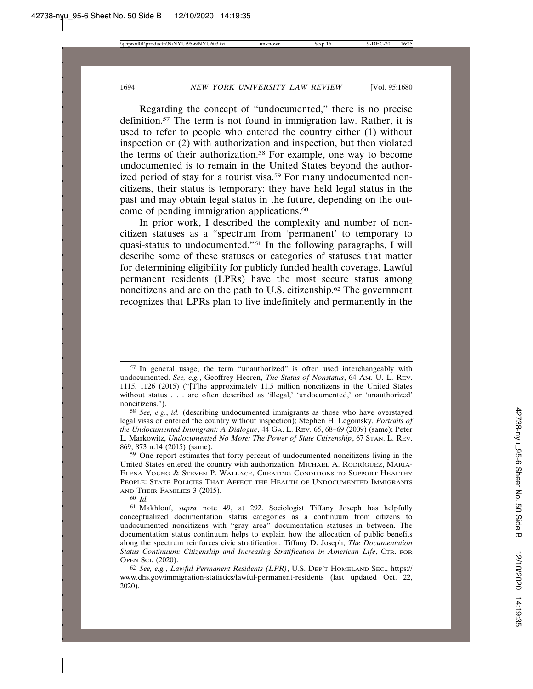Regarding the concept of "undocumented," there is no precise definition.57 The term is not found in immigration law. Rather, it is used to refer to people who entered the country either (1) without inspection or (2) with authorization and inspection, but then violated the terms of their authorization.58 For example, one way to become undocumented is to remain in the United States beyond the authorized period of stay for a tourist visa.<sup>59</sup> For many undocumented noncitizens, their status is temporary: they have held legal status in the past and may obtain legal status in the future, depending on the outcome of pending immigration applications.60

In prior work, I described the complexity and number of noncitizen statuses as a "spectrum from 'permanent' to temporary to quasi-status to undocumented."61 In the following paragraphs, I will describe some of these statuses or categories of statuses that matter for determining eligibility for publicly funded health coverage. Lawful permanent residents (LPRs) have the most secure status among noncitizens and are on the path to U.S. citizenship.62 The government recognizes that LPRs plan to live indefinitely and permanently in the

<sup>57</sup> In general usage, the term "unauthorized" is often used interchangeably with undocumented. *See, e.g.*, Geoffrey Heeren, *The Status of Nonstatus*, 64 AM. U. L. REV. 1115, 1126 (2015) ("[T]he approximately 11.5 million noncitizens in the United States without status . . . are often described as 'illegal,' 'undocumented,' or 'unauthorized' noncitizens.").

<sup>58</sup> *See, e.g.*, *id.* (describing undocumented immigrants as those who have overstayed legal visas or entered the country without inspection); Stephen H. Legomsky, *Portraits of the Undocumented Immigrant: A Dialogue*, 44 GA. L. REV. 65, 68–69 (2009) (same); Peter L. Markowitz, *Undocumented No More: The Power of State Citizenship*, 67 STAN. L. REV. 869, 873 n.14 (2015) (same).

<sup>59</sup> One report estimates that forty percent of undocumented noncitizens living in the United States entered the country with authorization. MICHAEL A. RODRÍGUEZ, MARIA-ELENA YOUNG & STEVEN P. WALLACE, CREATING CONDITIONS TO SUPPORT HEALTHY PEOPLE: STATE POLICIES THAT AFFECT THE HEALTH OF UNDOCUMENTED IMMIGRANTS AND THEIR FAMILIES 3 (2015).

<sup>60</sup> *Id.*

<sup>61</sup> Makhlouf, *supra* note 49, at 292. Sociologist Tiffany Joseph has helpfully conceptualized documentation status categories as a continuum from citizens to undocumented noncitizens with "gray area" documentation statuses in between. The documentation status continuum helps to explain how the allocation of public benefits along the spectrum reinforces civic stratification. Tiffany D. Joseph, *The Documentation Status Continuum: Citizenship and Increasing Stratification in American Life*, CTR. FOR OPEN SCI. (2020).

<sup>62</sup> *See, e.g.*, *Lawful Permanent Residents (LPR)*, U.S. DEP'T HOMELAND SEC., https:// www.dhs.gov/immigration-statistics/lawful-permanent-residents (last updated Oct. 22, 2020).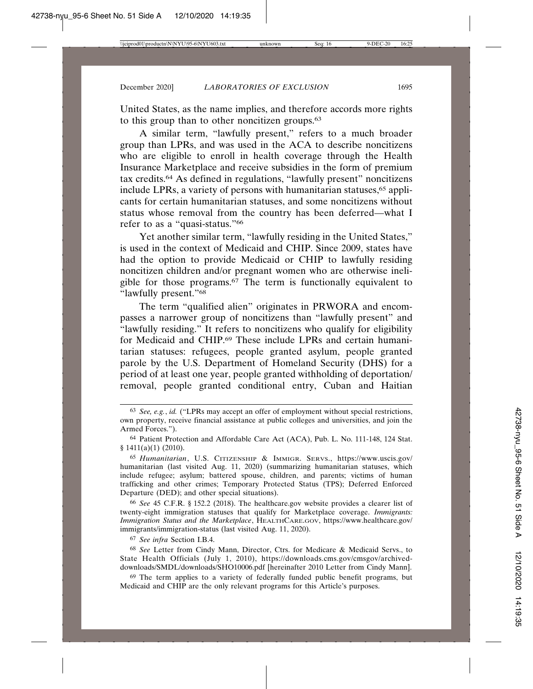United States, as the name implies, and therefore accords more rights to this group than to other noncitizen groups.<sup>63</sup>

A similar term, "lawfully present," refers to a much broader group than LPRs, and was used in the ACA to describe noncitizens who are eligible to enroll in health coverage through the Health Insurance Marketplace and receive subsidies in the form of premium tax credits.64 As defined in regulations, "lawfully present" noncitizens include LPRs, a variety of persons with humanitarian statuses,<sup>65</sup> applicants for certain humanitarian statuses, and some noncitizens without status whose removal from the country has been deferred—what I refer to as a "quasi-status."66

Yet another similar term, "lawfully residing in the United States," is used in the context of Medicaid and CHIP. Since 2009, states have had the option to provide Medicaid or CHIP to lawfully residing noncitizen children and/or pregnant women who are otherwise ineligible for those programs.67 The term is functionally equivalent to "lawfully present."68

The term "qualified alien" originates in PRWORA and encompasses a narrower group of noncitizens than "lawfully present" and "lawfully residing." It refers to noncitizens who qualify for eligibility for Medicaid and CHIP.69 These include LPRs and certain humanitarian statuses: refugees, people granted asylum, people granted parole by the U.S. Department of Homeland Security (DHS) for a period of at least one year, people granted withholding of deportation/ removal, people granted conditional entry, Cuban and Haitian

66 *See* 45 C.F.R. § 152.2 (2018). The healthcare.gov website provides a clearer list of twenty-eight immigration statuses that qualify for Marketplace coverage. *Immigrants: Immigration Status and the Marketplace*, HEALTHCARE.GOV, https://www.healthcare.gov/ immigrants/immigration-status (last visited Aug. 11, 2020).

67 *See infra* Section I.B.4.

68 *See* Letter from Cindy Mann, Director, Ctrs. for Medicare & Medicaid Servs., to State Health Officials (July 1, 2010), https://downloads.cms.gov/cmsgov/archiveddownloads/SMDL/downloads/SHO10006.pdf [hereinafter 2010 Letter from Cindy Mann].

<sup>69</sup> The term applies to a variety of federally funded public benefit programs, but Medicaid and CHIP are the only relevant programs for this Article's purposes.

<sup>63</sup> *See, e.g.*, *id.* ("LPRs may accept an offer of employment without special restrictions, own property, receive financial assistance at public colleges and universities, and join the Armed Forces.").

<sup>64</sup> Patient Protection and Affordable Care Act (ACA), Pub. L. No. 111-148, 124 Stat.  $§ 1411(a)(1) (2010).$ 

<sup>65</sup> *Humanitarian*, U.S. CITIZENSHIP & IMMIGR. SERVS., https://www.uscis.gov/ humanitarian (last visited Aug. 11, 2020) (summarizing humanitarian statuses, which include refugee; asylum; battered spouse, children, and parents; victims of human trafficking and other crimes; Temporary Protected Status (TPS); Deferred Enforced Departure (DED); and other special situations).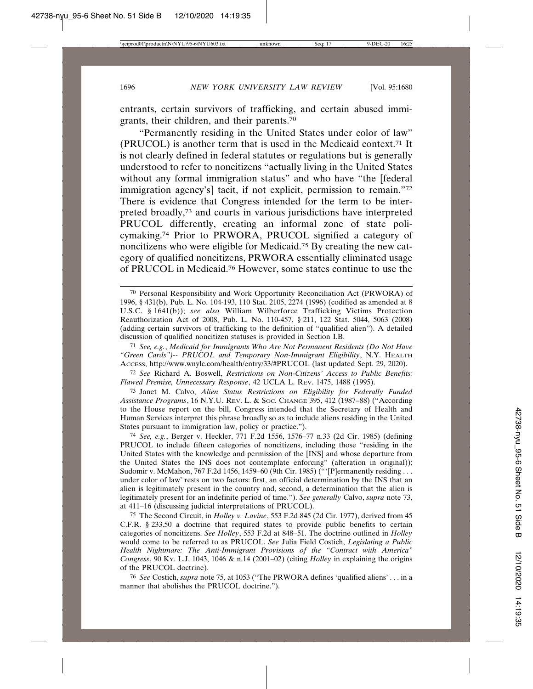entrants, certain survivors of trafficking, and certain abused immigrants, their children, and their parents.70

"Permanently residing in the United States under color of law" (PRUCOL) is another term that is used in the Medicaid context.71 It is not clearly defined in federal statutes or regulations but is generally understood to refer to noncitizens "actually living in the United States without any formal immigration status" and who have "the [federal immigration agency's] tacit, if not explicit, permission to remain."72 There is evidence that Congress intended for the term to be interpreted broadly,73 and courts in various jurisdictions have interpreted PRUCOL differently, creating an informal zone of state policymaking.74 Prior to PRWORA, PRUCOL signified a category of noncitizens who were eligible for Medicaid.75 By creating the new category of qualified noncitizens, PRWORA essentially eliminated usage of PRUCOL in Medicaid.76 However, some states continue to use the

71 *See, e.g.*, *Medicaid for Immigrants Who Are Not Permanent Residents (Do Not Have "Green Cards")-- PRUCOL and Temporary Non-Immigrant Eligibility*, N.Y. HEALTH ACCESS, http://www.wnylc.com/health/entry/33/#PRUCOL (last updated Sept. 29, 2020).

72 *See* Richard A. Boswell, *Restrictions on Non-Citizens' Access to Public Benefits: Flawed Premise, Unnecessary Response*, 42 UCLA L. REV. 1475, 1488 (1995).

73 Janet M. Calvo, *Alien Status Restrictions on Eligibility for Federally Funded Assistance Programs*, 16 N.Y.U. REV. L. & SOC. CHANGE 395, 412 (1987–88) ("According to the House report on the bill, Congress intended that the Secretary of Health and Human Services interpret this phrase broadly so as to include aliens residing in the United States pursuant to immigration law, policy or practice.").

74 *See, e.g.*, Berger v. Heckler, 771 F.2d 1556, 1576–77 n.33 (2d Cir. 1985) (defining PRUCOL to include fifteen categories of noncitizens, including those "residing in the United States with the knowledge and permission of the [INS] and whose departure from the United States the INS does not contemplate enforcing" (alteration in original)); Sudomir v. McMahon, 767 F.2d 1456, 1459–60 (9th Cir. 1985) ("'[P]ermanently residing ... under color of law' rests on two factors: first, an official determination by the INS that an alien is legitimately present in the country and, second, a determination that the alien is legitimately present for an indefinite period of time."). *See generally* Calvo, *supra* note 73, at 411–16 (discussing judicial interpretations of PRUCOL).

75 The Second Circuit, in *Holley v. Lavine*, 553 F.2d 845 (2d Cir. 1977), derived from 45 C.F.R. § 233.50 a doctrine that required states to provide public benefits to certain categories of noncitizens. *See Holley*, 553 F.2d at 848–51. The doctrine outlined in *Holley* would come to be referred to as PRUCOL. *See* Julia Field Costich, *Legislating a Public Health Nightmare: The Anti-Immigrant Provisions of the "Contract with America" Congress*, 90 KY. L.J. 1043, 1046 & n.14 (2001–02) (citing *Holley* in explaining the origins of the PRUCOL doctrine).

76 *See* Costich, *supra* note 75, at 1053 ("The PRWORA defines 'qualified aliens' . . . in a manner that abolishes the PRUCOL doctrine.").

<sup>70</sup> Personal Responsibility and Work Opportunity Reconciliation Act (PRWORA) of 1996, § 431(b), Pub. L. No. 104-193, 110 Stat. 2105, 2274 (1996) (codified as amended at 8 U.S.C. § 1641(b)); *see also* William Wilberforce Trafficking Victims Protection Reauthorization Act of 2008, Pub. L. No. 110-457, § 211, 122 Stat. 5044, 5063 (2008) (adding certain survivors of trafficking to the definition of "qualified alien"). A detailed discussion of qualified noncitizen statuses is provided in Section I.B.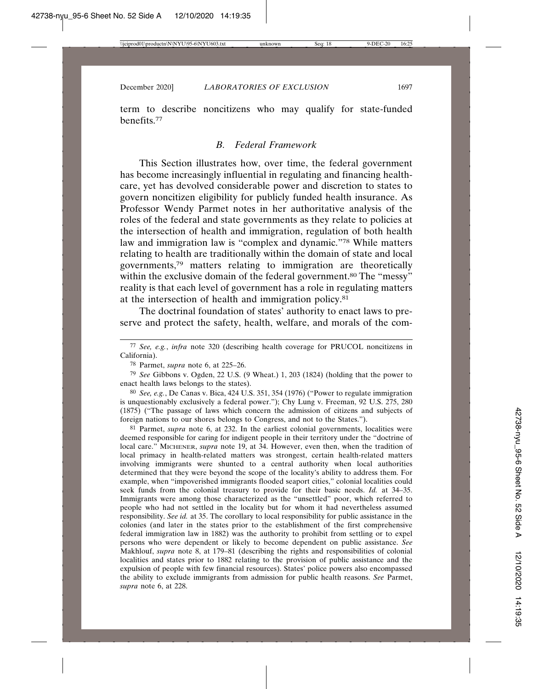term to describe noncitizens who may qualify for state-funded benefits.77

### *B. Federal Framework*

This Section illustrates how, over time, the federal government has become increasingly influential in regulating and financing healthcare, yet has devolved considerable power and discretion to states to govern noncitizen eligibility for publicly funded health insurance. As Professor Wendy Parmet notes in her authoritative analysis of the roles of the federal and state governments as they relate to policies at the intersection of health and immigration, regulation of both health law and immigration law is "complex and dynamic."78 While matters relating to health are traditionally within the domain of state and local governments,79 matters relating to immigration are theoretically within the exclusive domain of the federal government.<sup>80</sup> The "messy" reality is that each level of government has a role in regulating matters at the intersection of health and immigration policy.81

The doctrinal foundation of states' authority to enact laws to preserve and protect the safety, health, welfare, and morals of the com-

78 Parmet, *supra* note 6, at 225–26.

79 *See* Gibbons v. Ogden, 22 U.S. (9 Wheat.) 1, 203 (1824) (holding that the power to enact health laws belongs to the states).

80 *See, e.g.*, De Canas v. Bica, 424 U.S. 351, 354 (1976) ("Power to regulate immigration is unquestionably exclusively a federal power."); Chy Lung v. Freeman, 92 U.S. 275, 280 (1875) ("The passage of laws which concern the admission of citizens and subjects of foreign nations to our shores belongs to Congress, and not to the States.").

81 Parmet, *supra* note 6, at 232. In the earliest colonial governments, localities were deemed responsible for caring for indigent people in their territory under the "doctrine of local care." MICHENER, *supra* note 19, at 34. However, even then, when the tradition of local primacy in health-related matters was strongest, certain health-related matters involving immigrants were shunted to a central authority when local authorities determined that they were beyond the scope of the locality's ability to address them. For example, when "impoverished immigrants flooded seaport cities," colonial localities could seek funds from the colonial treasury to provide for their basic needs. *Id.* at 34–35. Immigrants were among those characterized as the "unsettled" poor, which referred to people who had not settled in the locality but for whom it had nevertheless assumed responsibility. *See id.* at 35. The corollary to local responsibility for public assistance in the colonies (and later in the states prior to the establishment of the first comprehensive federal immigration law in 1882) was the authority to prohibit from settling or to expel persons who were dependent or likely to become dependent on public assistance. *See* Makhlouf, *supra* note 8, at 179–81 (describing the rights and responsibilities of colonial localities and states prior to 1882 relating to the provision of public assistance and the expulsion of people with few financial resources). States' police powers also encompassed the ability to exclude immigrants from admission for public health reasons. *See* Parmet, *supra* note 6, at 228.

<sup>77</sup> *See, e.g.*, *infra* note 320 (describing health coverage for PRUCOL noncitizens in California).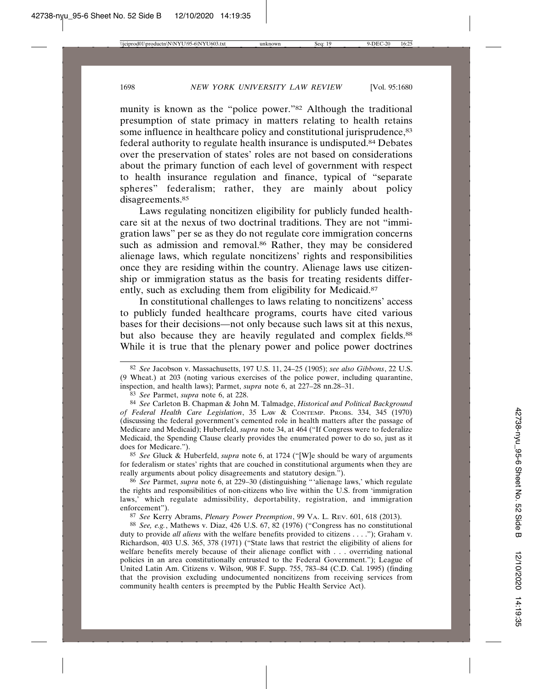munity is known as the "police power."82 Although the traditional presumption of state primacy in matters relating to health retains some influence in healthcare policy and constitutional jurisprudence, 83 federal authority to regulate health insurance is undisputed.84 Debates over the preservation of states' roles are not based on considerations about the primary function of each level of government with respect to health insurance regulation and finance, typical of "separate spheres" federalism; rather, they are mainly about policy disagreements.<sup>85</sup>

Laws regulating noncitizen eligibility for publicly funded healthcare sit at the nexus of two doctrinal traditions. They are not "immigration laws" per se as they do not regulate core immigration concerns such as admission and removal.<sup>86</sup> Rather, they may be considered alienage laws, which regulate noncitizens' rights and responsibilities once they are residing within the country. Alienage laws use citizenship or immigration status as the basis for treating residents differently, such as excluding them from eligibility for Medicaid.<sup>87</sup>

In constitutional challenges to laws relating to noncitizens' access to publicly funded healthcare programs, courts have cited various bases for their decisions—not only because such laws sit at this nexus, but also because they are heavily regulated and complex fields.<sup>88</sup> While it is true that the plenary power and police power doctrines

83 *See* Parmet, *supra* note 6, at 228.

84 *See* Carleton B. Chapman & John M. Talmadge, *Historical and Political Background of Federal Health Care Legislation*, 35 LAW & CONTEMP. PROBS. 334, 345 (1970) (discussing the federal government's cemented role in health matters after the passage of Medicare and Medicaid); Huberfeld, *supra* note 34, at 464 ("If Congress were to federalize Medicaid, the Spending Clause clearly provides the enumerated power to do so, just as it does for Medicare.").

85 *See* Gluck & Huberfeld, *supra* note 6, at 1724 ("[W]e should be wary of arguments for federalism or states' rights that are couched in constitutional arguments when they are really arguments about policy disagreements and statutory design.").

86 *See* Parmet, *supra* note 6, at 229–30 (distinguishing "'alienage laws,' which regulate the rights and responsibilities of non-citizens who live within the U.S. from 'immigration laws,' which regulate admissibility, deportability, registration, and immigration enforcement").

87 *See* Kerry Abrams, *Plenary Power Preemption*, 99 VA. L. REV. 601, 618 (2013).

88 *See, e.g.*, Mathews v. Diaz, 426 U.S. 67, 82 (1976) ("Congress has no constitutional duty to provide *all aliens* with the welfare benefits provided to citizens . . . ."); Graham v. Richardson, 403 U.S. 365, 378 (1971) ("State laws that restrict the eligibility of aliens for welfare benefits merely because of their alienage conflict with . . . overriding national policies in an area constitutionally entrusted to the Federal Government."); League of United Latin Am. Citizens v. Wilson, 908 F. Supp. 755, 783–84 (C.D. Cal. 1995) (finding that the provision excluding undocumented noncitizens from receiving services from community health centers is preempted by the Public Health Service Act).

<sup>82</sup> *See* Jacobson v. Massachusetts, 197 U.S. 11, 24–25 (1905); *see also Gibbons*, 22 U.S. (9 Wheat.) at 203 (noting various exercises of the police power, including quarantine, inspection, and health laws); Parmet, *supra* note 6, at 227–28 nn.28–31.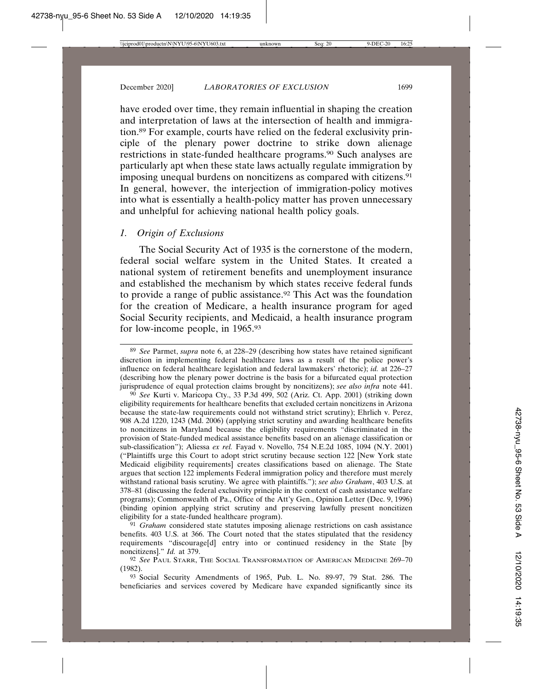and unhelpful for achieving national health policy goals.

have eroded over time, they remain influential in shaping the creation and interpretation of laws at the intersection of health and immigration.89 For example, courts have relied on the federal exclusivity principle of the plenary power doctrine to strike down alienage restrictions in state-funded healthcare programs.90 Such analyses are particularly apt when these state laws actually regulate immigration by imposing unequal burdens on noncitizens as compared with citizens.91 In general, however, the interjection of immigration-policy motives into what is essentially a health-policy matter has proven unnecessary

#### *1. Origin of Exclusions*

The Social Security Act of 1935 is the cornerstone of the modern, federal social welfare system in the United States. It created a national system of retirement benefits and unemployment insurance and established the mechanism by which states receive federal funds to provide a range of public assistance.92 This Act was the foundation for the creation of Medicare, a health insurance program for aged Social Security recipients, and Medicaid, a health insurance program for low-income people, in 1965.93

90 *See* Kurti v. Maricopa Cty., 33 P.3d 499, 502 (Ariz. Ct. App. 2001) (striking down eligibility requirements for healthcare benefits that excluded certain noncitizens in Arizona because the state-law requirements could not withstand strict scrutiny); Ehrlich v. Perez, 908 A.2d 1220, 1243 (Md. 2006) (applying strict scrutiny and awarding healthcare benefits to noncitizens in Maryland because the eligibility requirements "discriminated in the provision of State-funded medical assistance benefits based on an alienage classification or sub-classification"); Aliessa *ex rel.* Fayad v. Novello, 754 N.E.2d 1085, 1094 (N.Y. 2001) ("Plaintiffs urge this Court to adopt strict scrutiny because section 122 [New York state Medicaid eligibility requirements] creates classifications based on alienage. The State argues that section 122 implements Federal immigration policy and therefore must merely withstand rational basis scrutiny. We agree with plaintiffs."); *see also Graham*, 403 U.S. at 378–81 (discussing the federal exclusivity principle in the context of cash assistance welfare programs); Commonwealth of Pa., Office of the Att'y Gen., Opinion Letter (Dec. 9, 1996) (binding opinion applying strict scrutiny and preserving lawfully present noncitizen eligibility for a state-funded healthcare program).

91 *Graham* considered state statutes imposing alienage restrictions on cash assistance benefits. 403 U.S. at 366. The Court noted that the states stipulated that the residency requirements "discourage[d] entry into or continued residency in the State [by noncitizens]." *Id.* at 379.

93 Social Security Amendments of 1965, Pub. L. No. 89-97, 79 Stat. 286. The beneficiaries and services covered by Medicare have expanded significantly since its

<sup>89</sup> *See* Parmet, *supra* note 6, at 228–29 (describing how states have retained significant discretion in implementing federal healthcare laws as a result of the police power's influence on federal healthcare legislation and federal lawmakers' rhetoric); *id.* at 226–27 (describing how the plenary power doctrine is the basis for a bifurcated equal protection jurisprudence of equal protection claims brought by noncitizens); *see also infra* note 441.

<sup>92</sup> *See* PAUL STARR, THE SOCIAL TRANSFORMATION OF AMERICAN MEDICINE 269–70 (1982).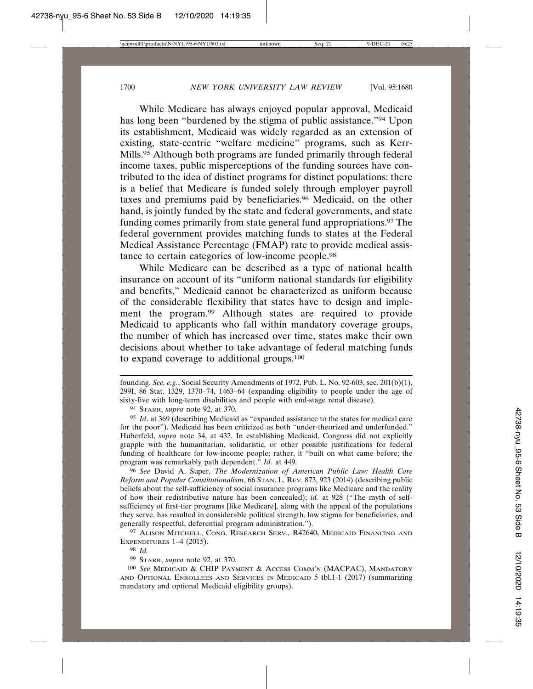While Medicare has always enjoyed popular approval, Medicaid has long been "burdened by the stigma of public assistance."94 Upon its establishment, Medicaid was widely regarded as an extension of existing, state-centric "welfare medicine" programs, such as Kerr-Mills.95 Although both programs are funded primarily through federal income taxes, public misperceptions of the funding sources have contributed to the idea of distinct programs for distinct populations: there is a belief that Medicare is funded solely through employer payroll taxes and premiums paid by beneficiaries.96 Medicaid, on the other hand, is jointly funded by the state and federal governments, and state funding comes primarily from state general fund appropriations.97 The federal government provides matching funds to states at the Federal Medical Assistance Percentage (FMAP) rate to provide medical assistance to certain categories of low-income people.98

While Medicare can be described as a type of national health insurance on account of its "uniform national standards for eligibility and benefits," Medicaid cannot be characterized as uniform because of the considerable flexibility that states have to design and implement the program.99 Although states are required to provide Medicaid to applicants who fall within mandatory coverage groups, the number of which has increased over time, states make their own decisions about whether to take advantage of federal matching funds to expand coverage to additional groups.100

94 STARR, *supra* note 92, at 370.

95 *Id*. at 369 (describing Medicaid as "expanded assistance to the states for medical care for the poor"). Medicaid has been criticized as both "under-theorized and underfunded." Huberfeld, *supra* note 34, at 432. In establishing Medicaid, Congress did not explicitly grapple with the humanitarian, solidaristic, or other possible justifications for federal funding of healthcare for low-income people; rather, it "built on what came before; the program was remarkably path dependent." *Id.* at 449.

96 *See* David A. Super, *The Modernization of American Public Law: Health Care Reform and Popular Constitutionalism*, 66 STAN. L. REV. 873, 923 (2014) (describing public beliefs about the self-sufficiency of social insurance programs like Medicare and the reality of how their redistributive nature has been concealed); *id.* at 928 ("The myth of selfsufficiency of first-tier programs [like Medicare], along with the appeal of the populations they serve, has resulted in considerable political strength, low stigma for beneficiaries, and generally respectful, deferential program administration.").

97 ALISON MITCHELL, CONG. RESEARCH SERV., R42640, MEDICAID FINANCING AND EXPENDITURES 1–4 (2015).

98 *Id.*

99 STARR, *supra* note 92, at 370.

100 *See* MEDICAID & CHIP PAYMENT & ACCESS COMM'N (MACPAC), MANDATORY AND OPTIONAL ENROLLEES AND SERVICES IN MEDICAID 5 tbl.1-1 (2017) (summarizing mandatory and optional Medicaid eligibility groups).

founding. *See, e.g.*, Social Security Amendments of 1972, Pub. L. No. 92-603, sec. 201(b)(1), 299I, 86 Stat. 1329, 1370–74, 1463–64 (expanding eligibility to people under the age of sixty-five with long-term disabilities and people with end-stage renal disease).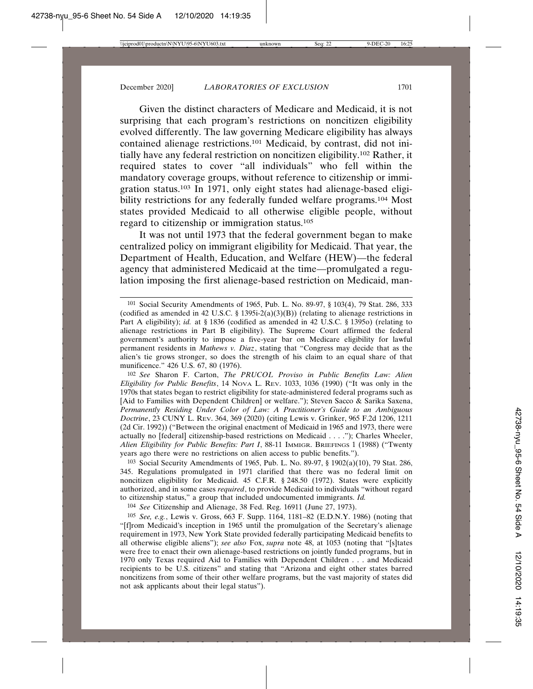Given the distinct characters of Medicare and Medicaid, it is not surprising that each program's restrictions on noncitizen eligibility evolved differently. The law governing Medicare eligibility has always contained alienage restrictions.101 Medicaid, by contrast, did not initially have any federal restriction on noncitizen eligibility.102 Rather, it required states to cover "all individuals" who fell within the mandatory coverage groups, without reference to citizenship or immigration status.103 In 1971, only eight states had alienage-based eligibility restrictions for any federally funded welfare programs.104 Most states provided Medicaid to all otherwise eligible people, without regard to citizenship or immigration status.105

It was not until 1973 that the federal government began to make centralized policy on immigrant eligibility for Medicaid. That year, the Department of Health, Education, and Welfare (HEW)—the federal agency that administered Medicaid at the time—promulgated a regulation imposing the first alienage-based restriction on Medicaid, man-

102 *See* Sharon F. Carton, *The PRUCOL Proviso in Public Benefits Law: Alien Eligibility for Public Benefits*, 14 NOVA L. REV. 1033, 1036 (1990) ("It was only in the 1970s that states began to restrict eligibility for state-administered federal programs such as [Aid to Families with Dependent Children] or welfare."); Steven Sacco & Sarika Saxena, *Permanently Residing Under Color of Law: A Practitioner's Guide to an Ambiguous Doctrine*, 23 CUNY L. REV. 364, 369 (2020) (citing Lewis v. Grinker, 965 F.2d 1206, 1211 (2d Cir. 1992)) ("Between the original enactment of Medicaid in 1965 and 1973, there were actually no [federal] citizenship-based restrictions on Medicaid . . . ."); Charles Wheeler, *Alien Eligibility for Public Benefits: Part I*, 88-11 IMMIGR. BRIEFINGS 1 (1988) ("Twenty years ago there were no restrictions on alien access to public benefits.").

103 Social Security Amendments of 1965, Pub. L. No. 89-97, § 1902(a)(10), 79 Stat. 286, 345. Regulations promulgated in 1971 clarified that there was no federal limit on noncitizen eligibility for Medicaid. 45 C.F.R. § 248.50 (1972). States were explicitly authorized, and in some cases *required*, to provide Medicaid to individuals "without regard to citizenship status," a group that included undocumented immigrants. *Id.*

104 *See* Citizenship and Alienage, 38 Fed. Reg. 16911 (June 27, 1973).

105 *See, e.g.*, Lewis v. Gross, 663 F. Supp. 1164, 1181–82 (E.D.N.Y. 1986) (noting that "[f]rom Medicaid's inception in 1965 until the promulgation of the Secretary's alienage requirement in 1973, New York State provided federally participating Medicaid benefits to all otherwise eligible aliens"); *see also* Fox, *supra* note 48, at 1053 (noting that "[s]tates were free to enact their own alienage-based restrictions on jointly funded programs, but in 1970 only Texas required Aid to Families with Dependent Children . . . and Medicaid recipients to be U.S. citizens" and stating that "Arizona and eight other states barred noncitizens from some of their other welfare programs, but the vast majority of states did not ask applicants about their legal status").

<sup>101</sup> Social Security Amendments of 1965, Pub. L. No. 89-97, § 103(4), 79 Stat. 286, 333 (codified as amended in 42 U.S.C. § 1395i-2(a)(3)(B)) (relating to alienage restrictions in Part A eligibility); *id.* at § 1836 (codified as amended in 42 U.S.C. § 1395o) (relating to alienage restrictions in Part B eligibility). The Supreme Court affirmed the federal government's authority to impose a five-year bar on Medicare eligibility for lawful permanent residents in *Mathews v. Diaz*, stating that "Congress may decide that as the alien's tie grows stronger, so does the strength of his claim to an equal share of that munificence." 426 U.S. 67, 80 (1976).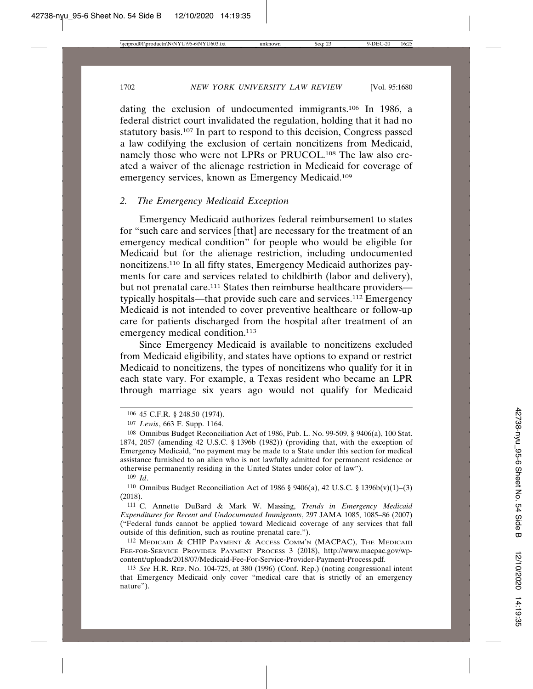dating the exclusion of undocumented immigrants.106 In 1986, a federal district court invalidated the regulation, holding that it had no statutory basis.107 In part to respond to this decision, Congress passed a law codifying the exclusion of certain noncitizens from Medicaid, namely those who were not LPRs or PRUCOL.108 The law also created a waiver of the alienage restriction in Medicaid for coverage of emergency services, known as Emergency Medicaid.109

### *2. The Emergency Medicaid Exception*

Emergency Medicaid authorizes federal reimbursement to states for "such care and services [that] are necessary for the treatment of an emergency medical condition" for people who would be eligible for Medicaid but for the alienage restriction, including undocumented noncitizens.110 In all fifty states, Emergency Medicaid authorizes payments for care and services related to childbirth (labor and delivery), but not prenatal care.<sup>111</sup> States then reimburse healthcare providers typically hospitals—that provide such care and services.112 Emergency Medicaid is not intended to cover preventive healthcare or follow-up care for patients discharged from the hospital after treatment of an emergency medical condition.<sup>113</sup>

Since Emergency Medicaid is available to noncitizens excluded from Medicaid eligibility, and states have options to expand or restrict Medicaid to noncitizens, the types of noncitizens who qualify for it in each state vary. For example, a Texas resident who became an LPR through marriage six years ago would not qualify for Medicaid

110 Omnibus Budget Reconciliation Act of 1986 § 9406(a), 42 U.S.C. § 1396b(v)(1)–(3) (2018).

111 C. Annette DuBard & Mark W. Massing, *Trends in Emergency Medicaid Expenditures for Recent and Undocumented Immigrants*, 297 JAMA 1085, 1085–86 (2007) ("Federal funds cannot be applied toward Medicaid coverage of any services that fall outside of this definition, such as routine prenatal care.").

112 MEDICAID & CHIP PAYMENT & ACCESS COMM'N (MACPAC), THE MEDICAID FEE-FOR-SERVICE PROVIDER PAYMENT PROCESS 3 (2018), http://www.macpac.gov/wpcontent/uploads/2018/07/Medicaid-Fee-For-Service-Provider-Payment-Process.pdf.

<sup>106</sup> 45 C.F.R. § 248.50 (1974).

<sup>107</sup> *Lewis*, 663 F. Supp. 1164.

<sup>108</sup> Omnibus Budget Reconciliation Act of 1986, Pub. L. No. 99-509, § 9406(a), 100 Stat. 1874, 2057 (amending 42 U.S.C. § 1396b (1982)) (providing that, with the exception of Emergency Medicaid, "no payment may be made to a State under this section for medical assistance furnished to an alien who is not lawfully admitted for permanent residence or otherwise permanently residing in the United States under color of law").

<sup>109</sup> *Id*.

<sup>113</sup> *See* H.R. REP. NO. 104-725, at 380 (1996) (Conf. Rep.) (noting congressional intent that Emergency Medicaid only cover "medical care that is strictly of an emergency nature").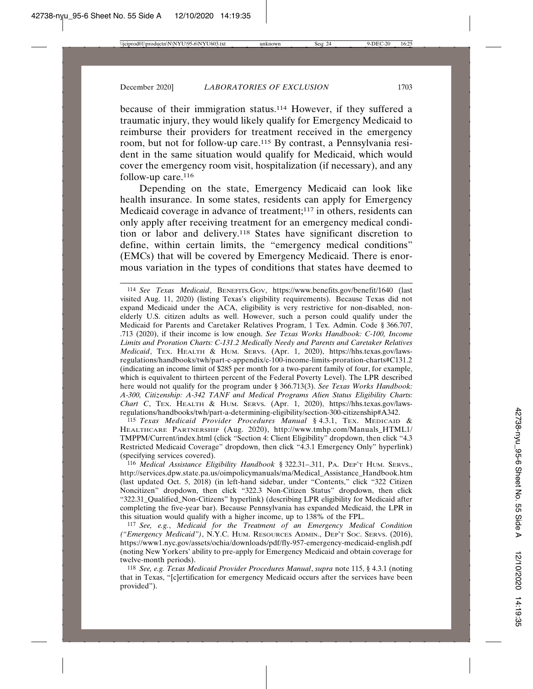because of their immigration status.114 However, if they suffered a traumatic injury, they would likely qualify for Emergency Medicaid to reimburse their providers for treatment received in the emergency room, but not for follow-up care.115 By contrast, a Pennsylvania resident in the same situation would qualify for Medicaid, which would cover the emergency room visit, hospitalization (if necessary), and any follow-up care.<sup>116</sup>

Depending on the state, Emergency Medicaid can look like health insurance. In some states, residents can apply for Emergency Medicaid coverage in advance of treatment;<sup>117</sup> in others, residents can only apply after receiving treatment for an emergency medical condition or labor and delivery.118 States have significant discretion to define, within certain limits, the "emergency medical conditions" (EMCs) that will be covered by Emergency Medicaid. There is enormous variation in the types of conditions that states have deemed to

115 *Texas Medicaid Provider Procedures Manual* § 4.3.1, TEX. MEDICAID & HEALTHCARE PARTNERSHIP (Aug. 2020), http://www.tmhp.com/Manuals\_HTML1/ TMPPM/Current/index.html (click "Section 4: Client Eligibility" dropdown, then click "4.3 Restricted Medicaid Coverage" dropdown, then click "4.3.1 Emergency Only" hyperlink) (specifying services covered).

116 *Medical Assistance Eligibility Handbook* § 322.31–.311, PA. DEP'T HUM. SERVS., http://services.dpw.state.pa.us/oimpolicymanuals/ma/Medical\_Assistance\_Handbook.htm (last updated Oct. 5, 2018) (in left-hand sidebar, under "Contents," click "322 Citizen Noncitizen" dropdown, then click "322.3 Non-Citizen Status" dropdown, then click "322.31\_Qualified\_Non-Citizens" hyperlink) (describing LPR eligibility for Medicaid after completing the five-year bar). Because Pennsylvania has expanded Medicaid, the LPR in this situation would qualify with a higher income, up to 138% of the FPL.

117 *See, e.g.*, *Medicaid for the Treatment of an Emergency Medical Condition ("Emergency Medicaid")*, N.Y.C. HUM. RESOURCES ADMIN., DEP'T SOC. SERVS. (2016), https://www1.nyc.gov/assets/ochia/downloads/pdf/fly-957-emergency-medicaid-english.pdf (noting New Yorkers' ability to pre-apply for Emergency Medicaid and obtain coverage for twelve-month periods).

118 *See, e.g. Texas Medicaid Provider Procedures Manual*, *supra* note 115, § 4.3.1 (noting that in Texas, "[c]ertification for emergency Medicaid occurs after the services have been provided").

<sup>114</sup> *See Texas Medicaid*, BENEFITS.GOV, https://www.benefits.gov/benefit/1640 (last visited Aug. 11, 2020) (listing Texas's eligibility requirements). Because Texas did not expand Medicaid under the ACA, eligibility is very restrictive for non-disabled, nonelderly U.S. citizen adults as well. However, such a person could qualify under the Medicaid for Parents and Caretaker Relatives Program, 1 Tex. Admin. Code § 366.707, .713 (2020), if their income is low enough. *See Texas Works Handbook: C-100, Income Limits and Proration Charts: C-131.2 Medically Needy and Parents and Caretaker Relatives Medicaid*, TEX. HEALTH & HUM. SERVS. (Apr. 1, 2020), https://hhs.texas.gov/lawsregulations/handbooks/twh/part-c-appendix/c-100-income-limits-proration-charts#C131.2 (indicating an income limit of \$285 per month for a two-parent family of four, for example, which is equivalent to thirteen percent of the Federal Poverty Level). The LPR described here would not qualify for the program under § 366.713(3). *See Texas Works Handbook: A-300, Citizenship: A-342 TANF and Medical Programs Alien Status Eligibility Charts: Chart C*, TEX. HEALTH & HUM. SERVS. (Apr. 1, 2020), https://hhs.texas.gov/lawsregulations/handbooks/twh/part-a-determining-eligibility/section-300-citizenship#A342.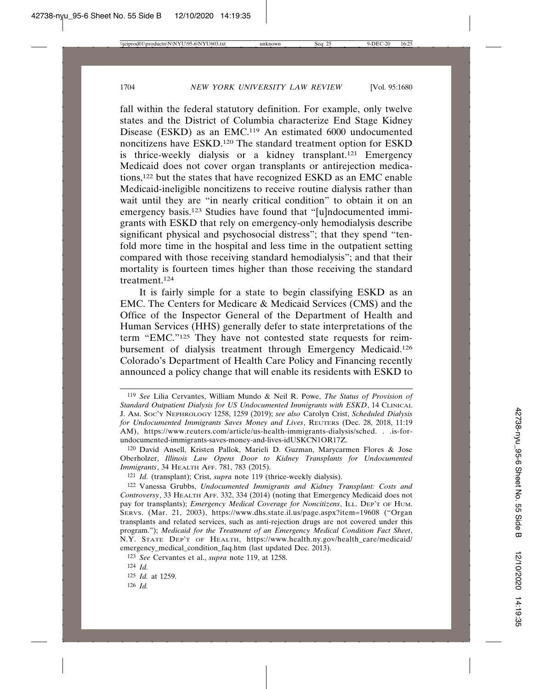fall within the federal statutory definition. For example, only twelve states and the District of Columbia characterize End Stage Kidney Disease (ESKD) as an EMC.119 An estimated 6000 undocumented noncitizens have ESKD.120 The standard treatment option for ESKD is thrice-weekly dialysis or a kidney transplant.<sup>121</sup> Emergency Medicaid does not cover organ transplants or antirejection medications,122 but the states that have recognized ESKD as an EMC enable Medicaid-ineligible noncitizens to receive routine dialysis rather than wait until they are "in nearly critical condition" to obtain it on an emergency basis.123 Studies have found that "[u]ndocumented immigrants with ESKD that rely on emergency-only hemodialysis describe significant physical and psychosocial distress"; that they spend "tenfold more time in the hospital and less time in the outpatient setting compared with those receiving standard hemodialysis"; and that their mortality is fourteen times higher than those receiving the standard treatment.124

It is fairly simple for a state to begin classifying ESKD as an EMC. The Centers for Medicare & Medicaid Services (CMS) and the Office of the Inspector General of the Department of Health and Human Services (HHS) generally defer to state interpretations of the term "EMC."125 They have not contested state requests for reimbursement of dialysis treatment through Emergency Medicaid.126 Colorado's Department of Health Care Policy and Financing recently announced a policy change that will enable its residents with ESKD to

<sup>119</sup> *See* Lilia Cervantes, William Mundo & Neil R. Powe, *The Status of Provision of Standard Outpatient Dialysis for US Undocumented Immigrants with ESKD*, 14 CLINICAL J. AM. SOC'Y NEPHROLOGY 1258, 1259 (2019); *see also* Carolyn Crist, *Scheduled Dialysis for Undocumented Immigrants Saves Money and Lives*, REUTERS (Dec. 28, 2018, 11:19 AM), https://www.reuters.com/article/us-health-immigrants-dialysis/sched. . .is-forundocumented-immigrants-saves-money-and-lives-idUSKCN1OR17Z.

<sup>120</sup> David Ansell, Kristen Pallok, Marieli D. Guzman, Marycarmen Flores & Jose Oberholzer, *Illinois Law Opens Door to Kidney Transplants for Undocumented Immigrants*, 34 HEALTH AFF. 781, 783 (2015).

<sup>121</sup> *Id.* (transplant); Crist, *supra* note 119 (thrice-weekly dialysis).

<sup>122</sup> Vanessa Grubbs, *Undocumented Immigrants and Kidney Transplant: Costs and Controversy*, 33 HEALTH AFF. 332, 334 (2014) (noting that Emergency Medicaid does not pay for transplants); *Emergency Medical Coverage for Noncitizens*, ILL. DEP'T OF HUM. SERVS. (Mar. 21, 2003), https://www.dhs.state.il.us/page.aspx?item=19608 ("Organ transplants and related services, such as anti-rejection drugs are not covered under this program."); *Medicaid for the Treatment of an Emergency Medical Condition Fact Sheet*, N.Y. STATE DEP'T OF HEALTH, https://www.health.ny.gov/health\_care/medicaid/ emergency\_medical\_condition\_faq.htm (last updated Dec. 2013).

<sup>123</sup> *See* Cervantes et al., *supra* note 119, at 1258.

<sup>124</sup> *Id.*

<sup>125</sup> *Id.* at 1259.

<sup>126</sup> *Id.*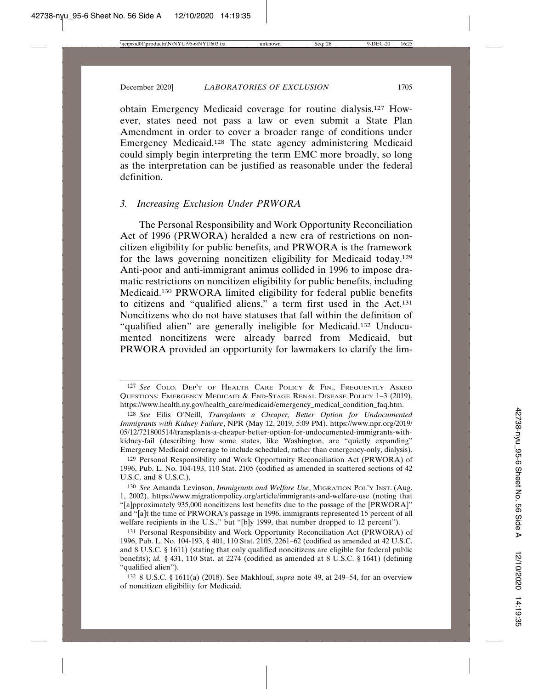obtain Emergency Medicaid coverage for routine dialysis.127 However, states need not pass a law or even submit a State Plan Amendment in order to cover a broader range of conditions under Emergency Medicaid.128 The state agency administering Medicaid could simply begin interpreting the term EMC more broadly, so long as the interpretation can be justified as reasonable under the federal definition.

#### *3. Increasing Exclusion Under PRWORA*

The Personal Responsibility and Work Opportunity Reconciliation Act of 1996 (PRWORA) heralded a new era of restrictions on noncitizen eligibility for public benefits, and PRWORA is the framework for the laws governing noncitizen eligibility for Medicaid today.129 Anti-poor and anti-immigrant animus collided in 1996 to impose dramatic restrictions on noncitizen eligibility for public benefits, including Medicaid.130 PRWORA limited eligibility for federal public benefits to citizens and "qualified aliens," a term first used in the Act.131 Noncitizens who do not have statuses that fall within the definition of "qualified alien" are generally ineligible for Medicaid.132 Undocumented noncitizens were already barred from Medicaid, but PRWORA provided an opportunity for lawmakers to clarify the lim-

129 Personal Responsibility and Work Opportunity Reconciliation Act (PRWORA) of 1996, Pub. L. No. 104-193, 110 Stat. 2105 (codified as amended in scattered sections of 42 U.S.C. and 8 U.S.C.).

130 *See* Amanda Levinson, *Immigrants and Welfare Use*, MIGRATION POL'Y INST. (Aug. 1, 2002), https://www.migrationpolicy.org/article/immigrants-and-welfare-use (noting that "[a]pproximately 935,000 noncitizens lost benefits due to the passage of the [PRWORA]" and "[a]t the time of PRWORA's passage in 1996, immigrants represented 15 percent of all welfare recipients in the U.S.," but "[b]y 1999, that number dropped to 12 percent").

<sup>127</sup> *See* COLO. DEP'T OF HEALTH CARE POLICY & FIN., FREQUENTLY ASKED QUESTIONS: EMERGENCY MEDICAID & END-STAGE RENAL DISEASE POLICY 1–3 (2019), https://www.health.ny.gov/health\_care/medicaid/emergency\_medical\_condition\_faq.htm.

<sup>128</sup> *See* Eilis O'Neill, *Transplants a Cheaper, Better Option for Undocumented Immigrants with Kidney Failure*, NPR (May 12, 2019, 5:09 PM), https://www.npr.org/2019/ 05/12/721800514/transplants-a-cheaper-better-option-for-undocumented-immigrants-withkidney-fail (describing how some states, like Washington, are "quietly expanding" Emergency Medicaid coverage to include scheduled, rather than emergency-only, dialysis).

<sup>131</sup> Personal Responsibility and Work Opportunity Reconciliation Act (PRWORA) of 1996, Pub. L. No. 104-193, § 401, 110 Stat. 2105, 2261–62 (codified as amended at 42 U.S.C. and 8 U.S.C. § 1611) (stating that only qualified noncitizens are eligible for federal public benefits); *id.* § 431, 110 Stat. at 2274 (codified as amended at 8 U.S.C. § 1641) (defining "qualified alien").

<sup>132</sup> 8 U.S.C. § 1611(a) (2018). See Makhlouf, *supra* note 49, at 249–54, for an overview of noncitizen eligibility for Medicaid.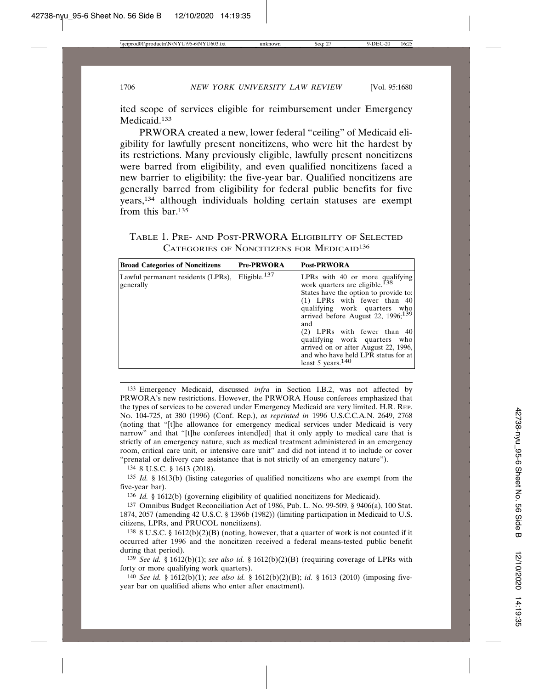ited scope of services eligible for reimbursement under Emergency Medicaid.<sup>133</sup>

PRWORA created a new, lower federal "ceiling" of Medicaid eligibility for lawfully present noncitizens, who were hit the hardest by its restrictions. Many previously eligible, lawfully present noncitizens were barred from eligibility, and even qualified noncitizens faced a new barrier to eligibility: the five-year bar. Qualified noncitizens are generally barred from eligibility for federal public benefits for five years,134 although individuals holding certain statuses are exempt from this bar.135

| TABLE 1. PRE- AND POST-PRWORA ELIGIBILITY OF SELECTED |  |                                                       |  |  |  |
|-------------------------------------------------------|--|-------------------------------------------------------|--|--|--|
|                                                       |  | CATEGORIES OF NONCITIZENS FOR MEDICAID <sup>136</sup> |  |  |  |

| <b>Broad Categories of Noncitizens</b>          | <b>Pre-PRWORA</b>        | <b>Post-PRWORA</b>                                                                                                                                                                                                                                                                                                                                                                                              |
|-------------------------------------------------|--------------------------|-----------------------------------------------------------------------------------------------------------------------------------------------------------------------------------------------------------------------------------------------------------------------------------------------------------------------------------------------------------------------------------------------------------------|
| Lawful permanent residents (LPRs),<br>generally | Eligible. <sup>137</sup> | LPRs with 40 or more qualifying<br>work quarters are eligible. <sup>138</sup><br>States have the option to provide to:<br>$(1)$ LPRs with fewer than 40<br>qualifying work quarters who<br>arrived before August 22, 1996; $139$<br>and<br>$(2)$ LPRs with fewer than 40<br>qualifying work quarters who<br>arrived on or after August 22, 1996,<br>and who have held LPR status for at<br>least 5 years. $140$ |

133 Emergency Medicaid, discussed *infra* in Section I.B.2, was not affected by PRWORA's new restrictions. However, the PRWORA House conferees emphasized that the types of services to be covered under Emergency Medicaid are very limited. H.R. REP. NO. 104-725, at 380 (1996) (Conf. Rep.), *as reprinted in* 1996 U.S.C.C.A.N. 2649, 2768 (noting that "[t]he allowance for emergency medical services under Medicaid is very narrow" and that "[t]he conferees intend[ed] that it only apply to medical care that is strictly of an emergency nature, such as medical treatment administered in an emergency room, critical care unit, or intensive care unit" and did not intend it to include or cover "prenatal or delivery care assistance that is not strictly of an emergency nature").

134 8 U.S.C. § 1613 (2018).

135 *Id.* § 1613(b) (listing categories of qualified noncitizens who are exempt from the five-year bar).

136 *Id.* § 1612(b) (governing eligibility of qualified noncitizens for Medicaid).

137 Omnibus Budget Reconciliation Act of 1986, Pub. L. No. 99-509, § 9406(a), 100 Stat. 1874, 2057 (amending 42 U.S.C. § 1396b (1982)) (limiting participation in Medicaid to U.S. citizens, LPRs, and PRUCOL noncitizens).

138 8 U.S.C. § 1612(b)(2)(B) (noting, however, that a quarter of work is not counted if it occurred after 1996 and the noncitizen received a federal means-tested public benefit during that period).

139 *See id.* § 1612(b)(1); *see also id.* § 1612(b)(2)(B) (requiring coverage of LPRs with forty or more qualifying work quarters).

140 *See id.* § 1612(b)(1); *see also id.* § 1612(b)(2)(B); *id.* § 1613 (2010) (imposing fiveyear bar on qualified aliens who enter after enactment).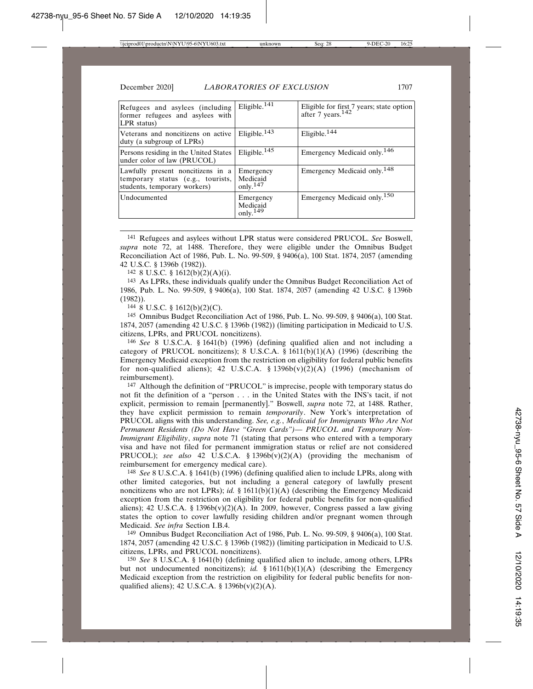| Refugees and asylees (including<br>former refugees and asylees with<br>$LPR$ status)                   | Eligible. <sup>14<math>\overline{1}</math></sup> | Eligible for first 7 years; state option<br>after 7 years. <sup>142</sup> |
|--------------------------------------------------------------------------------------------------------|--------------------------------------------------|---------------------------------------------------------------------------|
| Veterans and noncitizens on active<br>duty (a subgroup of LPRs)                                        | Eligible. $143$                                  | Eligible. <sup>144</sup>                                                  |
| Persons residing in the United States<br>under color of law (PRUCOL)                                   | Eligible. $145$                                  | Emergency Medicaid only. <sup>146</sup>                                   |
| Lawfully present noncitizens in a<br>temporary status (e.g., tourists,<br>students, temporary workers) | Emergency<br>Medicaid<br>only. $147$             | Emergency Medicaid only. <sup>148</sup>                                   |
| Undocumented                                                                                           | Emergency<br>Medicaid<br>only. $149$             | Emergency Medicaid only. <sup>150</sup>                                   |

141 Refugees and asylees without LPR status were considered PRUCOL. *See* Boswell, *supra* note 72, at 1488. Therefore, they were eligible under the Omnibus Budget Reconciliation Act of 1986, Pub. L. No. 99-509, § 9406(a), 100 Stat. 1874, 2057 (amending 42 U.S.C. § 1396b (1982)).

142 8 U.S.C. § 1612(b)(2)(A)(i).

143 As LPRs, these individuals qualify under the Omnibus Budget Reconciliation Act of 1986, Pub. L. No. 99-509, § 9406(a), 100 Stat. 1874, 2057 (amending 42 U.S.C. § 1396b (1982)).

144 8 U.S.C. § 1612(b)(2)(C).

145 Omnibus Budget Reconciliation Act of 1986, Pub. L. No. 99-509, § 9406(a), 100 Stat. 1874, 2057 (amending 42 U.S.C. § 1396b (1982)) (limiting participation in Medicaid to U.S. citizens, LPRs, and PRUCOL noncitizens).

146 *See* 8 U.S.C.A. § 1641(b) (1996) (defining qualified alien and not including a category of PRUCOL noncitizens); 8 U.S.C.A. § 1611(b)(1)(A) (1996) (describing the Emergency Medicaid exception from the restriction on eligibility for federal public benefits for non-qualified aliens); 42 U.S.C.A.  $\S$  1396b(v)(2)(A) (1996) (mechanism of reimbursement).

147 Although the definition of "PRUCOL" is imprecise, people with temporary status do not fit the definition of a "person . . . in the United States with the INS's tacit, if not explicit, permission to remain [permanently]." Boswell, *supra* note 72, at 1488. Rather, they have explicit permission to remain *temporarily*. New York's interpretation of PRUCOL aligns with this understanding. *See, e.g.*, *Medicaid for Immigrants Who Are Not Permanent Residents (Do Not Have "Green Cards")— PRUCOL and Temporary Non-Immigrant Eligibility*, *supra* note 71 (stating that persons who entered with a temporary visa and have not filed for permanent immigration status or relief are not considered PRUCOL); *see also* 42 U.S.C.A. § 1396b(v)(2)(A) (providing the mechanism of reimbursement for emergency medical care).

148 *See* 8 U.S.C.A. § 1641(b) (1996) (defining qualified alien to include LPRs, along with other limited categories, but not including a general category of lawfully present noncitizens who are not LPRs); *id.* § 1611(b)(1)(A) (describing the Emergency Medicaid exception from the restriction on eligibility for federal public benefits for non-qualified aliens); 42 U.S.C.A. § 1396b(v)(2)(A). In 2009, however, Congress passed a law giving states the option to cover lawfully residing children and/or pregnant women through Medicaid. *See infra* Section I.B.4.

149 Omnibus Budget Reconciliation Act of 1986, Pub. L. No. 99-509, § 9406(a), 100 Stat. 1874, 2057 (amending 42 U.S.C. § 1396b (1982)) (limiting participation in Medicaid to U.S. citizens, LPRs, and PRUCOL noncitizens).

150 *See* 8 U.S.C.A. § 1641(b) (defining qualified alien to include, among others, LPRs but not undocumented noncitizens); *id.* § 1611(b)(1)(A) (describing the Emergency Medicaid exception from the restriction on eligibility for federal public benefits for nonqualified aliens); 42 U.S.C.A.  $\S$  1396b(v)(2)(A).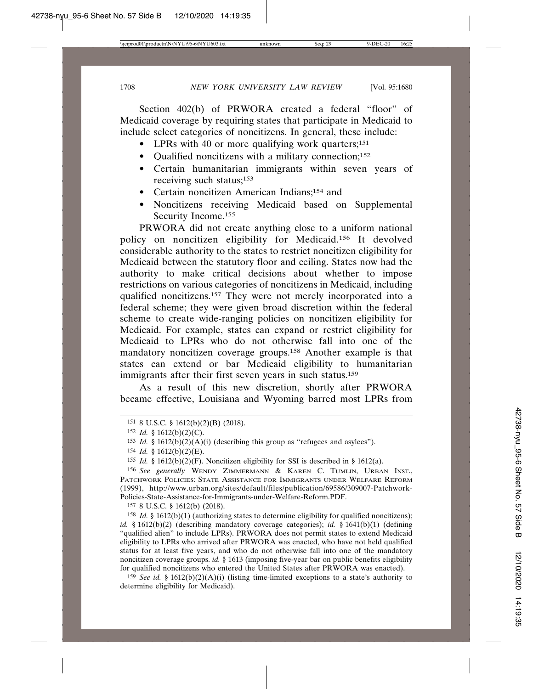Section 402(b) of PRWORA created a federal "floor" of Medicaid coverage by requiring states that participate in Medicaid to include select categories of noncitizens. In general, these include:

- LPRs with 40 or more qualifying work quarters;<sup>151</sup>
- Qualified noncitizens with a military connection;<sup>152</sup>
- Certain humanitarian immigrants within seven years of receiving such status;153
- Certain noncitizen American Indians;154 and
- Noncitizens receiving Medicaid based on Supplemental Security Income.155

PRWORA did not create anything close to a uniform national policy on noncitizen eligibility for Medicaid.156 It devolved considerable authority to the states to restrict noncitizen eligibility for Medicaid between the statutory floor and ceiling. States now had the authority to make critical decisions about whether to impose restrictions on various categories of noncitizens in Medicaid, including qualified noncitizens.157 They were not merely incorporated into a federal scheme; they were given broad discretion within the federal scheme to create wide-ranging policies on noncitizen eligibility for Medicaid. For example, states can expand or restrict eligibility for Medicaid to LPRs who do not otherwise fall into one of the mandatory noncitizen coverage groups.158 Another example is that states can extend or bar Medicaid eligibility to humanitarian immigrants after their first seven years in such status.<sup>159</sup>

As a result of this new discretion, shortly after PRWORA became effective, Louisiana and Wyoming barred most LPRs from

157 8 U.S.C. § 1612(b) (2018).

<sup>158</sup> *Id.* § 1612(b)(1) (authorizing states to determine eligibility for qualified noncitizens); *id.* § 1612(b)(2) (describing mandatory coverage categories); *id.* § 1641(b)(1) (defining "qualified alien" to include LPRs). PRWORA does not permit states to extend Medicaid eligibility to LPRs who arrived after PRWORA was enacted, who have not held qualified status for at least five years, and who do not otherwise fall into one of the mandatory noncitizen coverage groups. *id.* § 1613 (imposing five-year bar on public benefits eligibility for qualified noncitizens who entered the United States after PRWORA was enacted).

<sup>159</sup> *See id.* § 1612(b)(2)(A)(i) (listing time-limited exceptions to a state's authority to determine eligibility for Medicaid).

<sup>151</sup> 8 U.S.C. § 1612(b)(2)(B) (2018).

<sup>152</sup> *Id.* § 1612(b)(2)(C).

<sup>&</sup>lt;sup>153</sup> *Id.* § 1612(b)(2)(A)(i) (describing this group as "refugees and asylees").

 $154$  *Id.* § 1612(b)(2)(E).

<sup>155</sup> *Id.* § 1612(b)(2)(F). Noncitizen eligibility for SSI is described in § 1612(a).

<sup>156</sup> *See generally* WENDY ZIMMERMANN & KAREN C. TUMLIN, URBAN INST., PATCHWORK POLICIES: STATE ASSISTANCE FOR IMMIGRANTS UNDER WELFARE REFORM (1999), http://www.urban.org/sites/default/files/publication/69586/309007-Patchwork-Policies-State-Assistance-for-Immigrants-under-Welfare-Reform.PDF.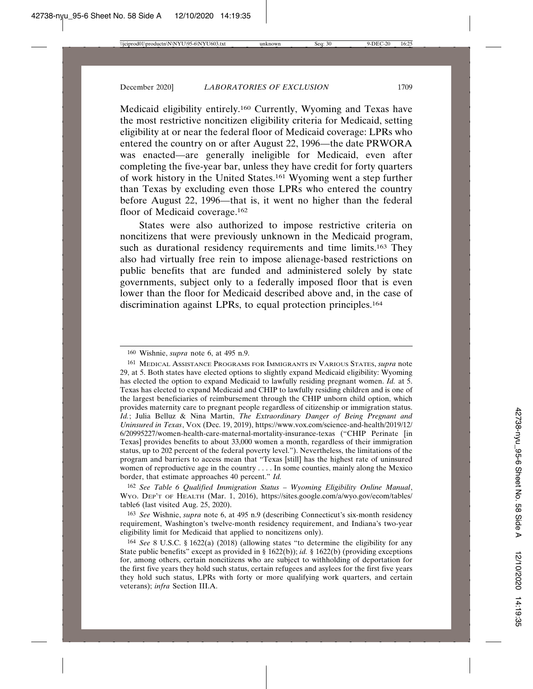Medicaid eligibility entirely.160 Currently, Wyoming and Texas have the most restrictive noncitizen eligibility criteria for Medicaid, setting eligibility at or near the federal floor of Medicaid coverage: LPRs who entered the country on or after August 22, 1996—the date PRWORA was enacted—are generally ineligible for Medicaid, even after completing the five-year bar, unless they have credit for forty quarters of work history in the United States.161 Wyoming went a step further than Texas by excluding even those LPRs who entered the country before August 22, 1996—that is, it went no higher than the federal floor of Medicaid coverage.<sup>162</sup>

States were also authorized to impose restrictive criteria on noncitizens that were previously unknown in the Medicaid program, such as durational residency requirements and time limits.<sup>163</sup> They also had virtually free rein to impose alienage-based restrictions on public benefits that are funded and administered solely by state governments, subject only to a federally imposed floor that is even lower than the floor for Medicaid described above and, in the case of discrimination against LPRs, to equal protection principles.164

162 *See Table 6 Qualified Immigration Status – Wyoming Eligibility Online Manual*, WYO. DEP'T OF HEALTH (Mar. 1, 2016), https://sites.google.com/a/wyo.gov/ecom/tables/ table6 (last visited Aug. 25, 2020).

163 *See* Wishnie, *supra* note 6, at 495 n.9 (describing Connecticut's six-month residency requirement, Washington's twelve-month residency requirement, and Indiana's two-year eligibility limit for Medicaid that applied to noncitizens only).

<sup>160</sup> Wishnie, *supra* note 6, at 495 n.9.

<sup>161</sup> MEDICAL ASSISTANCE PROGRAMS FOR IMMIGRANTS IN VARIOUS STATES, *supra* note 29, at 5. Both states have elected options to slightly expand Medicaid eligibility: Wyoming has elected the option to expand Medicaid to lawfully residing pregnant women. *Id.* at 5. Texas has elected to expand Medicaid and CHIP to lawfully residing children and is one of the largest beneficiaries of reimbursement through the CHIP unborn child option, which provides maternity care to pregnant people regardless of citizenship or immigration status. *Id.*; Julia Belluz & Nina Martin, *The Extraordinary Danger of Being Pregnant and Uninsured in Texas*, VOX (Dec. 19, 2019), https://www.vox.com/science-and-health/2019/12/ 6/20995227/women-health-care-maternal-mortality-insurance-texas ("CHIP Perinate [in Texas] provides benefits to about 33,000 women a month, regardless of their immigration status, up to 202 percent of the federal poverty level."). Nevertheless, the limitations of the program and barriers to access mean that "Texas [still] has the highest rate of uninsured women of reproductive age in the country . . . . In some counties, mainly along the Mexico border, that estimate approaches 40 percent." *Id.*

<sup>164</sup> *See* 8 U.S.C. § 1622(a) (2018) (allowing states "to determine the eligibility for any State public benefits" except as provided in § 1622(b)); *id.* § 1622(b) (providing exceptions for, among others, certain noncitizens who are subject to withholding of deportation for the first five years they hold such status, certain refugees and asylees for the first five years they hold such status, LPRs with forty or more qualifying work quarters, and certain veterans); *infra* Section III.A.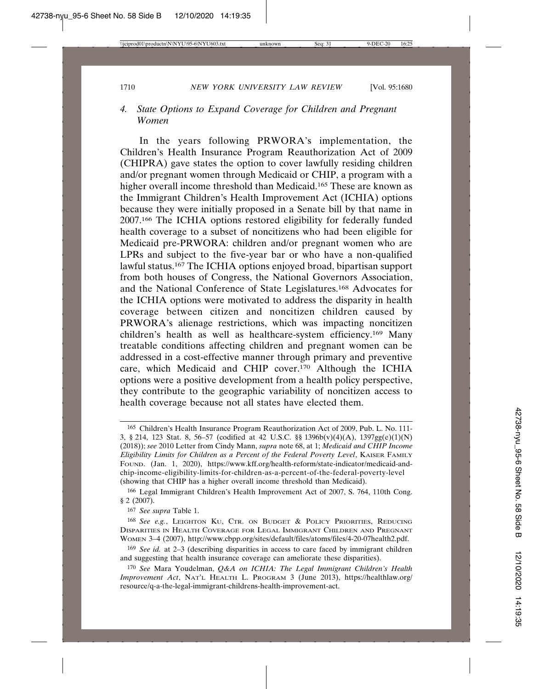## *4. State Options to Expand Coverage for Children and Pregnant Women*

In the years following PRWORA's implementation, the Children's Health Insurance Program Reauthorization Act of 2009 (CHIPRA) gave states the option to cover lawfully residing children and/or pregnant women through Medicaid or CHIP, a program with a higher overall income threshold than Medicaid.<sup>165</sup> These are known as the Immigrant Children's Health Improvement Act (ICHIA) options because they were initially proposed in a Senate bill by that name in 2007.166 The ICHIA options restored eligibility for federally funded health coverage to a subset of noncitizens who had been eligible for Medicaid pre-PRWORA: children and/or pregnant women who are LPRs and subject to the five-year bar or who have a non-qualified lawful status.167 The ICHIA options enjoyed broad, bipartisan support from both houses of Congress, the National Governors Association, and the National Conference of State Legislatures.168 Advocates for the ICHIA options were motivated to address the disparity in health coverage between citizen and noncitizen children caused by PRWORA's alienage restrictions, which was impacting noncitizen children's health as well as healthcare-system efficiency.169 Many treatable conditions affecting children and pregnant women can be addressed in a cost-effective manner through primary and preventive care, which Medicaid and CHIP cover.170 Although the ICHIA options were a positive development from a health policy perspective, they contribute to the geographic variability of noncitizen access to health coverage because not all states have elected them.

166 Legal Immigrant Children's Health Improvement Act of 2007, S. 764, 110th Cong. § 2 (2007).

167 *See supra* Table 1.

168 *See e.g.*, LEIGHTON KU, CTR. ON BUDGET & POLICY PRIORITIES, REDUCING DISPARITIES IN HEALTH COVERAGE FOR LEGAL IMMIGRANT CHILDREN AND PREGNANT WOMEN 3–4 (2007), http://www.cbpp.org/sites/default/files/atoms/files/4-20-07health2.pdf.

169 *See id.* at 2–3 (describing disparities in access to care faced by immigrant children and suggesting that health insurance coverage can ameliorate these disparities).

<sup>165</sup> Children's Health Insurance Program Reauthorization Act of 2009, Pub. L. No. 111- 3, § 214, 123 Stat. 8, 56–57 (codified at 42 U.S.C. §§ 1396b(v)(4)(A), 1397gg(e)(1)(N) (2018)); *see* 2010 Letter from Cindy Mann, *supra* note 68, at 1; *Medicaid and CHIP Income Eligibility Limits for Children as a Percent of the Federal Poverty Level*, KAISER FAMILY FOUND. (Jan. 1, 2020), https://www.kff.org/health-reform/state-indicator/medicaid-andchip-income-eligibility-limits-for-children-as-a-percent-of-the-federal-poverty-level (showing that CHIP has a higher overall income threshold than Medicaid).

<sup>170</sup> *See* Mara Youdelman, *Q&A on ICHIA: The Legal Immigrant Children's Health Improvement Act*, NAT'L HEALTH L. PROGRAM 3 (June 2013), https://healthlaw.org/ resource/q-a-the-legal-immigrant-childrens-health-improvement-act.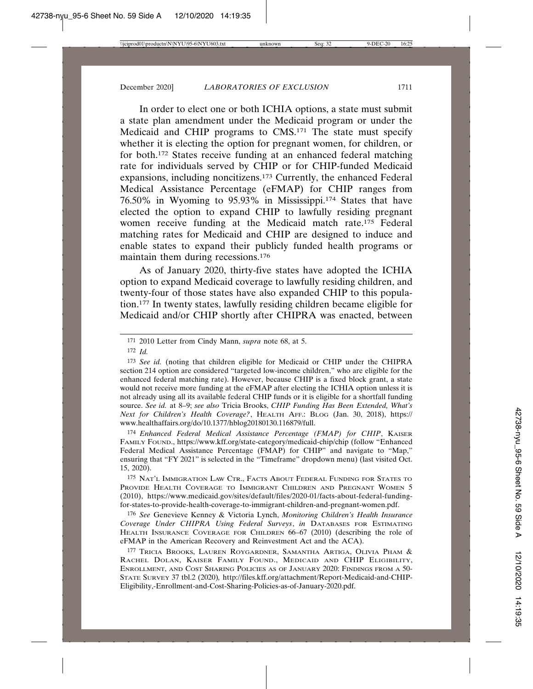In order to elect one or both ICHIA options, a state must submit a state plan amendment under the Medicaid program or under the Medicaid and CHIP programs to CMS.171 The state must specify whether it is electing the option for pregnant women, for children, or for both.172 States receive funding at an enhanced federal matching rate for individuals served by CHIP or for CHIP-funded Medicaid expansions, including noncitizens.173 Currently, the enhanced Federal Medical Assistance Percentage (eFMAP) for CHIP ranges from 76.50% in Wyoming to 95.93% in Mississippi.174 States that have elected the option to expand CHIP to lawfully residing pregnant women receive funding at the Medicaid match rate.175 Federal matching rates for Medicaid and CHIP are designed to induce and enable states to expand their publicly funded health programs or maintain them during recessions.176

As of January 2020, thirty-five states have adopted the ICHIA option to expand Medicaid coverage to lawfully residing children, and twenty-four of those states have also expanded CHIP to this population.177 In twenty states, lawfully residing children became eligible for Medicaid and/or CHIP shortly after CHIPRA was enacted, between

174 *Enhanced Federal Medical Assistance Percentage (FMAP) for CHIP*, KAISER FAMILY FOUND., https://www.kff.org/state-category/medicaid-chip/chip (follow "Enhanced Federal Medical Assistance Percentage (FMAP) for CHIP" and navigate to "Map," ensuring that "FY 2021" is selected in the "Timeframe" dropdown menu) (last visited Oct. 15, 2020).

175 NAT'L IMMIGRATION LAW CTR., FACTS ABOUT FEDERAL FUNDING FOR STATES TO PROVIDE HEALTH COVERAGE TO IMMIGRANT CHILDREN AND PREGNANT WOMEN 5 (2010), https://www.medicaid.gov/sites/default/files/2020-01/facts-about-federal-fundingfor-states-to-provide-health-coverage-to-immigrant-children-and-pregnant-women.pdf.

176 *See* Genevieve Kenney & Victoria Lynch, *Monitoring Children's Health Insurance Coverage Under CHIPRA Using Federal Surveys*, *in* DATABASES FOR ESTIMATING HEALTH INSURANCE COVERAGE FOR CHILDREN 66–67 (2010) (describing the role of eFMAP in the American Recovery and Reinvestment Act and the ACA).

177 TRICIA BROOKS, LAUREN ROYGARDNER, SAMANTHA ARTIGA, OLIVIA PHAM & RACHEL DOLAN, KAISER FAMILY FOUND., MEDICAID AND CHIP ELIGIBILITY, ENROLLMENT, AND COST SHARING POLICIES AS OF JANUARY 2020: FINDINGS FROM A 50- STATE SURVEY 37 tbl.2 (2020)*,* http://files.kff.org/attachment/Report-Medicaid-and-CHIP-Eligibility,-Enrollment-and-Cost-Sharing-Policies-as-of-January-2020.pdf.

<sup>171</sup> 2010 Letter from Cindy Mann, *supra* note 68, at 5.

<sup>172</sup> *Id.*

<sup>173</sup> See id. (noting that children eligible for Medicaid or CHIP under the CHIPRA section 214 option are considered "targeted low-income children," who are eligible for the enhanced federal matching rate). However, because CHIP is a fixed block grant, a state would not receive more funding at the eFMAP after electing the ICHIA option unless it is not already using all its available federal CHIP funds or it is eligible for a shortfall funding source. *See id.* at 8–9; *see also* Tricia Brooks, *CHIP Funding Has Been Extended, What's Next for Children's Health Coverage?*, HEALTH AFF.: BLOG (Jan. 30, 2018), https:// www.healthaffairs.org/do/10.1377/hblog20180130.116879/full.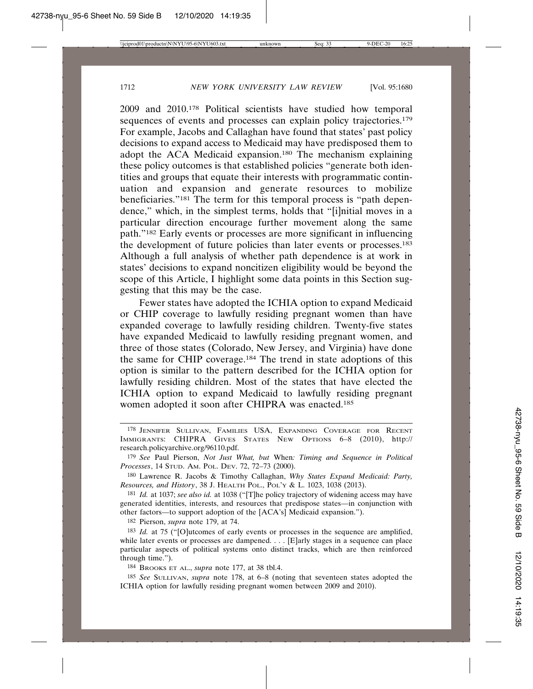2009 and 2010.178 Political scientists have studied how temporal sequences of events and processes can explain policy trajectories.<sup>179</sup> For example, Jacobs and Callaghan have found that states' past policy decisions to expand access to Medicaid may have predisposed them to adopt the ACA Medicaid expansion.180 The mechanism explaining these policy outcomes is that established policies "generate both identities and groups that equate their interests with programmatic continuation and expansion and generate resources to mobilize beneficiaries."181 The term for this temporal process is "path dependence," which, in the simplest terms, holds that "[i]nitial moves in a particular direction encourage further movement along the same path."182 Early events or processes are more significant in influencing the development of future policies than later events or processes.183 Although a full analysis of whether path dependence is at work in states' decisions to expand noncitizen eligibility would be beyond the scope of this Article, I highlight some data points in this Section suggesting that this may be the case.

Fewer states have adopted the ICHIA option to expand Medicaid or CHIP coverage to lawfully residing pregnant women than have expanded coverage to lawfully residing children. Twenty-five states have expanded Medicaid to lawfully residing pregnant women, and three of those states (Colorado, New Jersey, and Virginia) have done the same for CHIP coverage.184 The trend in state adoptions of this option is similar to the pattern described for the ICHIA option for lawfully residing children. Most of the states that have elected the ICHIA option to expand Medicaid to lawfully residing pregnant women adopted it soon after CHIPRA was enacted.185

181 *Id.* at 1037; *see also id.* at 1038 ("[T]he policy trajectory of widening access may have generated identities, interests, and resources that predispose states—in conjunction with other factors—to support adoption of the [ACA's] Medicaid expansion.").

182 Pierson, *supra* note 179, at 74.

184 BROOKS ET AL., *supra* note 177, at 38 tbl.4.

185 *See* SULLIVAN, *supra* note 178, at 6–8 (noting that seventeen states adopted the ICHIA option for lawfully residing pregnant women between 2009 and 2010).

<sup>178</sup> JENNIFER SULLIVAN, FAMILIES USA, EXPANDING COVERAGE FOR RECENT IMMIGRANTS: CHIPRA GIVES STATES NEW OPTIONS 6–8 (2010), http:// research.policyarchive.org/96110.pdf.

<sup>179</sup> *See* Paul Pierson, *Not Just What, but* When*: Timing and Sequence in Political Processes*, 14 STUD. AM. POL. DEV. 72, 72–73 (2000).

<sup>180</sup> Lawrence R. Jacobs & Timothy Callaghan, *Why States Expand Medicaid: Party, Resources, and History*, 38 J. HEALTH POL., POL'Y & L. 1023, 1038 (2013).

<sup>183</sup> *Id.* at 75 ("[O]utcomes of early events or processes in the sequence are amplified, while later events or processes are dampened. . . . [E]arly stages in a sequence can place particular aspects of political systems onto distinct tracks, which are then reinforced through time.").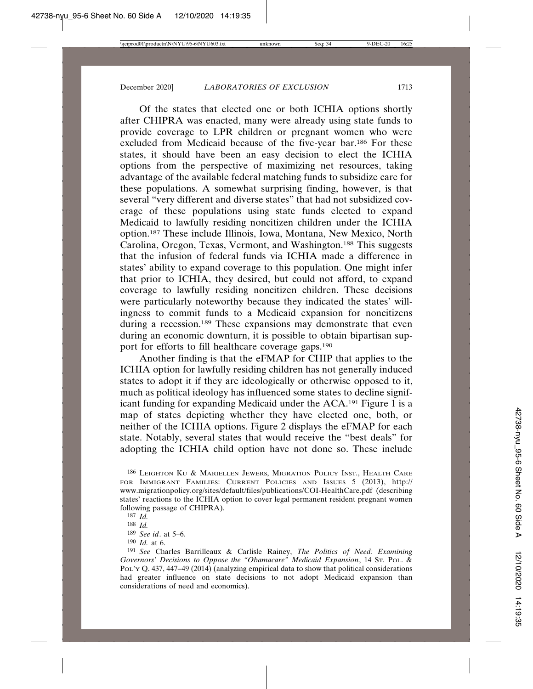Of the states that elected one or both ICHIA options shortly after CHIPRA was enacted, many were already using state funds to provide coverage to LPR children or pregnant women who were excluded from Medicaid because of the five-year bar.186 For these states, it should have been an easy decision to elect the ICHIA options from the perspective of maximizing net resources, taking advantage of the available federal matching funds to subsidize care for these populations. A somewhat surprising finding, however, is that several "very different and diverse states" that had not subsidized coverage of these populations using state funds elected to expand Medicaid to lawfully residing noncitizen children under the ICHIA option.187 These include Illinois, Iowa, Montana, New Mexico, North Carolina, Oregon, Texas, Vermont, and Washington.188 This suggests that the infusion of federal funds via ICHIA made a difference in states' ability to expand coverage to this population. One might infer that prior to ICHIA, they desired, but could not afford, to expand coverage to lawfully residing noncitizen children. These decisions were particularly noteworthy because they indicated the states' willingness to commit funds to a Medicaid expansion for noncitizens during a recession.<sup>189</sup> These expansions may demonstrate that even during an economic downturn, it is possible to obtain bipartisan support for efforts to fill healthcare coverage gaps.190

Another finding is that the eFMAP for CHIP that applies to the ICHIA option for lawfully residing children has not generally induced states to adopt it if they are ideologically or otherwise opposed to it, much as political ideology has influenced some states to decline significant funding for expanding Medicaid under the ACA.191 Figure 1 is a map of states depicting whether they have elected one, both, or neither of the ICHIA options. Figure 2 displays the eFMAP for each state. Notably, several states that would receive the "best deals" for adopting the ICHIA child option have not done so. These include

<sup>186</sup> LEIGHTON KU & MARIELLEN JEWERS, MIGRATION POLICY INST., HEALTH CARE FOR IMMIGRANT FAMILIES: CURRENT POLICIES AND ISSUES 5 (2013), http:// www.migrationpolicy.org/sites/default/files/publications/COI-HealthCare.pdf (describing states' reactions to the ICHIA option to cover legal permanent resident pregnant women following passage of CHIPRA).

<sup>187</sup> *Id.*

<sup>188</sup> *Id.*

<sup>189</sup> *See id*. at 5–6.

<sup>190</sup> *Id.* at 6.

<sup>191</sup> *See* Charles Barrilleaux & Carlisle Rainey, *The Politics of Need: Examining Governors' Decisions to Oppose the "Obamacare" Medicaid Expansion*, 14 ST. POL. & POL'Y Q. 437, 447-49 (2014) (analyzing empirical data to show that political considerations had greater influence on state decisions to not adopt Medicaid expansion than considerations of need and economics).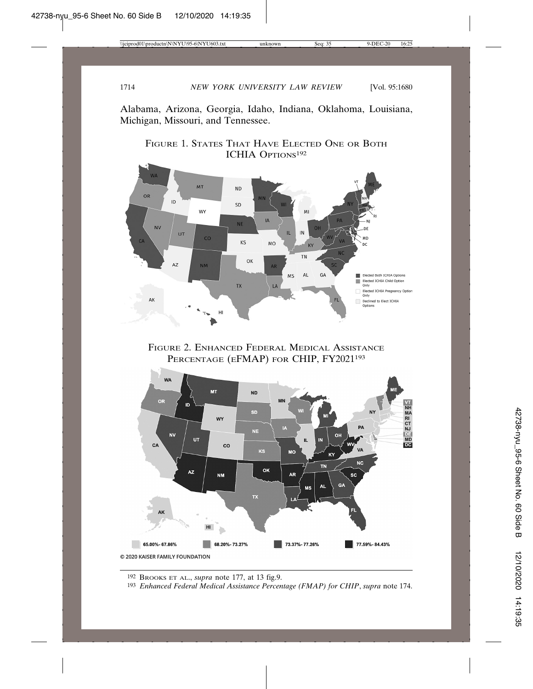Alabama, Arizona, Georgia, Idaho, Indiana, Oklahoma, Louisiana, Michigan, Missouri, and Tennessee.





FIGURE 2. ENHANCED FEDERAL MEDICAL ASSISTANCE PERCENTAGE (EFMAP) FOR CHIP, FY2021<sup>193</sup>



192 BROOKS ET AL., *supra* note 177, at 13 fig.9.

193 *Enhanced Federal Medical Assistance Percentage (FMAP) for CHIP*, *supra* note 174.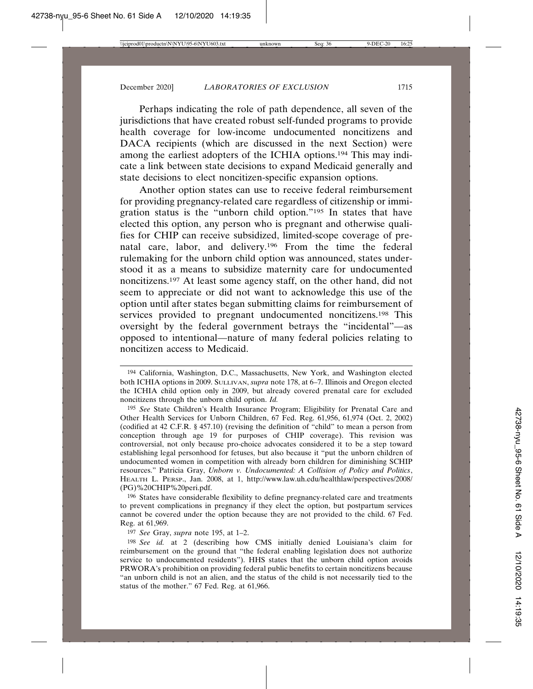Perhaps indicating the role of path dependence, all seven of the jurisdictions that have created robust self-funded programs to provide health coverage for low-income undocumented noncitizens and DACA recipients (which are discussed in the next Section) were among the earliest adopters of the ICHIA options.194 This may indicate a link between state decisions to expand Medicaid generally and state decisions to elect noncitizen-specific expansion options.

Another option states can use to receive federal reimbursement for providing pregnancy-related care regardless of citizenship or immigration status is the "unborn child option."195 In states that have elected this option, any person who is pregnant and otherwise qualifies for CHIP can receive subsidized, limited-scope coverage of prenatal care, labor, and delivery.196 From the time the federal rulemaking for the unborn child option was announced, states understood it as a means to subsidize maternity care for undocumented noncitizens.197 At least some agency staff, on the other hand, did not seem to appreciate or did not want to acknowledge this use of the option until after states began submitting claims for reimbursement of services provided to pregnant undocumented noncitizens.<sup>198</sup> This oversight by the federal government betrays the "incidental"—as opposed to intentional—nature of many federal policies relating to noncitizen access to Medicaid.

196 States have considerable flexibility to define pregnancy-related care and treatments to prevent complications in pregnancy if they elect the option, but postpartum services cannot be covered under the option because they are not provided to the child. 67 Fed. Reg. at 61,969.

197 *See* Gray, *supra* note 195, at 1–2.

<sup>194</sup> California, Washington, D.C., Massachusetts, New York, and Washington elected both ICHIA options in 2009. SULLIVAN, *supra* note 178, at 6–7. Illinois and Oregon elected the ICHIA child option only in 2009, but already covered prenatal care for excluded noncitizens through the unborn child option. *Id.*

<sup>195</sup> *See* State Children's Health Insurance Program; Eligibility for Prenatal Care and Other Health Services for Unborn Children, 67 Fed. Reg. 61,956, 61,974 (Oct. 2, 2002) (codified at 42 C.F.R. § 457.10) (revising the definition of "child" to mean a person from conception through age 19 for purposes of CHIP coverage). This revision was controversial, not only because pro-choice advocates considered it to be a step toward establishing legal personhood for fetuses, but also because it "put the unborn children of undocumented women in competition with already born children for diminishing SCHIP resources." Patricia Gray, *Unborn v. Undocumented: A Collision of Policy and Politics*, HEALTH L. PERSP., Jan. 2008, at 1, http://www.law.uh.edu/healthlaw/perspectives/2008/ (PG)%20CHIP%20peri.pdf.

<sup>198</sup> *See id.* at 2 (describing how CMS initially denied Louisiana's claim for reimbursement on the ground that "the federal enabling legislation does not authorize service to undocumented residents"). HHS states that the unborn child option avoids PRWORA's prohibition on providing federal public benefits to certain noncitizens because "an unborn child is not an alien, and the status of the child is not necessarily tied to the status of the mother." 67 Fed. Reg. at 61,966.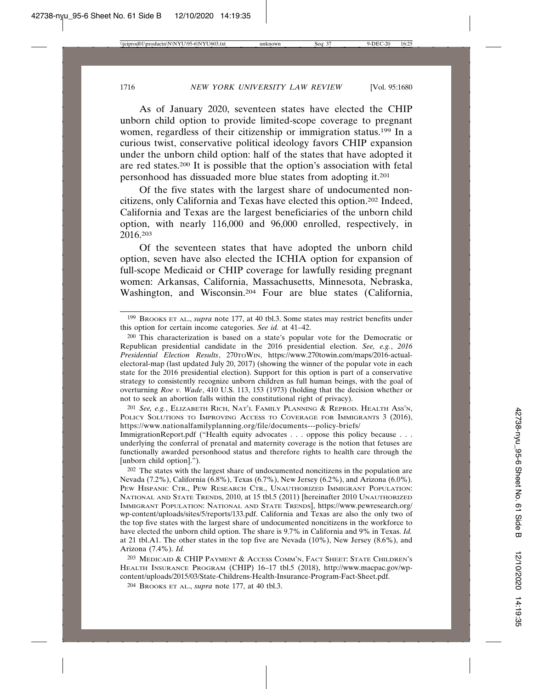As of January 2020, seventeen states have elected the CHIP unborn child option to provide limited-scope coverage to pregnant women, regardless of their citizenship or immigration status.199 In a curious twist, conservative political ideology favors CHIP expansion under the unborn child option: half of the states that have adopted it are red states.200 It is possible that the option's association with fetal personhood has dissuaded more blue states from adopting it.201

Of the five states with the largest share of undocumented noncitizens, only California and Texas have elected this option.202 Indeed, California and Texas are the largest beneficiaries of the unborn child option, with nearly 116,000 and 96,000 enrolled, respectively, in 2016.203

Of the seventeen states that have adopted the unborn child option, seven have also elected the ICHIA option for expansion of full-scope Medicaid or CHIP coverage for lawfully residing pregnant women: Arkansas, California, Massachusetts, Minnesota, Nebraska, Washington, and Wisconsin.204 Four are blue states (California,

201 *See, e.g.*, ELIZABETH RICH, NAT'L FAMILY PLANNING & REPROD. HEALTH ASS'N, POLICY SOLUTIONS TO IMPROVING ACCESS TO COVERAGE FOR IMMIGRANTS 3 (2016), https://www.nationalfamilyplanning.org/file/documents---policy-briefs/

ImmigrationReport.pdf ("Health equity advocates . . . oppose this policy because . . . underlying the conferral of prenatal and maternity coverage is the notion that fetuses are functionally awarded personhood status and therefore rights to health care through the [unborn child option].").

202 The states with the largest share of undocumented noncitizens in the population are Nevada (7.2%), California (6.8%), Texas (6.7%), New Jersey (6.2%), and Arizona (6.0%). PEW HISPANIC CTR., PEW RESEARCH CTR., UNAUTHORIZED IMMIGRANT POPULATION: NATIONAL AND STATE TRENDS, 2010, at 15 tbl.5 (2011) [hereinafter 2010 UNAUTHORIZED IMMIGRANT POPULATION: NATIONAL AND STATE TRENDS], https://www.pewresearch.org/ wp-content/uploads/sites/5/reports/133.pdf. California and Texas are also the only two of the top five states with the largest share of undocumented noncitizens in the workforce to have elected the unborn child option. The share is 9.7% in California and 9% in Texas. *Id.* at 21 tbl.A1. The other states in the top five are Nevada (10%), New Jersey (8.6%), and Arizona (7.4%). *Id.*

203 MEDICAID & CHIP PAYMENT & ACCESS COMM'N, FACT SHEET: STATE CHILDREN'S HEALTH INSURANCE PROGRAM (CHIP) 16–17 tbl.5 (2018), http://www.macpac.gov/wpcontent/uploads/2015/03/State-Childrens-Health-Insurance-Program-Fact-Sheet.pdf.

204 BROOKS ET AL., *supra* note 177, at 40 tbl.3.

<sup>199</sup> BROOKS ET AL., *supra* note 177, at 40 tbl.3. Some states may restrict benefits under this option for certain income categories. *See id.* at 41–42.

<sup>200</sup> This characterization is based on a state's popular vote for the Democratic or Republican presidential candidate in the 2016 presidential election. *See, e.g.*, *2016 Presidential Election Results*, 270TOWIN, https://www.270towin.com/maps/2016-actualelectoral-map (last updated July 20, 2017) (showing the winner of the popular vote in each state for the 2016 presidential election). Support for this option is part of a conservative strategy to consistently recognize unborn children as full human beings, with the goal of overturning *Roe v. Wade*, 410 U.S. 113, 153 (1973) (holding that the decision whether or not to seek an abortion falls within the constitutional right of privacy).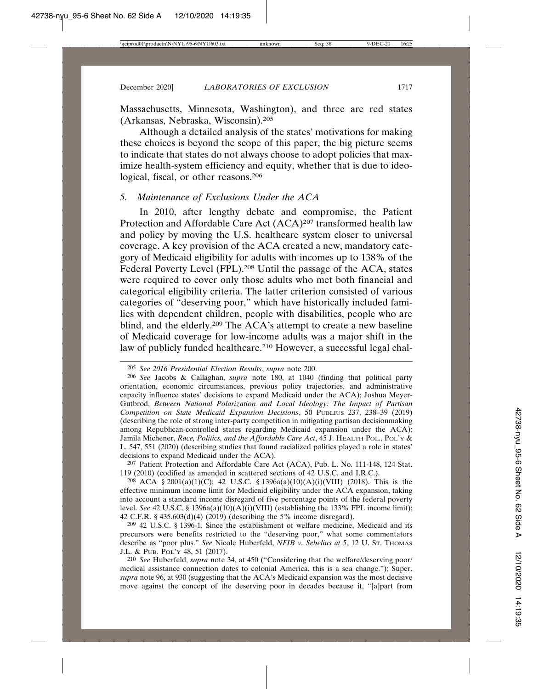Massachusetts, Minnesota, Washington), and three are red states (Arkansas, Nebraska, Wisconsin).205

Although a detailed analysis of the states' motivations for making these choices is beyond the scope of this paper, the big picture seems to indicate that states do not always choose to adopt policies that maximize health-system efficiency and equity, whether that is due to ideological, fiscal, or other reasons.206

### *5. Maintenance of Exclusions Under the ACA*

In 2010, after lengthy debate and compromise, the Patient Protection and Affordable Care Act (ACA)<sup>207</sup> transformed health law and policy by moving the U.S. healthcare system closer to universal coverage. A key provision of the ACA created a new, mandatory category of Medicaid eligibility for adults with incomes up to 138% of the Federal Poverty Level (FPL).<sup>208</sup> Until the passage of the ACA, states were required to cover only those adults who met both financial and categorical eligibility criteria. The latter criterion consisted of various categories of "deserving poor," which have historically included families with dependent children, people with disabilities, people who are blind, and the elderly.<sup>209</sup> The ACA's attempt to create a new baseline of Medicaid coverage for low-income adults was a major shift in the law of publicly funded healthcare.<sup>210</sup> However, a successful legal chal-

208 ACA § 2001(a)(1)(C); 42 U.S.C. § 1396a(a)(10)(A)(i)(VIII) (2018). This is the effective minimum income limit for Medicaid eligibility under the ACA expansion, taking into account a standard income disregard of five percentage points of the federal poverty level. *See* 42 U.S.C. § 1396a(a)(10)(A)(i)(VIII) (establishing the 133% FPL income limit); 42 C.F.R. § 435.603(d)(4) (2019) (describing the 5% income disregard).

209 42 U.S.C. § 1396-1. Since the establishment of welfare medicine, Medicaid and its precursors were benefits restricted to the "deserving poor," what some commentators describe as "poor plus." *See* Nicole Huberfeld, *NFIB v. Sebelius at 5*, 12 U. ST. THOMAS J.L. & PUB. POL'Y 48, 51 (2017).

210 *See* Huberfeld, *supra* note 34, at 450 ("Considering that the welfare/deserving poor/ medical assistance connection dates to colonial America, this is a sea change."); Super, *supra* note 96, at 930 (suggesting that the ACA's Medicaid expansion was the most decisive move against the concept of the deserving poor in decades because it, "[a]part from

<sup>205</sup> *See 2016 Presidential Election Results*, *supra* note 200.

<sup>206</sup> *See* Jacobs & Callaghan, *supra* note 180, at 1040 (finding that political party orientation, economic circumstances, previous policy trajectories, and administrative capacity influence states' decisions to expand Medicaid under the ACA); Joshua Meyer-Gutbrod, *Between National Polarization and Local Ideology: The Impact of Partisan Competition on State Medicaid Expansion Decisions*, 50 PUBLIUS 237, 238–39 (2019) (describing the role of strong inter-party competition in mitigating partisan decisionmaking among Republican-controlled states regarding Medicaid expansion under the ACA); Jamila Michener, *Race, Politics, and the Affordable Care Act*, 45 J. HEALTH POL., POL'Y & L. 547, 551 (2020) (describing studies that found racialized politics played a role in states' decisions to expand Medicaid under the ACA).

<sup>207</sup> Patient Protection and Affordable Care Act (ACA), Pub. L. No. 111-148, 124 Stat. 119 (2010) (codified as amended in scattered sections of 42 U.S.C. and I.R.C.).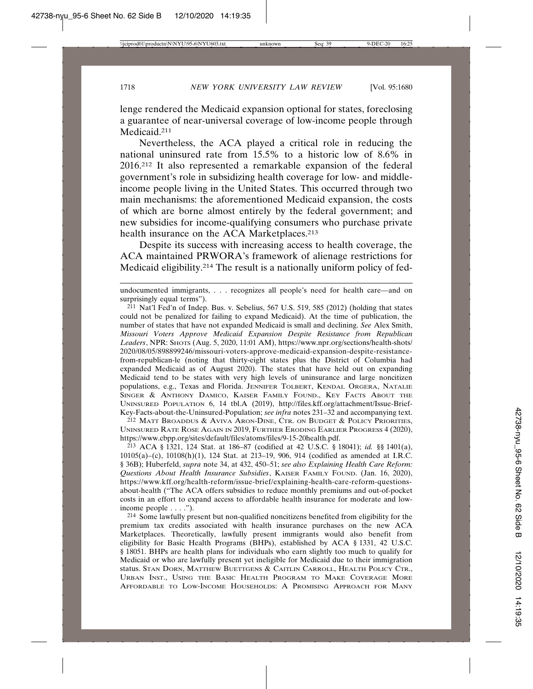lenge rendered the Medicaid expansion optional for states, foreclosing a guarantee of near-universal coverage of low-income people through Medicaid.<sup>211</sup>

Nevertheless, the ACA played a critical role in reducing the national uninsured rate from 15.5% to a historic low of 8.6% in 2016.212 It also represented a remarkable expansion of the federal government's role in subsidizing health coverage for low- and middleincome people living in the United States. This occurred through two main mechanisms: the aforementioned Medicaid expansion, the costs of which are borne almost entirely by the federal government; and new subsidies for income-qualifying consumers who purchase private health insurance on the ACA Marketplaces.<sup>213</sup>

Despite its success with increasing access to health coverage, the ACA maintained PRWORA's framework of alienage restrictions for Medicaid eligibility.214 The result is a nationally uniform policy of fed-

 $2^{11}$  Nat'l Fed'n of Indep. Bus. v. Sebelius, 567 U.S. 519, 585 (2012) (holding that states could not be penalized for failing to expand Medicaid). At the time of publication, the number of states that have not expanded Medicaid is small and declining. *See* Alex Smith, *Missouri Voters Approve Medicaid Expansion Despite Resistance from Republican* Leaders, NPR: SHOTS (Aug. 5, 2020, 11:01 AM), https://www.npr.org/sections/health-shots/ 2020/08/05/898899246/missouri-voters-approve-medicaid-expansion-despite-resistancefrom-republican-le (noting that thirty-eight states plus the District of Columbia had expanded Medicaid as of August 2020). The states that have held out on expanding Medicaid tend to be states with very high levels of uninsurance and large noncitizen populations, e.g., Texas and Florida. JENNIFER TOLBERT, KENDAL ORGERA, NATALIE SINGER & ANTHONY DAMICO, KAISER FAMILY FOUND., KEY FACTS ABOUT THE UNINSURED POPULATION 6, 14 tbl.A (2019), http://files.kff.org/attachment/Issue-Brief-Key-Facts-about-the-Uninsured-Population; *see infra* notes 231–32 and accompanying text.

212 MATT BROADDUS & AVIVA ARON-DINE, CTR. ON BUDGET & POLICY PRIORITIES, UNINSURED RATE ROSE AGAIN IN 2019, FURTHER ERODING EARLIER PROGRESS 4 (2020), https://www.cbpp.org/sites/default/files/atoms/files/9-15-20health.pdf.

213 ACA § 1321, 124 Stat. at 186–87 (codified at 42 U.S.C. § 18041); *id.* §§ 1401(a), 10105(a)–(c), 10108(h)(1), 124 Stat. at 213–19, 906, 914 (codified as amended at I.R.C. § 36B); Huberfeld, *supra* note 34, at 432, 450–51; *see also Explaining Health Care Reform: Questions About Health Insurance Subsidies*, KAISER FAMILY FOUND. (Jan. 16, 2020), https://www.kff.org/health-reform/issue-brief/explaining-health-care-reform-questionsabout-health ("The ACA offers subsidies to reduce monthly premiums and out-of-pocket costs in an effort to expand access to affordable health insurance for moderate and lowincome people . . . .").

214 Some lawfully present but non-qualified noncitizens benefited from eligibility for the premium tax credits associated with health insurance purchases on the new ACA Marketplaces. Theoretically, lawfully present immigrants would also benefit from eligibility for Basic Health Programs (BHPs), established by ACA § 1331, 42 U.S.C. § 18051. BHPs are health plans for individuals who earn slightly too much to qualify for Medicaid or who are lawfully present yet ineligible for Medicaid due to their immigration status. STAN DORN, MATTHEW BUETTGENS & CAITLIN CARROLL, HEALTH POLICY CTR., URBAN INST., USING THE BASIC HEALTH PROGRAM TO MAKE COVERAGE MORE AFFORDABLE TO LOW-INCOME HOUSEHOLDS: A PROMISING APPROACH FOR MANY

undocumented immigrants, . . . recognizes all people's need for health care—and on surprisingly equal terms").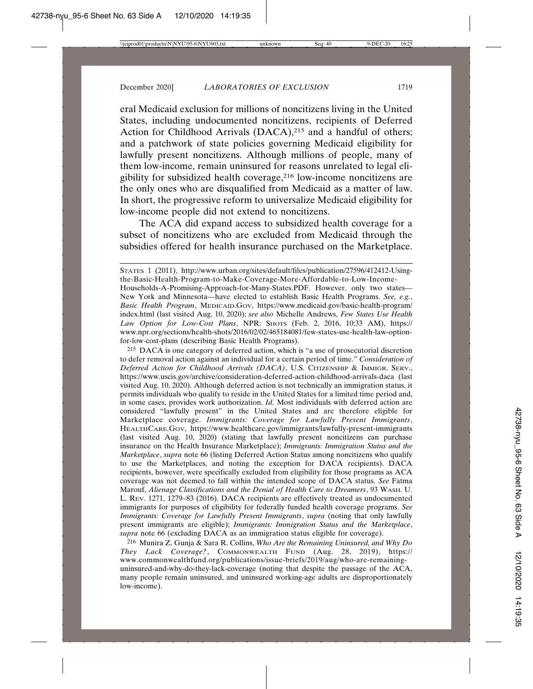eral Medicaid exclusion for millions of noncitizens living in the United States, including undocumented noncitizens, recipients of Deferred Action for Childhood Arrivals (DACA),<sup>215</sup> and a handful of others; and a patchwork of state policies governing Medicaid eligibility for lawfully present noncitizens. Although millions of people, many of them low-income, remain uninsured for reasons unrelated to legal eligibility for subsidized health coverage,216 low-income noncitizens are the only ones who are disqualified from Medicaid as a matter of law. In short, the progressive reform to universalize Medicaid eligibility for low-income people did not extend to noncitizens.

The ACA did expand access to subsidized health coverage for a subset of noncitizens who are excluded from Medicaid through the subsidies offered for health insurance purchased on the Marketplace.

215 DACA is one category of deferred action, which is "a use of prosecutorial discretion to defer removal action against an individual for a certain period of time." *Consideration of Deferred Action for Childhood Arrivals (DACA)*, U.S. CITIZENSHIP & IMMIGR. SERV., https://www.uscis.gov/archive/consideration-deferred-action-childhood-arrivals-daca (last visited Aug. 10, 2020). Although deferred action is not technically an immigration status, it permits individuals who qualify to reside in the United States for a limited time period and, in some cases, provides work authorization. *Id.* Most individuals with deferred action are considered "lawfully present" in the United States and are therefore eligible for Marketplace coverage. *Immigrants: Coverage for Lawfully Present Immigrants*, HEALTHCARE.GOV, https://www.healthcare.gov/immigrants/lawfully-present-immigrants (last visited Aug. 10, 2020) (stating that lawfully present noncitizens can purchase insurance on the Health Insurance Marketplace); *Immigrants: Immigration Status and the Marketplace*, *supra* note 66 (listing Deferred Action Status among noncitizens who qualify to use the Marketplaces, and noting the exception for DACA recipients). DACA recipients, however, were specifically excluded from eligibility for those programs as ACA coverage was not deemed to fall within the intended scope of DACA status. *See* Fatma Marouf, *Alienage Classifications and the Denial of Health Care to Dreamers*, 93 WASH. U. L. REV. 1271, 1279–83 (2016). DACA recipients are effectively treated as undocumented immigrants for purposes of eligibility for federally funded health coverage programs. *See Immigrants: Coverage for Lawfully Present Immigrants*, *supra* (noting that only lawfully present immigrants are eligible); *Immigrants: Immigration Status and the Marketplace*, *supra* note 66 (excluding DACA as an immigration status eligible for coverage).

216 Munira Z. Gunja & Sara R. Collins, *Who Are the Remaining Uninsured, and Why Do They Lack Coverage?*, COMMONWEALTH FUND (Aug. 28, 2019), https:// www.commonwealthfund.org/publications/issue-briefs/2019/aug/who-are-remaininguninsured-and-why-do-they-lack-coverage (noting that despite the passage of the ACA, many people remain uninsured, and uninsured working-age adults are disproportionately low-income).

STATES 1 (2011), http://www.urban.org/sites/default/files/publication/27596/412412-Usingthe-Basic-Health-Program-to-Make-Coverage-More-Affordable-to-Low-Income-Households-A-Promising-Approach-for-Many-States.PDF. However, only two states— New York and Minnesota—have elected to establish Basic Health Programs. *See, e.g.*, *Basic Health Program*, MEDICAID.GOV, https://www.medicaid.gov/basic-health-program/ index.html (last visited Aug. 10, 2020); *see also* Michelle Andrews, *Few States Use Health Law Option for Low-Cost Plans*, NPR: SHOTS (Feb. 2, 2016, 10:33 AM), https:// www.npr.org/sections/health-shots/2016/02/02/465184081/few-states-use-health-law-optionfor-low-cost-plans (describing Basic Health Programs).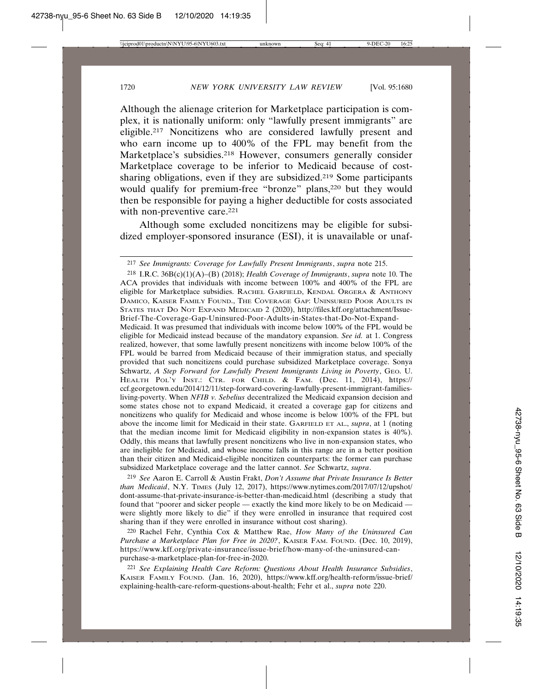Although the alienage criterion for Marketplace participation is complex, it is nationally uniform: only "lawfully present immigrants" are eligible.217 Noncitizens who are considered lawfully present and who earn income up to 400% of the FPL may benefit from the Marketplace's subsidies.218 However, consumers generally consider Marketplace coverage to be inferior to Medicaid because of costsharing obligations, even if they are subsidized.219 Some participants would qualify for premium-free "bronze" plans,<sup>220</sup> but they would then be responsible for paying a higher deductible for costs associated with non-preventive care.<sup>221</sup>

Although some excluded noncitizens may be eligible for subsidized employer-sponsored insurance (ESI), it is unavailable or unaf-

218 I.R.C. 36B(c)(1)(A)–(B) (2018); *Health Coverage of Immigrants*, *supra* note 10. The ACA provides that individuals with income between 100% and 400% of the FPL are eligible for Marketplace subsidies. RACHEL GARFIELD, KENDAL ORGERA & ANTHONY DAMICO, KAISER FAMILY FOUND., THE COVERAGE GAP: UNINSURED POOR ADULTS IN STATES THAT DO NOT EXPAND MEDICAID 2 (2020), http://files.kff.org/attachment/Issue-Brief-The-Coverage-Gap-Uninsured-Poor-Adults-in-States-that-Do-Not-Expand-

Medicaid. It was presumed that individuals with income below 100% of the FPL would be eligible for Medicaid instead because of the mandatory expansion. *See id.* at 1. Congress realized, however, that some lawfully present noncitizens with income below 100% of the FPL would be barred from Medicaid because of their immigration status, and specially provided that such noncitizens could purchase subsidized Marketplace coverage. Sonya Schwartz, *A Step Forward for Lawfully Present Immigrants Living in Poverty*, GEO. U. HEALTH POL'Y INST.: CTR. FOR CHILD. & FAM. (Dec. 11, 2014), https:// ccf.georgetown.edu/2014/12/11/step-forward-covering-lawfully-present-immigrant-familiesliving-poverty. When *NFIB v. Sebelius* decentralized the Medicaid expansion decision and some states chose not to expand Medicaid, it created a coverage gap for citizens and noncitizens who qualify for Medicaid and whose income is below 100% of the FPL but above the income limit for Medicaid in their state. GARFIELD ET AL., *supra*, at 1 (noting that the median income limit for Medicaid eligibility in non-expansion states is 40%). Oddly, this means that lawfully present noncitizens who live in non-expansion states, who are ineligible for Medicaid, and whose income falls in this range are in a better position than their citizen and Medicaid-eligible noncitizen counterparts: the former can purchase subsidized Marketplace coverage and the latter cannot. *See* Schwartz, *supra*.

219 *See* Aaron E. Carroll & Austin Frakt, *Don't Assume that Private Insurance Is Better than Medicaid*, N.Y. TIMES (July 12, 2017), https://www.nytimes.com/2017/07/12/upshot/ dont-assume-that-private-insurance-is-better-than-medicaid.html (describing a study that found that "poorer and sicker people — exactly the kind more likely to be on Medicaid were slightly more likely to die" if they were enrolled in insurance that required cost sharing than if they were enrolled in insurance without cost sharing).

220 Rachel Fehr, Cynthia Cox & Matthew Rae, *How Many of the Uninsured Can Purchase a Marketplace Plan for Free in 2020?*, KAISER FAM. FOUND. (Dec. 10, 2019), https://www.kff.org/private-insurance/issue-brief/how-many-of-the-uninsured-canpurchase-a-marketplace-plan-for-free-in-2020.

221 *See Explaining Health Care Reform: Questions About Health Insurance Subsidies*, KAISER FAMILY FOUND. (Jan. 16, 2020), https://www.kff.org/health-reform/issue-brief/ explaining-health-care-reform-questions-about-health; Fehr et al., *supra* note 220.

<sup>217</sup> *See Immigrants: Coverage for Lawfully Present Immigrants*, *supra* note 215.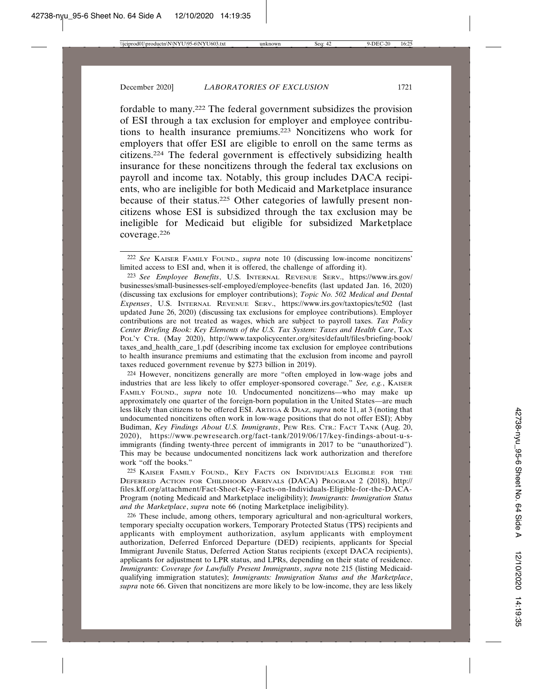fordable to many.222 The federal government subsidizes the provision of ESI through a tax exclusion for employer and employee contributions to health insurance premiums.223 Noncitizens who work for employers that offer ESI are eligible to enroll on the same terms as citizens.224 The federal government is effectively subsidizing health insurance for these noncitizens through the federal tax exclusions on payroll and income tax. Notably, this group includes DACA recipients, who are ineligible for both Medicaid and Marketplace insurance because of their status.225 Other categories of lawfully present noncitizens whose ESI is subsidized through the tax exclusion may be ineligible for Medicaid but eligible for subsidized Marketplace coverage.226

224 However, noncitizens generally are more "often employed in low-wage jobs and industries that are less likely to offer employer-sponsored coverage." *See, e.g.*, KAISER FAMILY FOUND., *supra* note 10. Undocumented noncitizens—who may make up approximately one quarter of the foreign-born population in the United States—are much less likely than citizens to be offered ESI. ARTIGA & DIAZ, *supra* note 11, at 3 (noting that undocumented noncitizens often work in low-wage positions that do not offer ESI); Abby Budiman, *Key Findings About U.S. Immigrants*, PEW RES. CTR.: FACT TANK (Aug. 20, 2020), https://www.pewresearch.org/fact-tank/2019/06/17/key-findings-about-u-simmigrants (finding twenty-three percent of immigrants in 2017 to be "unauthorized"). This may be because undocumented noncitizens lack work authorization and therefore work "off the books."

225 KAISER FAMILY FOUND., KEY FACTS ON INDIVIDUALS ELIGIBLE FOR THE DEFERRED ACTION FOR CHILDHOOD ARRIVALS (DACA) PROGRAM 2 (2018), http:// files.kff.org/attachment/Fact-Sheet-Key-Facts-on-Individuals-Eligible-for-the-DACA-Program (noting Medicaid and Marketplace ineligibility); *Immigrants: Immigration Status and the Marketplace*, *supra* note 66 (noting Marketplace ineligibility).

226 These include, among others, temporary agricultural and non-agricultural workers, temporary specialty occupation workers, Temporary Protected Status (TPS) recipients and applicants with employment authorization, asylum applicants with employment authorization, Deferred Enforced Departure (DED) recipients, applicants for Special Immigrant Juvenile Status, Deferred Action Status recipients (except DACA recipients), applicants for adjustment to LPR status, and LPRs, depending on their state of residence. *Immigrants: Coverage for Lawfully Present Immigrants*, *supra* note 215 (listing Medicaidqualifying immigration statutes); *Immigrants: Immigration Status and the Marketplace*, *supra* note 66. Given that noncitizens are more likely to be low-income, they are less likely

<sup>222</sup> *See* KAISER FAMILY FOUND., *supra* note 10 (discussing low-income noncitizens' limited access to ESI and, when it is offered, the challenge of affording it).

<sup>223</sup> *See Employee Benefits*, U.S. INTERNAL REVENUE SERV., https://www.irs.gov/ businesses/small-businesses-self-employed/employee-benefits (last updated Jan. 16, 2020) (discussing tax exclusions for employer contributions); *Topic No. 502 Medical and Dental Expenses*, U.S. INTERNAL REVENUE SERV., https://www.irs.gov/taxtopics/tc502 (last updated June 26, 2020) (discussing tax exclusions for employee contributions). Employer contributions are not treated as wages, which are subject to payroll taxes. *Tax Policy Center Briefing Book: Key Elements of the U.S. Tax System: Taxes and Health Care*, TAX POL'Y CTR. (May 2020), http://www.taxpolicycenter.org/sites/default/files/briefing-book/ taxes\_and\_health\_care\_1.pdf (describing income tax exclusion for employee contributions to health insurance premiums and estimating that the exclusion from income and payroll taxes reduced government revenue by \$273 billion in 2019).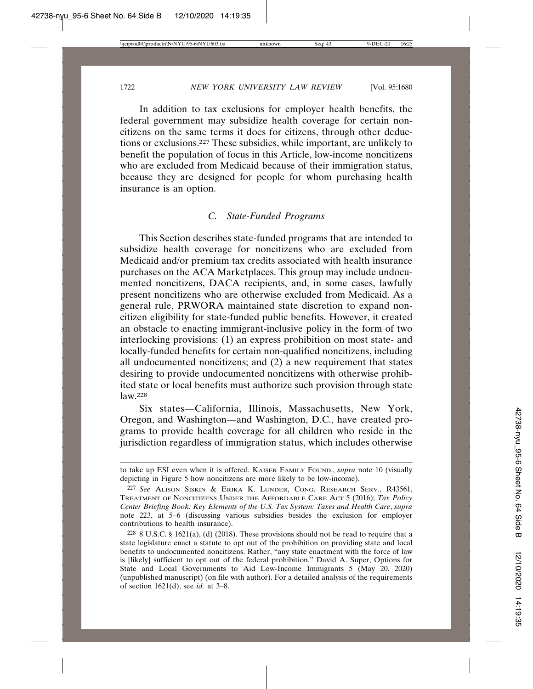In addition to tax exclusions for employer health benefits, the federal government may subsidize health coverage for certain noncitizens on the same terms it does for citizens, through other deductions or exclusions.227 These subsidies, while important, are unlikely to benefit the population of focus in this Article, low-income noncitizens who are excluded from Medicaid because of their immigration status, because they are designed for people for whom purchasing health insurance is an option.

# *C. State-Funded Programs*

This Section describes state-funded programs that are intended to subsidize health coverage for noncitizens who are excluded from Medicaid and/or premium tax credits associated with health insurance purchases on the ACA Marketplaces. This group may include undocumented noncitizens, DACA recipients, and, in some cases, lawfully present noncitizens who are otherwise excluded from Medicaid. As a general rule, PRWORA maintained state discretion to expand noncitizen eligibility for state-funded public benefits. However, it created an obstacle to enacting immigrant-inclusive policy in the form of two interlocking provisions: (1) an express prohibition on most state- and locally-funded benefits for certain non-qualified noncitizens, including all undocumented noncitizens; and (2) a new requirement that states desiring to provide undocumented noncitizens with otherwise prohibited state or local benefits must authorize such provision through state law.228

Six states—California, Illinois, Massachusetts, New York, Oregon, and Washington—and Washington, D.C., have created programs to provide health coverage for all children who reside in the jurisdiction regardless of immigration status, which includes otherwise

to take up ESI even when it is offered. KAISER FAMILY FOUND., *supra* note 10 (visually depicting in Figure 5 how noncitizens are more likely to be low-income).

<sup>227</sup> *See* ALISON SISKIN & ERIKA K. LUNDER, CONG. RESEARCH SERV., R43561, TREATMENT OF NONCITIZENS UNDER THE AFFORDABLE CARE ACT 5 (2016); *Tax Policy Center Briefing Book: Key Elements of the U.S. Tax System: Taxes and Health Care*, *supra* note 223, at 5–6 (discussing various subsidies besides the exclusion for employer contributions to health insurance).

<sup>228</sup> 8 U.S.C. § 1621(a), (d) (2018). These provisions should not be read to require that a state legislature enact a statute to opt out of the prohibition on providing state and local benefits to undocumented noncitizens. Rather, "any state enactment with the force of law is [likely] sufficient to opt out of the federal prohibition." David A. Super, Options for State and Local Governments to Aid Low-Income Immigrants 5 (May 20, 2020) (unpublished manuscript) (on file with author). For a detailed analysis of the requirements of section 1621(d), see *id.* at 3–8.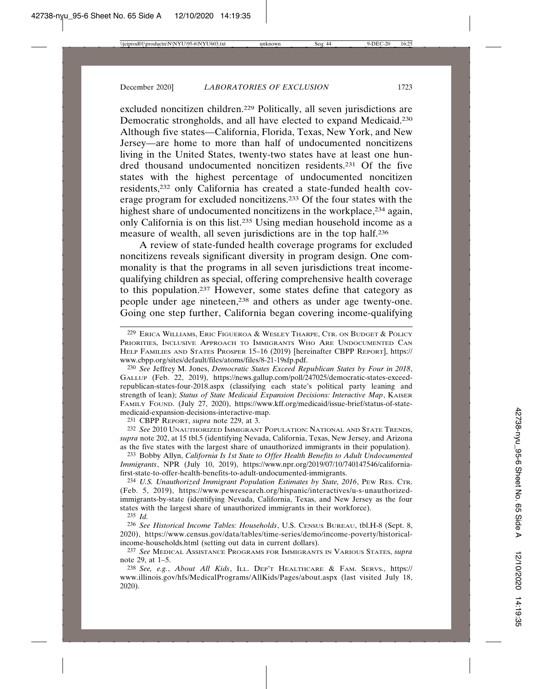excluded noncitizen children.229 Politically, all seven jurisdictions are Democratic strongholds, and all have elected to expand Medicaid.230 Although five states—California, Florida, Texas, New York, and New Jersey—are home to more than half of undocumented noncitizens living in the United States, twenty-two states have at least one hundred thousand undocumented noncitizen residents.231 Of the five states with the highest percentage of undocumented noncitizen residents,232 only California has created a state-funded health coverage program for excluded noncitizens.233 Of the four states with the highest share of undocumented noncitizens in the workplace,<sup>234</sup> again, only California is on this list.235 Using median household income as a measure of wealth, all seven jurisdictions are in the top half.236

A review of state-funded health coverage programs for excluded noncitizens reveals significant diversity in program design. One commonality is that the programs in all seven jurisdictions treat incomequalifying children as special, offering comprehensive health coverage to this population.237 However, some states define that category as people under age nineteen,238 and others as under age twenty-one. Going one step further, California began covering income-qualifying

230 *See* Jeffrey M. Jones, *Democratic States Exceed Republican States by Four in 2018*, GALLUP (Feb. 22, 2019), https://news.gallup.com/poll/247025/democratic-states-exceedrepublican-states-four-2018.aspx (classifying each state's political party leaning and strength of lean); *Status of State Medicaid Expansion Decisions: Interactive Map*, KAISER FAMILY FOUND. (July 27, 2020), https://www.kff.org/medicaid/issue-brief/status-of-statemedicaid-expansion-decisions-interactive-map.

231 CBPP REPORT, *supra* note 229, at 3.

232 *See* 2010 UNAUTHORIZED IMMIGRANT POPULATION: NATIONAL AND STATE TRENDS, *supra* note 202, at 15 tbl.5 (identifying Nevada, California, Texas, New Jersey, and Arizona as the five states with the largest share of unauthorized immigrants in their population).

233 Bobby Allyn, *California Is 1st State to Offer Health Benefits to Adult Undocumented Immigrants*, NPR (July 10, 2019), https://www.npr.org/2019/07/10/740147546/californiafirst-state-to-offer-health-benefits-to-adult-undocumented-immigrants.

234 *U.S. Unauthorized Immigrant Population Estimates by State, 2016*, PEW RES. CTR. (Feb. 5, 2019), https://www.pewresearch.org/hispanic/interactives/u-s-unauthorizedimmigrants-by-state (identifying Nevada, California, Texas, and New Jersey as the four states with the largest share of unauthorized immigrants in their workforce).

235 *Id.*

236 *See Historical Income Tables: Households*, U.S. CENSUS BUREAU, tbl.H-8 (Sept. 8, 2020), https://www.census.gov/data/tables/time-series/demo/income-poverty/historicalincome-households.html (setting out data in current dollars).

237 *See* MEDICAL ASSISTANCE PROGRAMS FOR IMMIGRANTS IN VARIOUS STATES, *supra* note 29, at 1–5.

238 *See, e.g.*, *About All Kids*, ILL. DEP'T HEALTHCARE & FAM. SERVS., https:// www.illinois.gov/hfs/MedicalPrograms/AllKids/Pages/about.aspx (last visited July 18, 2020).

<sup>229</sup> ERICA WILLIAMS, ERIC FIGUEROA & WESLEY THARPE, CTR. ON BUDGET & POLICY PRIORITIES, INCLUSIVE APPROACH TO IMMIGRANTS WHO ARE UNDOCUMENTED CAN HELP FAMILIES AND STATES PROSPER 15–16 (2019) [hereinafter CBPP REPORT], https:// www.cbpp.org/sites/default/files/atoms/files/8-21-19sfp.pdf.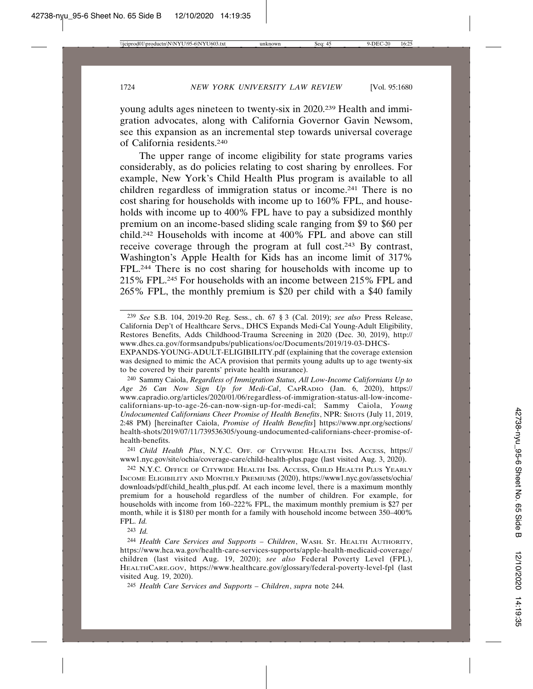young adults ages nineteen to twenty-six in 2020.239 Health and immigration advocates, along with California Governor Gavin Newsom, see this expansion as an incremental step towards universal coverage of California residents.240

The upper range of income eligibility for state programs varies considerably, as do policies relating to cost sharing by enrollees. For example, New York's Child Health Plus program is available to all children regardless of immigration status or income.241 There is no cost sharing for households with income up to 160% FPL, and households with income up to 400% FPL have to pay a subsidized monthly premium on an income-based sliding scale ranging from \$9 to \$60 per child.242 Households with income at 400% FPL and above can still receive coverage through the program at full cost.243 By contrast, Washington's Apple Health for Kids has an income limit of 317% FPL.244 There is no cost sharing for households with income up to 215% FPL.245 For households with an income between 215% FPL and 265% FPL, the monthly premium is \$20 per child with a \$40 family

239 *See* S.B. 104, 2019-20 Reg. Sess., ch. 67 § 3 (Cal. 2019); *see also* Press Release, California Dep't of Healthcare Servs., DHCS Expands Medi-Cal Young-Adult Eligibility, Restores Benefits, Adds Childhood-Trauma Screening in 2020 (Dec. 30, 2019), http:// www.dhcs.ca.gov/formsandpubs/publications/oc/Documents/2019/19-03-DHCS-

EXPANDS-YOUNG-ADULT-ELIGIBILITY.pdf (explaining that the coverage extension was designed to mimic the ACA provision that permits young adults up to age twenty-six to be covered by their parents' private health insurance).

240 Sammy Caiola, *Regardless of Immigration Status, All Low-Income Californians Up to Age 26 Can Now Sign Up for Medi-Cal*, CAPRADIO (Jan. 6, 2020), https:// www.capradio.org/articles/2020/01/06/regardless-of-immigration-status-all-low-incomecalifornians-up-to-age-26-can-now-sign-up-for-medi-cal; Sammy Caiola, *Young Undocumented Californians Cheer Promise of Health Benefits*, NPR: SHOTS (July 11, 2019, 2:48 PM) [hereinafter Caiola, *Promise of Health Benefits*] https://www.npr.org/sections/ health-shots/2019/07/11/739536305/young-undocumented-californians-cheer-promise-ofhealth-benefits.

241 *Child Health Plus*, N.Y.C. OFF. OF CITYWIDE HEALTH INS. ACCESS, https:// www1.nyc.gov/site/ochia/coverage-care/child-health-plus.page (last visited Aug. 3, 2020).

242 N.Y.C. OFFICE OF CITYWIDE HEALTH INS. ACCESS, CHILD HEALTH PLUS YEARLY INCOME ELIGIBILITY AND MONTHLY PREMIUMS (2020), https://www1.nyc.gov/assets/ochia/ downloads/pdf/child\_health\_plus.pdf. At each income level, there is a maximum monthly premium for a household regardless of the number of children. For example, for households with income from 160–222% FPL, the maximum monthly premium is \$27 per month, while it is \$180 per month for a family with household income between 350–400% FPL. *Id.*

243 *Id.*

244 *Health Care Services and Supports – Children*, WASH. ST. HEALTH AUTHORITY, https://www.hca.wa.gov/health-care-services-supports/apple-health-medicaid-coverage/ children (last visited Aug. 19, 2020); *see also* Federal Poverty Level (FPL), HEALTHCARE.GOV, https://www.healthcare.gov/glossary/federal-poverty-level-fpl (last visited Aug. 19, 2020).

245 *Health Care Services and Supports – Children*, *supra* note 244*.*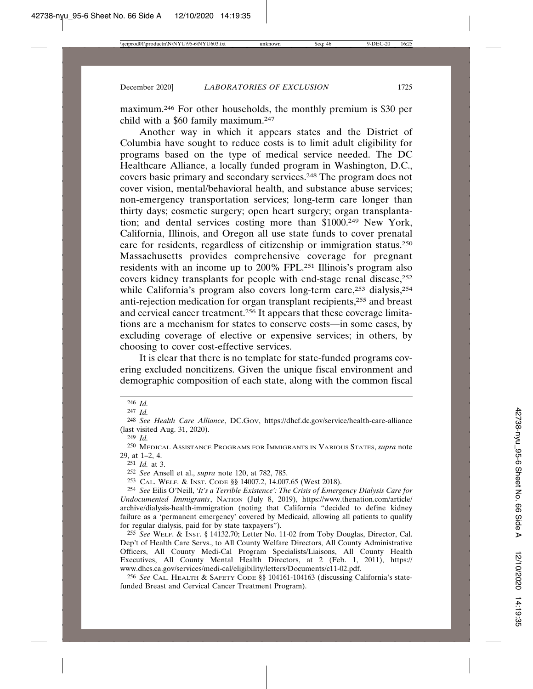maximum.246 For other households, the monthly premium is \$30 per child with a \$60 family maximum.247

Another way in which it appears states and the District of Columbia have sought to reduce costs is to limit adult eligibility for programs based on the type of medical service needed. The DC Healthcare Alliance, a locally funded program in Washington, D.C., covers basic primary and secondary services.248 The program does not cover vision, mental/behavioral health, and substance abuse services; non-emergency transportation services; long-term care longer than thirty days; cosmetic surgery; open heart surgery; organ transplantation; and dental services costing more than \$1000.249 New York, California, Illinois, and Oregon all use state funds to cover prenatal care for residents, regardless of citizenship or immigration status.250 Massachusetts provides comprehensive coverage for pregnant residents with an income up to 200% FPL.251 Illinois's program also covers kidney transplants for people with end-stage renal disease,<sup>252</sup> while California's program also covers long-term care,<sup>253</sup> dialysis,<sup>254</sup> anti-rejection medication for organ transplant recipients,255 and breast and cervical cancer treatment.256 It appears that these coverage limitations are a mechanism for states to conserve costs—in some cases, by excluding coverage of elective or expensive services; in others, by choosing to cover cost-effective services.

It is clear that there is no template for state-funded programs covering excluded noncitizens. Given the unique fiscal environment and demographic composition of each state, along with the common fiscal

252 *See* Ansell et al., *supra* note 120, at 782, 785.

253 CAL. WELF. & INST. CODE §§ 14007.2, 14.007.65 (West 2018).

254 *See* Eilis O'Neill, *'It's a Terrible Existence': The Crisis of Emergency Dialysis Care for Undocumented Immigrants*, NATION (July 8, 2019), https://www.thenation.com/article/ archive/dialysis-health-immigration (noting that California "decided to define kidney failure as a 'permanent emergency' covered by Medicaid, allowing all patients to qualify for regular dialysis, paid for by state taxpayers").

255 *See* WELF. & INST. § 14132.70; Letter No. 11-02 from Toby Douglas, Director, Cal. Dep't of Health Care Servs., to All County Welfare Directors, All County Administrative Officers, All County Medi-Cal Program Specialists/Liaisons, All County Health Executives, All County Mental Health Directors, at 2 (Feb. 1, 2011), https:// www.dhcs.ca.gov/services/medi-cal/eligibility/letters/Documents/c11-02.pdf.

256 *See* CAL. HEALTH & SAFETY CODE §§ 104161-104163 (discussing California's statefunded Breast and Cervical Cancer Treatment Program).

<sup>246</sup> *Id.*

<sup>247</sup> *Id.*

<sup>248</sup> *See Health Care Alliance*, DC.GOV, https://dhcf.dc.gov/service/health-care-alliance (last visited Aug. 31, 2020).

<sup>249</sup> *Id.*

<sup>250</sup> MEDICAL ASSISTANCE PROGRAMS FOR IMMIGRANTS IN VARIOUS STATES, *supra* note 29, at 1–2, 4.

<sup>251</sup> *Id.* at 3.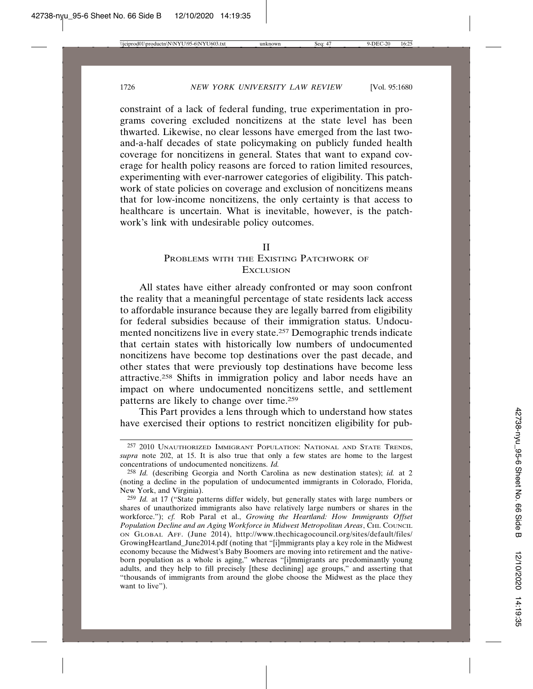constraint of a lack of federal funding, true experimentation in programs covering excluded noncitizens at the state level has been thwarted. Likewise, no clear lessons have emerged from the last twoand-a-half decades of state policymaking on publicly funded health coverage for noncitizens in general. States that want to expand coverage for health policy reasons are forced to ration limited resources, experimenting with ever-narrower categories of eligibility. This patchwork of state policies on coverage and exclusion of noncitizens means that for low-income noncitizens, the only certainty is that access to healthcare is uncertain. What is inevitable, however, is the patchwork's link with undesirable policy outcomes.

#### II

#### PROBLEMS WITH THE EXISTING PATCHWORK OF **EXCLUSION**

All states have either already confronted or may soon confront the reality that a meaningful percentage of state residents lack access to affordable insurance because they are legally barred from eligibility for federal subsidies because of their immigration status. Undocumented noncitizens live in every state.257 Demographic trends indicate that certain states with historically low numbers of undocumented noncitizens have become top destinations over the past decade, and other states that were previously top destinations have become less attractive.258 Shifts in immigration policy and labor needs have an impact on where undocumented noncitizens settle, and settlement patterns are likely to change over time.259

This Part provides a lens through which to understand how states have exercised their options to restrict noncitizen eligibility for pub-

<sup>257</sup> 2010 UNAUTHORIZED IMMIGRANT POPULATION: NATIONAL AND STATE TRENDS, *supra* note 202, at 15. It is also true that only a few states are home to the largest concentrations of undocumented noncitizens. *Id.*

<sup>258</sup> *Id.* (describing Georgia and North Carolina as new destination states); *id.* at 2 (noting a decline in the population of undocumented immigrants in Colorado, Florida, New York, and Virginia).

<sup>259</sup> *Id.* at 17 ("State patterns differ widely, but generally states with large numbers or shares of unauthorized immigrants also have relatively large numbers or shares in the workforce."); *cf.* Rob Paral et al., *Growing the Heartland: How Immigrants Offset* Population Decline and an Aging Workforce in Midwest Metropolitan Areas, CHI. COUNCIL ON GLOBAL AFF. (June 2014), http://www.thechicagocouncil.org/sites/default/files/ GrowingHeartland\_June2014.pdf (noting that "[i]mmigrants play a key role in the Midwest economy because the Midwest's Baby Boomers are moving into retirement and the nativeborn population as a whole is aging," whereas "[i]mmigrants are predominantly young adults, and they help to fill precisely [these declining] age groups," and asserting that "thousands of immigrants from around the globe choose the Midwest as the place they want to live").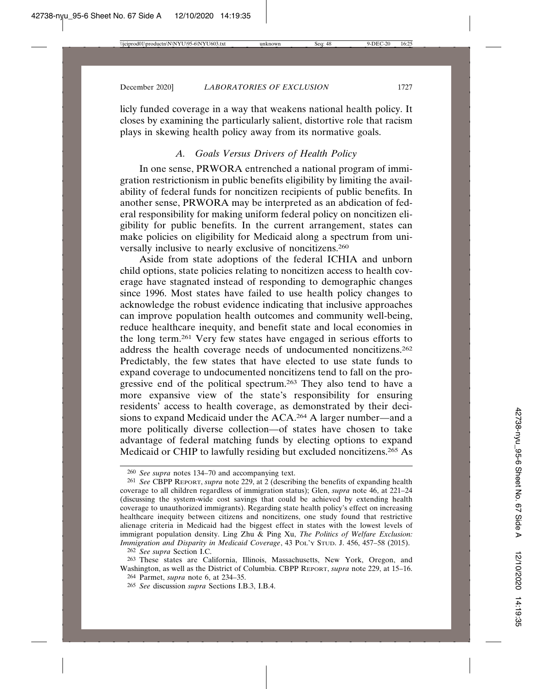licly funded coverage in a way that weakens national health policy. It closes by examining the particularly salient, distortive role that racism plays in skewing health policy away from its normative goals.

# *A. Goals Versus Drivers of Health Policy*

In one sense, PRWORA entrenched a national program of immigration restrictionism in public benefits eligibility by limiting the availability of federal funds for noncitizen recipients of public benefits. In another sense, PRWORA may be interpreted as an abdication of federal responsibility for making uniform federal policy on noncitizen eligibility for public benefits. In the current arrangement, states can make policies on eligibility for Medicaid along a spectrum from universally inclusive to nearly exclusive of noncitizens.260

Aside from state adoptions of the federal ICHIA and unborn child options, state policies relating to noncitizen access to health coverage have stagnated instead of responding to demographic changes since 1996. Most states have failed to use health policy changes to acknowledge the robust evidence indicating that inclusive approaches can improve population health outcomes and community well-being, reduce healthcare inequity, and benefit state and local economies in the long term.261 Very few states have engaged in serious efforts to address the health coverage needs of undocumented noncitizens.262 Predictably, the few states that have elected to use state funds to expand coverage to undocumented noncitizens tend to fall on the progressive end of the political spectrum.263 They also tend to have a more expansive view of the state's responsibility for ensuring residents' access to health coverage, as demonstrated by their decisions to expand Medicaid under the ACA.264 A larger number—and a more politically diverse collection—of states have chosen to take advantage of federal matching funds by electing options to expand Medicaid or CHIP to lawfully residing but excluded noncitizens.265 As

<sup>260</sup> *See supra* notes 134–70 and accompanying text.

<sup>261</sup> *See* CBPP REPORT, *supra* note 229, at 2 (describing the benefits of expanding health coverage to all children regardless of immigration status); Glen, *supra* note 46, at 221–24 (discussing the system-wide cost savings that could be achieved by extending health coverage to unauthorized immigrants). Regarding state health policy's effect on increasing healthcare inequity between citizens and noncitizens, one study found that restrictive alienage criteria in Medicaid had the biggest effect in states with the lowest levels of immigrant population density. Ling Zhu & Ping Xu, *The Politics of Welfare Exclusion: Immigration and Disparity in Medicaid Coverage*, 43 POL'Y STUD. J. 456, 457–58 (2015).

<sup>262</sup> *See supra* Section I.C.

<sup>263</sup> These states are California, Illinois, Massachusetts, New York, Oregon, and Washington, as well as the District of Columbia. CBPP REPORT, *supra* note 229, at 15–16. 264 Parmet, *supra* note 6, at 234–35.

<sup>265</sup> *See* discussion *supra* Sections I.B.3, I.B.4.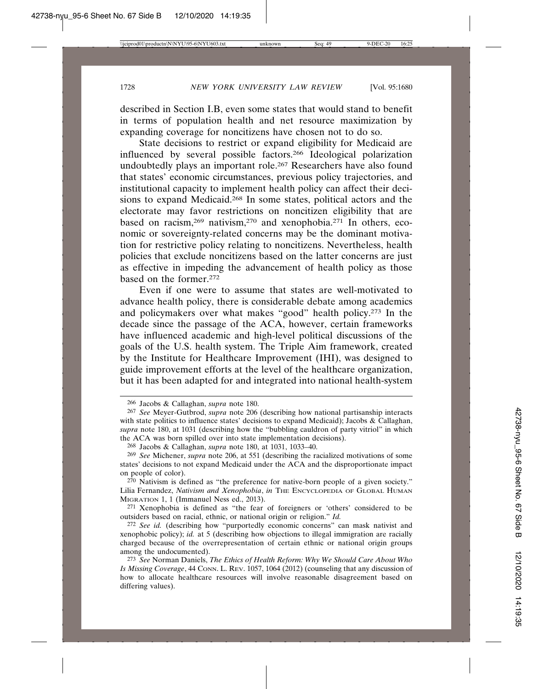described in Section I.B, even some states that would stand to benefit in terms of population health and net resource maximization by expanding coverage for noncitizens have chosen not to do so.

State decisions to restrict or expand eligibility for Medicaid are influenced by several possible factors.266 Ideological polarization undoubtedly plays an important role.267 Researchers have also found that states' economic circumstances, previous policy trajectories, and institutional capacity to implement health policy can affect their decisions to expand Medicaid.268 In some states, political actors and the electorate may favor restrictions on noncitizen eligibility that are based on racism,<sup>269</sup> nativism,<sup>270</sup> and xenophobia.<sup>271</sup> In others, economic or sovereignty-related concerns may be the dominant motivation for restrictive policy relating to noncitizens. Nevertheless, health policies that exclude noncitizens based on the latter concerns are just as effective in impeding the advancement of health policy as those based on the former.272

Even if one were to assume that states are well-motivated to advance health policy, there is considerable debate among academics and policymakers over what makes "good" health policy.273 In the decade since the passage of the ACA, however, certain frameworks have influenced academic and high-level political discussions of the goals of the U.S. health system. The Triple Aim framework, created by the Institute for Healthcare Improvement (IHI), was designed to guide improvement efforts at the level of the healthcare organization, but it has been adapted for and integrated into national health-system

<sup>266</sup> Jacobs & Callaghan, *supra* note 180.

<sup>267</sup> *See* Meyer-Gutbrod, *supra* note 206 (describing how national partisanship interacts with state politics to influence states' decisions to expand Medicaid); Jacobs & Callaghan, *supra* note 180, at 1031 (describing how the "bubbling cauldron of party vitriol" in which the ACA was born spilled over into state implementation decisions).

<sup>268</sup> Jacobs & Callaghan, *supra* note 180, at 1031, 1033–40.

<sup>269</sup> *See* Michener, *supra* note 206, at 551 (describing the racialized motivations of some states' decisions to not expand Medicaid under the ACA and the disproportionate impact on people of color).

<sup>270</sup> Nativism is defined as "the preference for native-born people of a given society." Lilia Fernandez, Nativism and Xenophobia, in THE ENCYCLOPEDIA OF GLOBAL HUMAN MIGRATION 1, 1 (Immanuel Ness ed., 2013).

<sup>271</sup> Xenophobia is defined as "the fear of foreigners or 'others' considered to be outsiders based on racial, ethnic, or national origin or religion." *Id.*

<sup>272</sup> *See id.* (describing how "purportedly economic concerns" can mask nativist and xenophobic policy); *id.* at 5 (describing how objections to illegal immigration are racially charged because of the overrepresentation of certain ethnic or national origin groups among the undocumented).

<sup>273</sup> *See* Norman Daniels, *The Ethics of Health Reform: Why We Should Care About Who Is Missing Coverage*, 44 CONN. L. REV. 1057, 1064 (2012) (counseling that any discussion of how to allocate healthcare resources will involve reasonable disagreement based on differing values).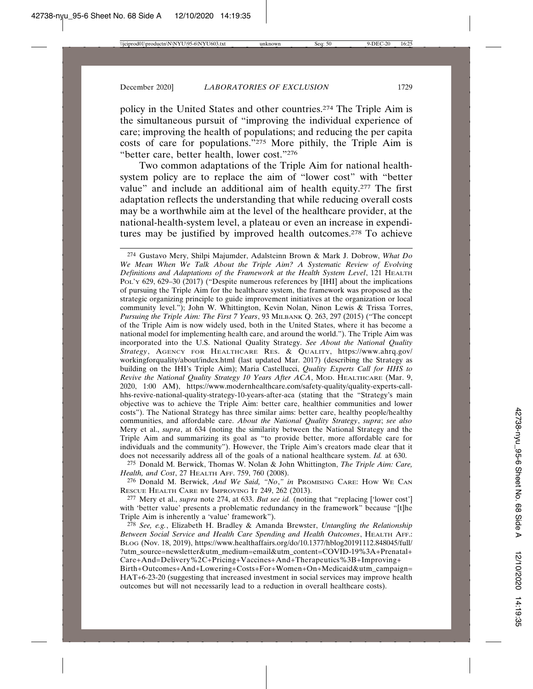policy in the United States and other countries.274 The Triple Aim is the simultaneous pursuit of "improving the individual experience of care; improving the health of populations; and reducing the per capita costs of care for populations."275 More pithily, the Triple Aim is "better care, better health, lower cost."276

Two common adaptations of the Triple Aim for national healthsystem policy are to replace the aim of "lower cost" with "better value" and include an additional aim of health equity.277 The first adaptation reflects the understanding that while reducing overall costs may be a worthwhile aim at the level of the healthcare provider, at the national-health-system level, a plateau or even an increase in expenditures may be justified by improved health outcomes.278 To achieve

274 Gustavo Mery, Shilpi Majumder, Adalsteinn Brown & Mark J. Dobrow, *What Do We Mean When We Talk About the Triple Aim? A Systematic Review of Evolving Definitions and Adaptations of the Framework at the Health System Level*, 121 HEALTH POL'Y 629, 629–30 (2017) ("Despite numerous references by [IHI] about the implications of pursuing the Triple Aim for the healthcare system, the framework was proposed as the strategic organizing principle to guide improvement initiatives at the organization or local community level."); John W. Whittington, Kevin Nolan, Ninon Lewis & Trissa Torres, *Pursuing the Triple Aim: The First 7 Years*, 93 MILBANK Q. 263, 297 (2015) ("The concept of the Triple Aim is now widely used, both in the United States, where it has become a national model for implementing health care, and around the world."). The Triple Aim was incorporated into the U.S. National Quality Strategy. *See About the National Quality Strategy*, AGENCY FOR HEALTHCARE RES. & QUALITY, https://www.ahrq.gov/ workingforquality/about/index.html (last updated Mar. 2017) (describing the Strategy as building on the IHI's Triple Aim); Maria Castellucci, *Quality Experts Call for HHS to Revive the National Quality Strategy 10 Years After ACA*, MOD. HEALTHCARE (Mar. 9, 2020, 1:00 AM), https://www.modernhealthcare.com/safety-quality/quality-experts-callhhs-revive-national-quality-strategy-10-years-after-aca (stating that the "Strategy's main objective was to achieve the Triple Aim: better care, healthier communities and lower costs"). The National Strategy has three similar aims: better care, healthy people/healthy communities, and affordable care. *About the National Quality Strategy*, *supra*; *see also* Mery et al., *supra*, at 634 (noting the similarity between the National Strategy and the Triple Aim and summarizing its goal as "to provide better, more affordable care for individuals and the community"). However, the Triple Aim's creators made clear that it does not necessarily address all of the goals of a national healthcare system. *Id.* at 630.

275 Donald M. Berwick, Thomas W. Nolan & John Whittington, *The Triple Aim: Care, Health, and Cost*, 27 HEALTH AFF. 759, 760 (2008).

276 Donald M. Berwick, *And We Said, "No*,*" in* PROMISING CARE: HOW WE CAN RESCUE HEALTH CARE BY IMPROVING IT 249, 262 (2013).

277 Mery et al., *supra* note 274, at 633. *But see id.* (noting that "replacing ['lower cost'] with 'better value' presents a problematic redundancy in the framework" because "[t]he Triple Aim is inherently a 'value' framework").

278 *See, e.g.*, Elizabeth H. Bradley & Amanda Brewster, *Untangling the Relationship Between Social Service and Health Care Spending and Health Outcomes*, HEALTH AFF.: BLOG (Nov. 18, 2019), https://www.healthaffairs.org/do/10.1377/hblog20191112.848045/full/ ?utm\_source=newsletter&utm\_medium=email&utm\_content=COVID-19%3A+Prenatal+ Care+And=Delivery%2C+Pricing+Vaccines+And+Therapeutics%3B+Improving+

Birth+Outcomes+And+Lowering+Costs+For+Women+On+Medicaid&utm\_campaign= HAT+6-23-20 (suggesting that increased investment in social services may improve health outcomes but will not necessarily lead to a reduction in overall healthcare costs).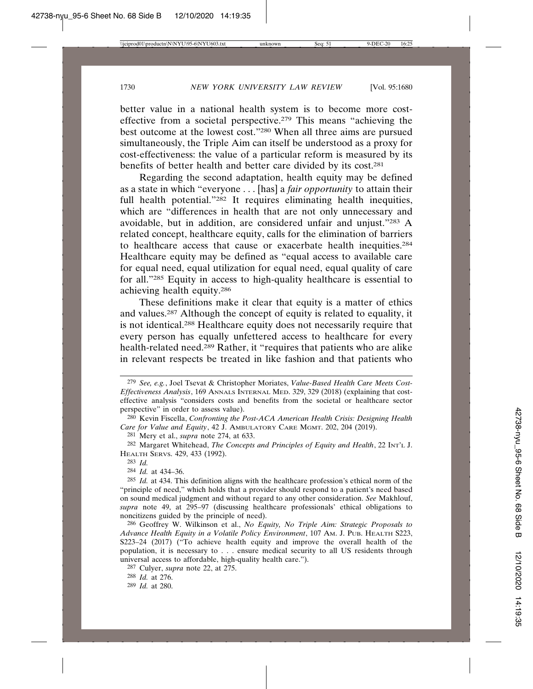better value in a national health system is to become more costeffective from a societal perspective.279 This means "achieving the best outcome at the lowest cost."280 When all three aims are pursued simultaneously, the Triple Aim can itself be understood as a proxy for cost-effectiveness: the value of a particular reform is measured by its benefits of better health and better care divided by its cost.281

Regarding the second adaptation, health equity may be defined as a state in which "everyone . . . [has] a *fair opportunity* to attain their full health potential."<sup>282</sup> It requires eliminating health inequities, which are "differences in health that are not only unnecessary and avoidable, but in addition, are considered unfair and unjust."283 A related concept, healthcare equity, calls for the elimination of barriers to healthcare access that cause or exacerbate health inequities.<sup>284</sup> Healthcare equity may be defined as "equal access to available care for equal need, equal utilization for equal need, equal quality of care for all."285 Equity in access to high-quality healthcare is essential to achieving health equity.286

These definitions make it clear that equity is a matter of ethics and values.287 Although the concept of equity is related to equality, it is not identical.288 Healthcare equity does not necessarily require that every person has equally unfettered access to healthcare for every health-related need.289 Rather, it "requires that patients who are alike in relevant respects be treated in like fashion and that patients who

281 Mery et al., *supra* note 274, at 633.

284 *Id.* at 434–36.

<sup>279</sup> *See, e.g.*, Joel Tsevat & Christopher Moriates, *Value-Based Health Care Meets Cost-Effectiveness Analysis*, 169 ANNALS INTERNAL MED. 329, 329 (2018) (explaining that costeffective analysis "considers costs and benefits from the societal or healthcare sector perspective" in order to assess value).

<sup>280</sup> Kevin Fiscella, *Confronting the Post-ACA American Health Crisis: Designing Health Care for Value and Equity*, 42 J. AMBULATORY CARE MGMT. 202, 204 (2019).

<sup>282</sup> Margaret Whitehead, *The Concepts and Principles of Equity and Health*, 22 INT'L J. HEALTH SERVS. 429, 433 (1992).

<sup>283</sup> *Id.*

<sup>285</sup> *Id.* at 434. This definition aligns with the healthcare profession's ethical norm of the "principle of need," which holds that a provider should respond to a patient's need based on sound medical judgment and without regard to any other consideration. *See* Makhlouf, *supra* note 49, at 295–97 (discussing healthcare professionals' ethical obligations to noncitizens guided by the principle of need).

<sup>286</sup> Geoffrey W. Wilkinson et al., *No Equity, No Triple Aim: Strategic Proposals to Advance Health Equity in a Volatile Policy Environment*, 107 AM. J. PUB. HEALTH S223, S223–24 (2017) ("To achieve health equity and improve the overall health of the population, it is necessary to . . . ensure medical security to all US residents through universal access to affordable, high-quality health care.").

<sup>287</sup> Culyer, *supra* note 22, at 275.

<sup>288</sup> *Id.* at 276.

<sup>289</sup> *Id.* at 280.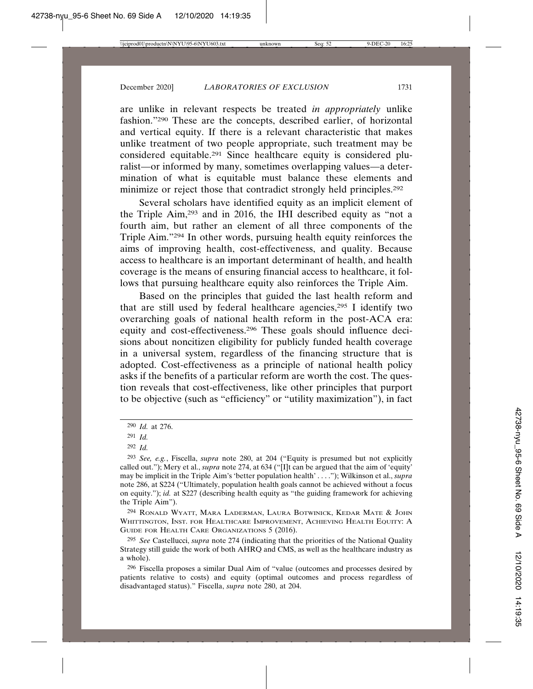are unlike in relevant respects be treated *in appropriately* unlike fashion."290 These are the concepts, described earlier, of horizontal and vertical equity. If there is a relevant characteristic that makes unlike treatment of two people appropriate, such treatment may be considered equitable.291 Since healthcare equity is considered pluralist—or informed by many, sometimes overlapping values—a determination of what is equitable must balance these elements and minimize or reject those that contradict strongly held principles.292

Several scholars have identified equity as an implicit element of the Triple Aim,293 and in 2016, the IHI described equity as "not a fourth aim, but rather an element of all three components of the Triple Aim."294 In other words, pursuing health equity reinforces the aims of improving health, cost-effectiveness, and quality. Because access to healthcare is an important determinant of health, and health coverage is the means of ensuring financial access to healthcare, it follows that pursuing healthcare equity also reinforces the Triple Aim.

Based on the principles that guided the last health reform and that are still used by federal healthcare agencies,295 I identify two overarching goals of national health reform in the post-ACA era: equity and cost-effectiveness.296 These goals should influence decisions about noncitizen eligibility for publicly funded health coverage in a universal system, regardless of the financing structure that is adopted. Cost-effectiveness as a principle of national health policy asks if the benefits of a particular reform are worth the cost. The question reveals that cost-effectiveness, like other principles that purport to be objective (such as "efficiency" or "utility maximization"), in fact

294 RONALD WYATT, MARA LADERMAN, LAURA BOTWINICK, KEDAR MATE & JOHN WHITTINGTON, INST. FOR HEALTHCARE IMPROVEMENT, ACHIEVING HEALTH EQUITY: A GUIDE FOR HEALTH CARE ORGANIZATIONS 5 (2016).

<sup>290</sup> *Id.* at 276.

<sup>291</sup> *Id.*

<sup>292</sup> *Id.*

<sup>293</sup> *See, e.g.*, Fiscella, *supra* note 280, at 204 ("Equity is presumed but not explicitly called out."); Mery et al., *supra* note 274, at 634 ("[I]t can be argued that the aim of 'equity' may be implicit in the Triple Aim's 'better population health' . . . ."); Wilkinson et al., *supra* note 286, at S224 ("Ultimately, population health goals cannot be achieved without a focus on equity."); *id.* at S227 (describing health equity as "the guiding framework for achieving the Triple Aim").

<sup>295</sup> *See* Castellucci, *supra* note 274 (indicating that the priorities of the National Quality Strategy still guide the work of both AHRQ and CMS, as well as the healthcare industry as a whole).

<sup>296</sup> Fiscella proposes a similar Dual Aim of "value (outcomes and processes desired by patients relative to costs) and equity (optimal outcomes and process regardless of disadvantaged status)." Fiscella, *supra* note 280, at 204.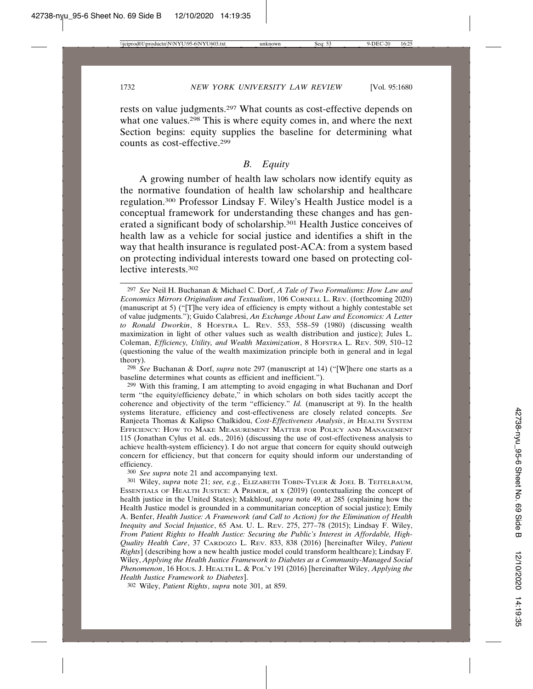rests on value judgments.297 What counts as cost-effective depends on what one values.<sup>298</sup> This is where equity comes in, and where the next Section begins: equity supplies the baseline for determining what counts as cost-effective.299

#### *B. Equity*

A growing number of health law scholars now identify equity as the normative foundation of health law scholarship and healthcare regulation.300 Professor Lindsay F. Wiley's Health Justice model is a conceptual framework for understanding these changes and has generated a significant body of scholarship.301 Health Justice conceives of health law as a vehicle for social justice and identifies a shift in the way that health insurance is regulated post-ACA: from a system based on protecting individual interests toward one based on protecting collective interests.302

298 *See* Buchanan & Dorf, *supra* note 297 (manuscript at 14) ("[W]here one starts as a baseline determines what counts as efficient and inefficient.").

300 *See supra* note 21 and accompanying text.

302 Wiley, *Patient Rights*, *supra* note 301, at 859.

<sup>297</sup> *See* Neil H. Buchanan & Michael C. Dorf, *A Tale of Two Formalisms: How Law and Economics Mirrors Originalism and Textualism*, 106 CORNELL L. REV. (forthcoming 2020) (manuscript at 5) ("[T]he very idea of efficiency is empty without a highly contestable set of value judgments."); Guido Calabresi, *An Exchange About Law and Economics: A Letter to Ronald Dworkin*, 8 HOFSTRA L. REV. 553, 558–59 (1980) (discussing wealth maximization in light of other values such as wealth distribution and justice); Jules L. Coleman, *Efficiency, Utility, and Wealth Maximization*, 8 HOFSTRA L. REV. 509, 510–12 (questioning the value of the wealth maximization principle both in general and in legal theory).

<sup>299</sup> With this framing, I am attempting to avoid engaging in what Buchanan and Dorf term "the equity/efficiency debate," in which scholars on both sides tacitly accept the coherence and objectivity of the term "efficiency." *Id.* (manuscript at 9). In the health systems literature, efficiency and cost-effectiveness are closely related concepts. *See* Ranjeeta Thomas & Kalipso Chalkidou, *Cost-Effectiveness Analysis*, *in* HEALTH SYSTEM EFFICIENCY: HOW TO MAKE MEASUREMENT MATTER FOR POLICY AND MANAGEMENT 115 (Jonathan Cylus et al. eds., 2016) (discussing the use of cost-effectiveness analysis to achieve health-system efficiency). I do not argue that concern for equity should outweigh concern for efficiency, but that concern for equity should inform our understanding of efficiency.

<sup>301</sup> Wiley, *supra* note 21; *see, e.g.*, ELIZABETH TOBIN-TYLER & JOEL B. TEITELBAUM, ESSENTIALS OF HEALTH JUSTICE: A PRIMER, at x (2019) (contextualizing the concept of health justice in the United States); Makhlouf, *supra* note 49, at 285 (explaining how the Health Justice model is grounded in a communitarian conception of social justice); Emily A. Benfer, *Health Justice: A Framework (and Call to Action) for the Elimination of Health Inequity and Social Injustice*, 65 AM. U. L. REV. 275, 277–78 (2015); Lindsay F. Wiley, *From Patient Rights to Health Justice: Securing the Public's Interest in Affordable, High-Quality Health Care*, 37 CARDOZO L. REV. 833, 838 (2016) [hereinafter Wiley, *Patient Rights*] (describing how a new health justice model could transform healthcare); Lindsay F. Wiley, *Applying the Health Justice Framework to Diabetes as a Community-Managed Social Phenomenon*, 16 HOUS. J. HEALTH L. & POL'Y 191 (2016) [hereinafter Wiley, *Applying the Health Justice Framework to Diabetes*].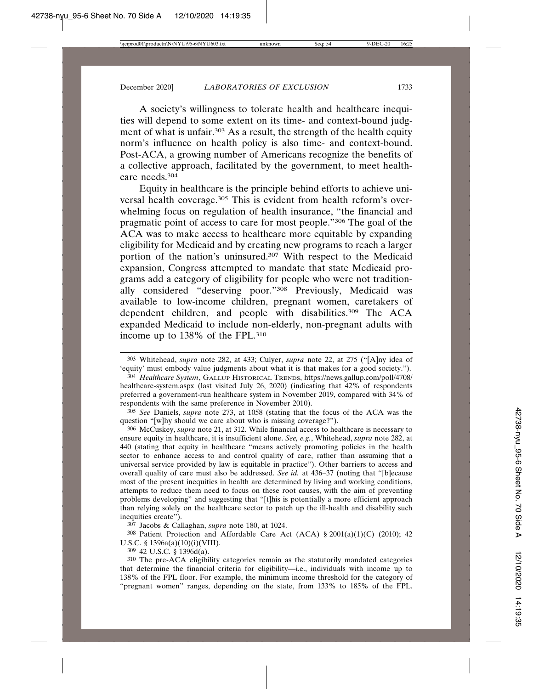A society's willingness to tolerate health and healthcare inequities will depend to some extent on its time- and context-bound judgment of what is unfair.<sup>303</sup> As a result, the strength of the health equity norm's influence on health policy is also time- and context-bound. Post-ACA, a growing number of Americans recognize the benefits of a collective approach, facilitated by the government, to meet healthcare needs.304

Equity in healthcare is the principle behind efforts to achieve universal health coverage.<sup>305</sup> This is evident from health reform's overwhelming focus on regulation of health insurance, "the financial and pragmatic point of access to care for most people."306 The goal of the ACA was to make access to healthcare more equitable by expanding eligibility for Medicaid and by creating new programs to reach a larger portion of the nation's uninsured.307 With respect to the Medicaid expansion, Congress attempted to mandate that state Medicaid programs add a category of eligibility for people who were not traditionally considered "deserving poor."308 Previously, Medicaid was available to low-income children, pregnant women, caretakers of dependent children, and people with disabilities.309 The ACA expanded Medicaid to include non-elderly, non-pregnant adults with income up to 138% of the FPL.310

304 *Healthcare System*, GALLUP HISTORICAL TRENDS, https://news.gallup.com/poll/4708/ healthcare-system.aspx (last visited July 26, 2020) (indicating that 42% of respondents preferred a government-run healthcare system in November 2019, compared with 34% of respondents with the same preference in November 2010).

305 *See* Daniels, *supra* note 273, at 1058 (stating that the focus of the ACA was the question "[w]hy should we care about who is missing coverage?").

306 McCuskey, *supra* note 21, at 312. While financial access to healthcare is necessary to ensure equity in healthcare, it is insufficient alone. *See, e.g.*, Whitehead, *supra* note 282, at 440 (stating that equity in healthcare "means actively promoting policies in the health sector to enhance access to and control quality of care, rather than assuming that a universal service provided by law is equitable in practice"). Other barriers to access and overall quality of care must also be addressed. *See id.* at 436–37 (noting that "[b]ecause most of the present inequities in health are determined by living and working conditions, attempts to reduce them need to focus on these root causes, with the aim of preventing problems developing" and suggesting that "[t]his is potentially a more efficient approach than relying solely on the healthcare sector to patch up the ill-health and disability such inequities create").

307 Jacobs & Callaghan, *supra* note 180, at 1024.

 $308$  Patient Protection and Affordable Care Act (ACA) § 2001(a)(1)(C) (2010); 42 U.S.C. § 1396a(a)(10)(i)(VIII).

309 42 U.S.C. § 1396d(a).

310 The pre-ACA eligibility categories remain as the statutorily mandated categories that determine the financial criteria for eligibility—i.e., individuals with income up to 138% of the FPL floor. For example, the minimum income threshold for the category of "pregnant women" ranges, depending on the state, from 133% to 185% of the FPL.

<sup>303</sup> Whitehead, *supra* note 282, at 433; Culyer, *supra* note 22, at 275 ("[A]ny idea of 'equity' must embody value judgments about what it is that makes for a good society.").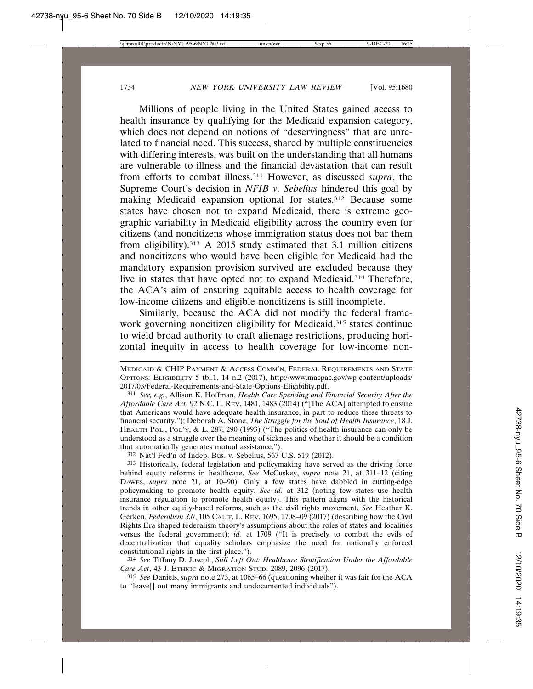Millions of people living in the United States gained access to health insurance by qualifying for the Medicaid expansion category, which does not depend on notions of "deservingness" that are unrelated to financial need. This success, shared by multiple constituencies with differing interests, was built on the understanding that all humans are vulnerable to illness and the financial devastation that can result from efforts to combat illness.311 However, as discussed *supra*, the Supreme Court's decision in *NFIB v. Sebelius* hindered this goal by making Medicaid expansion optional for states.312 Because some states have chosen not to expand Medicaid, there is extreme geographic variability in Medicaid eligibility across the country even for citizens (and noncitizens whose immigration status does not bar them from eligibility).313 A 2015 study estimated that 3.1 million citizens and noncitizens who would have been eligible for Medicaid had the mandatory expansion provision survived are excluded because they live in states that have opted not to expand Medicaid.314 Therefore, the ACA's aim of ensuring equitable access to health coverage for low-income citizens and eligible noncitizens is still incomplete.

Similarly, because the ACA did not modify the federal framework governing noncitizen eligibility for Medicaid,<sup>315</sup> states continue to wield broad authority to craft alienage restrictions, producing horizontal inequity in access to health coverage for low-income non-

312 Nat'l Fed'n of Indep. Bus. v. Sebelius, 567 U.S. 519 (2012).

314 *See* Tiffany D. Joseph, *Still Left Out: Healthcare Stratification Under the Affordable Care Act*, 43 J. ETHNIC & MIGRATION STUD. 2089, 2096 (2017).

315 *See* Daniels, *supra* note 273, at 1065–66 (questioning whether it was fair for the ACA to "leave[] out many immigrants and undocumented individuals").

MEDICAID & CHIP PAYMENT & ACCESS COMM'N, FEDERAL REQUIREMENTS AND STATE OPTIONS: ELIGIBILITY 5 tbl.1, 14 n.2 (2017), http://www.macpac.gov/wp-content/uploads/ 2017/03/Federal-Requirements-and-State-Options-Eligibility.pdf.

<sup>311</sup> *See, e.g.*, Allison K. Hoffman, *Health Care Spending and Financial Security After the Affordable Care Act*, 92 N.C. L. REV. 1481, 1483 (2014) ("[The ACA] attempted to ensure that Americans would have adequate health insurance, in part to reduce these threats to financial security."); Deborah A. Stone, *The Struggle for the Soul of Health Insurance*, 18 J. HEALTH POL., POL'Y, & L. 287, 290 (1993) ("The politics of health insurance can only be understood as a struggle over the meaning of sickness and whether it should be a condition that automatically generates mutual assistance.").

<sup>313</sup> Historically, federal legislation and policymaking have served as the driving force behind equity reforms in healthcare. *See* McCuskey, *supra* note 21, at 311–12 (citing DAWES, *supra* note 21, at 10–90). Only a few states have dabbled in cutting-edge policymaking to promote health equity. *See id.* at 312 (noting few states use health insurance regulation to promote health equity). This pattern aligns with the historical trends in other equity-based reforms, such as the civil rights movement. *See* Heather K. Gerken, *Federalism 3.0*, 105 CALIF. L. REV. 1695, 1708–09 (2017) (describing how the Civil Rights Era shaped federalism theory's assumptions about the roles of states and localities versus the federal government); *id.* at 1709 ("It is precisely to combat the evils of decentralization that equality scholars emphasize the need for nationally enforced constitutional rights in the first place.").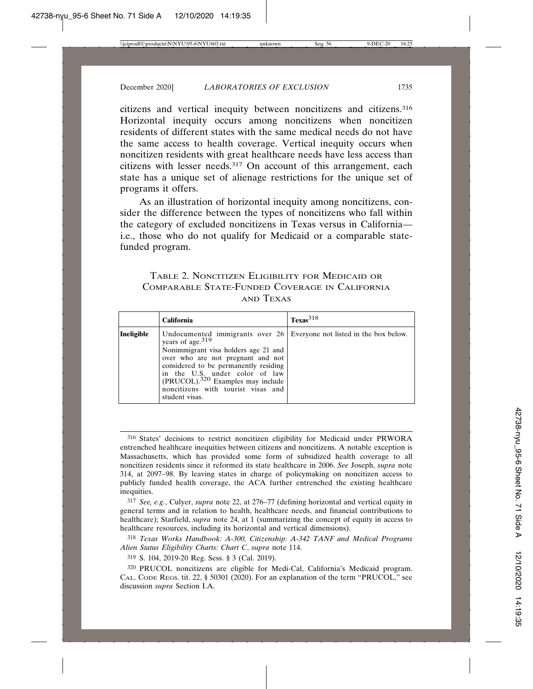citizens and vertical inequity between noncitizens and citizens.316 Horizontal inequity occurs among noncitizens when noncitizen residents of different states with the same medical needs do not have the same access to health coverage. Vertical inequity occurs when noncitizen residents with great healthcare needs have less access than citizens with lesser needs.317 On account of this arrangement, each state has a unique set of alienage restrictions for the unique set of programs it offers.

As an illustration of horizontal inequity among noncitizens, consider the difference between the types of noncitizens who fall within the category of excluded noncitizens in Texas versus in California i.e., those who do not qualify for Medicaid or a comparable statefunded program.

#### TABLE 2. NONCITIZEN ELIGIBILITY FOR MEDICAID OR COMPARABLE STATE-FUNDED COVERAGE IN CALIFORNIA AND TEXAS

|            | <b>California</b>                                                                                                                                                                                                                                                                                                                                                             | $T$ exas <sup>318</sup> |
|------------|-------------------------------------------------------------------------------------------------------------------------------------------------------------------------------------------------------------------------------------------------------------------------------------------------------------------------------------------------------------------------------|-------------------------|
| Ineligible | Undocumented immigrants over $26 \mid$ Everyone not listed in the box below.<br>years of age. <sup>319</sup><br>Nonimmigrant visa holders age 21 and<br>over who are not pregnant and not<br>considered to be permanently residing<br>in the U.S. under color of law<br>(PRUCOL). <sup>320</sup> Examples may include<br>noncitizens with tourist visas and<br>student visas. |                         |

317 *See, e.g.*, Culyer, *supra* note 22, at 276–77 (defining horizontal and vertical equity in general terms and in relation to health, healthcare needs, and financial contributions to healthcare); Starfield, *supra* note 24, at 1 (summarizing the concept of equity in access to healthcare resources, including its horizontal and vertical dimensions).

318 *Texas Works Handbook: A-300, Citizenship: A-342 TANF and Medical Programs Alien Status Eligibility Charts: Chart C*, *supra* note 114.

319 S. 104, 2019-20 Reg. Sess. § 3 (Cal. 2019).

320 PRUCOL noncitizens are eligible for Medi-Cal, California's Medicaid program. CAL. CODE REGS. tit. 22, § 50301 (2020). For an explanation of the term "PRUCOL," see discussion *supra* Section I.A.

<sup>316</sup> States' decisions to restrict noncitizen eligibility for Medicaid under PRWORA entrenched healthcare inequities between citizens and noncitizens. A notable exception is Massachusetts, which has provided some form of subsidized health coverage to all noncitizen residents since it reformed its state healthcare in 2006. *See* Joseph, *supra* note 314, at 2097–98. By leaving states in charge of policymaking on noncitizen access to publicly funded health coverage, the ACA further entrenched the existing healthcare inequities.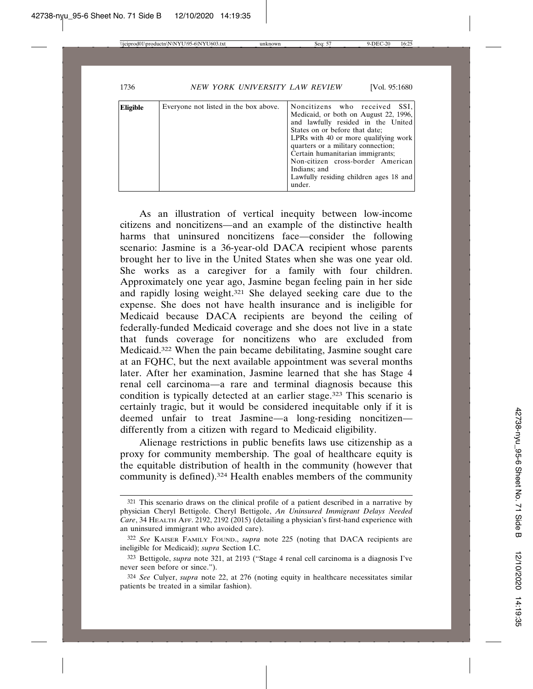| Eligible | Everyone not listed in the box above. | Noncitizens who received SSI,<br>Medicaid, or both on August 22, 1996,<br>and lawfully resided in the United<br>States on or before that date:<br>LPRs with 40 or more qualifying work<br>quarters or a military connection;<br>Certain humanitarian immigrants;<br>Non-citizen cross-border American<br>Indians; and<br>Lawfully residing children ages 18 and<br>under. |
|----------|---------------------------------------|---------------------------------------------------------------------------------------------------------------------------------------------------------------------------------------------------------------------------------------------------------------------------------------------------------------------------------------------------------------------------|
|----------|---------------------------------------|---------------------------------------------------------------------------------------------------------------------------------------------------------------------------------------------------------------------------------------------------------------------------------------------------------------------------------------------------------------------------|

As an illustration of vertical inequity between low-income citizens and noncitizens—and an example of the distinctive health harms that uninsured noncitizens face—consider the following scenario: Jasmine is a 36-year-old DACA recipient whose parents brought her to live in the United States when she was one year old. She works as a caregiver for a family with four children. Approximately one year ago, Jasmine began feeling pain in her side and rapidly losing weight.321 She delayed seeking care due to the expense. She does not have health insurance and is ineligible for Medicaid because DACA recipients are beyond the ceiling of federally-funded Medicaid coverage and she does not live in a state that funds coverage for noncitizens who are excluded from Medicaid.322 When the pain became debilitating, Jasmine sought care at an FQHC, but the next available appointment was several months later. After her examination, Jasmine learned that she has Stage 4 renal cell carcinoma—a rare and terminal diagnosis because this condition is typically detected at an earlier stage.<sup>323</sup> This scenario is certainly tragic, but it would be considered inequitable only if it is deemed unfair to treat Jasmine—a long-residing noncitizen differently from a citizen with regard to Medicaid eligibility.

Alienage restrictions in public benefits laws use citizenship as a proxy for community membership. The goal of healthcare equity is the equitable distribution of health in the community (however that community is defined).324 Health enables members of the community

<sup>321</sup> This scenario draws on the clinical profile of a patient described in a narrative by physician Cheryl Bettigole. Cheryl Bettigole, *An Uninsured Immigrant Delays Needed Care*, 34 HEALTH AFF. 2192, 2192 (2015) (detailing a physician's first-hand experience with an uninsured immigrant who avoided care).

<sup>322</sup> *See* KAISER FAMILY FOUND., *supra* note 225 (noting that DACA recipients are ineligible for Medicaid); *supra* Section I.C.

<sup>323</sup> Bettigole, *supra* note 321, at 2193 ("Stage 4 renal cell carcinoma is a diagnosis I've never seen before or since.").

<sup>324</sup> *See* Culyer, *supra* note 22, at 276 (noting equity in healthcare necessitates similar patients be treated in a similar fashion).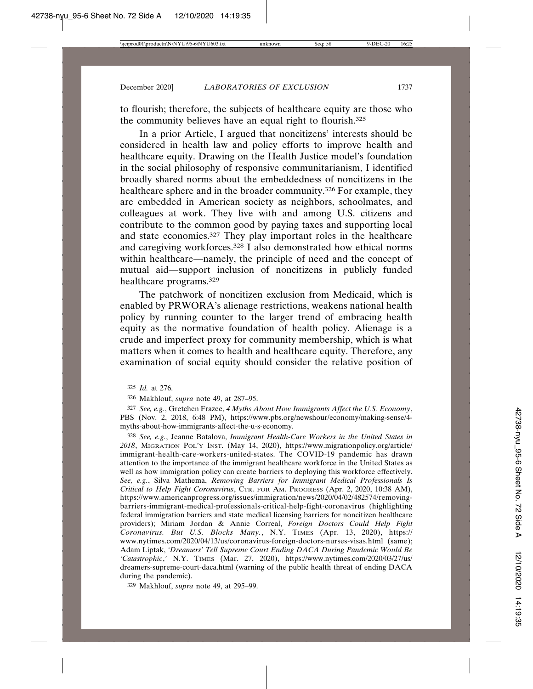to flourish; therefore, the subjects of healthcare equity are those who the community believes have an equal right to flourish.325

In a prior Article, I argued that noncitizens' interests should be considered in health law and policy efforts to improve health and healthcare equity. Drawing on the Health Justice model's foundation in the social philosophy of responsive communitarianism, I identified broadly shared norms about the embeddedness of noncitizens in the healthcare sphere and in the broader community.326 For example, they are embedded in American society as neighbors, schoolmates, and colleagues at work. They live with and among U.S. citizens and contribute to the common good by paying taxes and supporting local and state economies.327 They play important roles in the healthcare and caregiving workforces.<sup>328</sup> I also demonstrated how ethical norms within healthcare—namely, the principle of need and the concept of mutual aid—support inclusion of noncitizens in publicly funded healthcare programs.329

The patchwork of noncitizen exclusion from Medicaid, which is enabled by PRWORA's alienage restrictions, weakens national health policy by running counter to the larger trend of embracing health equity as the normative foundation of health policy. Alienage is a crude and imperfect proxy for community membership, which is what matters when it comes to health and healthcare equity. Therefore, any examination of social equity should consider the relative position of

329 Makhlouf, *supra* note 49, at 295–99.

<sup>325</sup> *Id.* at 276.

<sup>326</sup> Makhlouf, *supra* note 49, at 287–95.

<sup>327</sup> *See, e.g.*, Gretchen Frazee, *4 Myths About How Immigrants Affect the U.S. Economy*, PBS (Nov. 2, 2018, 6:48 PM), https://www.pbs.org/newshour/economy/making-sense/4 myths-about-how-immigrants-affect-the-u-s-economy.

<sup>328</sup> *See, e.g.*, Jeanne Batalova, *Immigrant Health-Care Workers in the United States in 2018*, MIGRATION POL'Y INST. (May 14, 2020), https://www.migrationpolicy.org/article/ immigrant-health-care-workers-united-states. The COVID-19 pandemic has drawn attention to the importance of the immigrant healthcare workforce in the United States as well as how immigration policy can create barriers to deploying this workforce effectively. *See, e.g.*, Silva Mathema, *Removing Barriers for Immigrant Medical Professionals Is Critical to Help Fight Coronavirus*, CTR. FOR AM. PROGRESS (Apr. 2, 2020, 10:38 AM), https://www.americanprogress.org/issues/immigration/news/2020/04/02/482574/removingbarriers-immigrant-medical-professionals-critical-help-fight-coronavirus (highlighting federal immigration barriers and state medical licensing barriers for noncitizen healthcare providers); Miriam Jordan & Annie Correal, *Foreign Doctors Could Help Fight Coronavirus. But U.S. Blocks Many.*, N.Y. TIMES (Apr. 13, 2020), https:// www.nytimes.com/2020/04/13/us/coronavirus-foreign-doctors-nurses-visas.html (same); Adam Liptak, *'Dreamers' Tell Supreme Court Ending DACA During Pandemic Would Be 'Catastrophic*,*'* N.Y. TIMES (Mar. 27, 2020), https://www.nytimes.com/2020/03/27/us/ dreamers-supreme-court-daca.html (warning of the public health threat of ending DACA during the pandemic).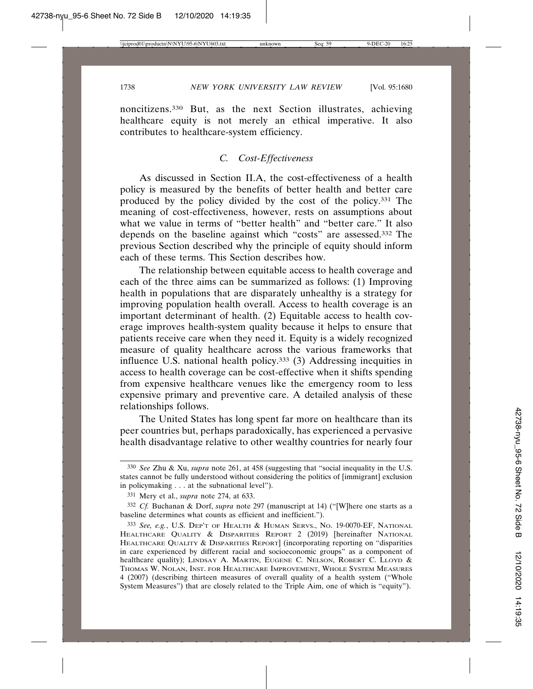noncitizens.330 But, as the next Section illustrates, achieving healthcare equity is not merely an ethical imperative. It also contributes to healthcare-system efficiency.

# *C. Cost-Effectiveness*

As discussed in Section II.A, the cost-effectiveness of a health policy is measured by the benefits of better health and better care produced by the policy divided by the cost of the policy.331 The meaning of cost-effectiveness, however, rests on assumptions about what we value in terms of "better health" and "better care." It also depends on the baseline against which "costs" are assessed.332 The previous Section described why the principle of equity should inform each of these terms. This Section describes how.

The relationship between equitable access to health coverage and each of the three aims can be summarized as follows: (1) Improving health in populations that are disparately unhealthy is a strategy for improving population health overall. Access to health coverage is an important determinant of health. (2) Equitable access to health coverage improves health-system quality because it helps to ensure that patients receive care when they need it. Equity is a widely recognized measure of quality healthcare across the various frameworks that influence U.S. national health policy.333 (3) Addressing inequities in access to health coverage can be cost-effective when it shifts spending from expensive healthcare venues like the emergency room to less expensive primary and preventive care. A detailed analysis of these relationships follows.

The United States has long spent far more on healthcare than its peer countries but, perhaps paradoxically, has experienced a pervasive health disadvantage relative to other wealthy countries for nearly four

<sup>330</sup> *See* Zhu & Xu, *supra* note 261, at 458 (suggesting that "social inequality in the U.S. states cannot be fully understood without considering the politics of [immigrant] exclusion in policymaking . . . at the subnational level").

<sup>331</sup> Mery et al., *supra* note 274, at 633.

<sup>332</sup> *Cf.* Buchanan & Dorf, *supra* note 297 (manuscript at 14) ("[W]here one starts as a baseline determines what counts as efficient and inefficient.").

<sup>333</sup> *See, e.g.*, U.S. DEP'T OF HEALTH & HUMAN SERVS., NO. 19-0070-EF, NATIONAL HEALTHCARE QUALITY & DISPARITIES REPORT 2 (2019) [hereinafter NATIONAL HEALTHCARE QUALITY & DISPARITIES REPORT] (incorporating reporting on "disparities in care experienced by different racial and socioeconomic groups" as a component of healthcare quality); LINDSAY A. MARTIN, EUGENE C. NELSON, ROBERT C. LLOYD & THOMAS W. NOLAN, INST. FOR HEALTHCARE IMPROVEMENT, WHOLE SYSTEM MEASURES 4 (2007) (describing thirteen measures of overall quality of a health system ("Whole System Measures") that are closely related to the Triple Aim, one of which is "equity").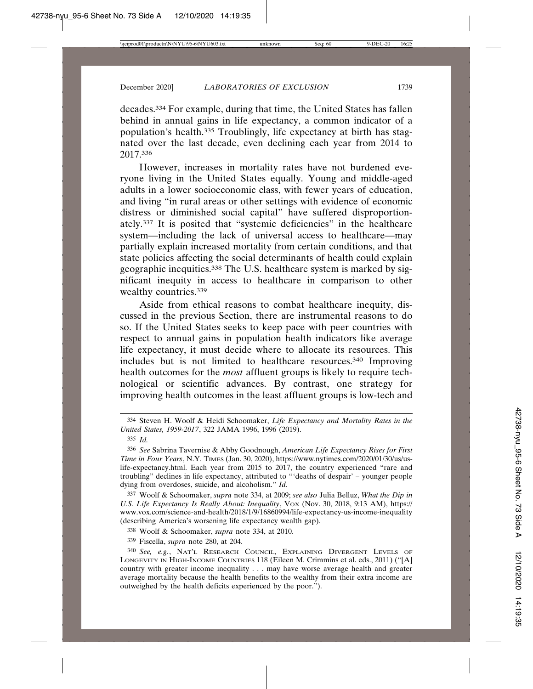decades.334 For example, during that time, the United States has fallen behind in annual gains in life expectancy, a common indicator of a population's health.335 Troublingly, life expectancy at birth has stagnated over the last decade, even declining each year from 2014 to 2017.336

However, increases in mortality rates have not burdened everyone living in the United States equally. Young and middle-aged adults in a lower socioeconomic class, with fewer years of education, and living "in rural areas or other settings with evidence of economic distress or diminished social capital" have suffered disproportionately.337 It is posited that "systemic deficiencies" in the healthcare system—including the lack of universal access to healthcare—may partially explain increased mortality from certain conditions, and that state policies affecting the social determinants of health could explain geographic inequities.338 The U.S. healthcare system is marked by significant inequity in access to healthcare in comparison to other wealthy countries.<sup>339</sup>

Aside from ethical reasons to combat healthcare inequity, discussed in the previous Section, there are instrumental reasons to do so. If the United States seeks to keep pace with peer countries with respect to annual gains in population health indicators like average life expectancy, it must decide where to allocate its resources. This includes but is not limited to healthcare resources.340 Improving health outcomes for the *most* affluent groups is likely to require technological or scientific advances. By contrast, one strategy for improving health outcomes in the least affluent groups is low-tech and

337 Woolf & Schoomaker, *supra* note 334, at 2009; *see also* Julia Belluz, *What the Dip in* U.S. Life Expectancy Is Really About: Inequality, Vox (Nov. 30, 2018, 9:13 AM), https:// www.vox.com/science-and-health/2018/1/9/16860994/life-expectancy-us-income-inequality (describing America's worsening life expectancy wealth gap).

338 Woolf & Schoomaker, *supra* note 334, at 2010.

339 Fiscella, *supra* note 280, at 204.

<sup>334</sup> Steven H. Woolf & Heidi Schoomaker, *Life Expectancy and Mortality Rates in the United States, 1959-2017*, 322 JAMA 1996, 1996 (2019).

<sup>335</sup> *Id.*

<sup>336</sup> *See* Sabrina Tavernise & Abby Goodnough, *American Life Expectancy Rises for First Time in Four Years*, N.Y. TIMES (Jan. 30, 2020), https://www.nytimes.com/2020/01/30/us/uslife-expectancy.html. Each year from 2015 to 2017, the country experienced "rare and troubling" declines in life expectancy, attributed to "'deaths of despair' – younger people dying from overdoses, suicide, and alcoholism." *Id.*

<sup>340</sup> *See, e.g.*, NAT'L RESEARCH COUNCIL, EXPLAINING DIVERGENT LEVELS OF LONGEVITY IN HIGH-INCOME COUNTRIES 118 (Eileen M. Crimmins et al. eds., 2011) ("[A] country with greater income inequality . . . may have worse average health and greater average mortality because the health benefits to the wealthy from their extra income are outweighed by the health deficits experienced by the poor.").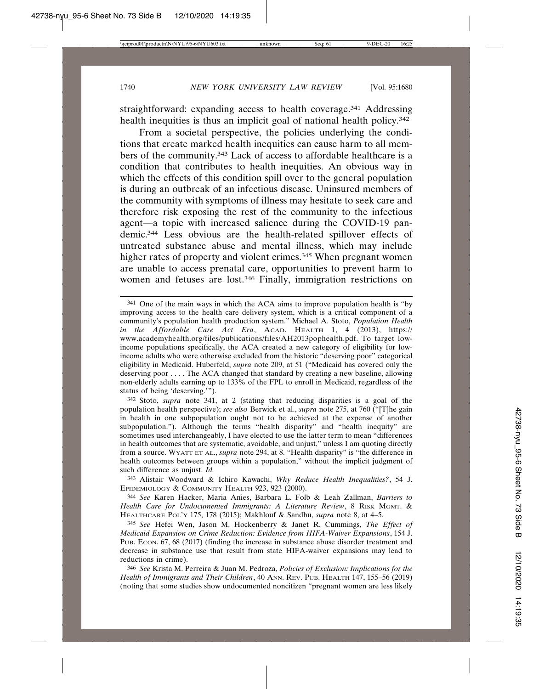straightforward: expanding access to health coverage.<sup>341</sup> Addressing health inequities is thus an implicit goal of national health policy.<sup>342</sup>

From a societal perspective, the policies underlying the conditions that create marked health inequities can cause harm to all members of the community.343 Lack of access to affordable healthcare is a condition that contributes to health inequities. An obvious way in which the effects of this condition spill over to the general population is during an outbreak of an infectious disease. Uninsured members of the community with symptoms of illness may hesitate to seek care and therefore risk exposing the rest of the community to the infectious agent—a topic with increased salience during the COVID-19 pandemic.344 Less obvious are the health-related spillover effects of untreated substance abuse and mental illness, which may include higher rates of property and violent crimes.<sup>345</sup> When pregnant women are unable to access prenatal care, opportunities to prevent harm to women and fetuses are lost.<sup>346</sup> Finally, immigration restrictions on

342 Stoto, *supra* note 341, at 2 (stating that reducing disparities is a goal of the population health perspective); *see also* Berwick et al., *supra* note 275, at 760 ("[T]he gain in health in one subpopulation ought not to be achieved at the expense of another subpopulation."). Although the terms "health disparity" and "health inequity" are sometimes used interchangeably, I have elected to use the latter term to mean "differences in health outcomes that are systematic, avoidable, and unjust," unless I am quoting directly from a source. WYATT ET AL., *supra* note 294, at 8. "Health disparity" is "the difference in health outcomes between groups within a population," without the implicit judgment of such difference as unjust. *Id.*

343 Alistair Woodward & Ichiro Kawachi, *Why Reduce Health Inequalities?*, 54 J. EPIDEMIOLOGY & COMMUNITY HEALTH 923, 923 (2000).

344 *See* Karen Hacker, Maria Anies, Barbara L. Folb & Leah Zallman, *Barriers to Health Care for Undocumented Immigrants: A Literature Review*, 8 RISK MGMT. & HEALTHCARE POL'Y 175, 178 (2015); Makhlouf & Sandhu, *supra* note 8, at 4–5.

345 *See* Hefei Wen, Jason M. Hockenberry & Janet R. Cummings, *The Effect of Medicaid Expansion on Crime Reduction: Evidence from HIFA-Waiver Expansions*, 154 J. PUB. ECON. 67, 68 (2017) (finding the increase in substance abuse disorder treatment and decrease in substance use that result from state HIFA-waiver expansions may lead to reductions in crime).

346 *See* Krista M. Perreira & Juan M. Pedroza, *Policies of Exclusion: Implications for the Health of Immigrants and Their Children*, 40 ANN. REV. PUB. HEALTH 147, 155–56 (2019) (noting that some studies show undocumented noncitizen "pregnant women are less likely

<sup>341</sup> One of the main ways in which the ACA aims to improve population health is "by improving access to the health care delivery system, which is a critical component of a community's population health production system." Michael A. Stoto, *Population Health in the Affordable Care Act Era*, ACAD. HEALTH 1, 4 (2013), https:// www.academyhealth.org/files/publications/files/AH2013pophealth.pdf. To target lowincome populations specifically, the ACA created a new category of eligibility for lowincome adults who were otherwise excluded from the historic "deserving poor" categorical eligibility in Medicaid. Huberfeld, *supra* note 209, at 51 ("Medicaid has covered only the deserving poor . . . . The ACA changed that standard by creating a new baseline, allowing non-elderly adults earning up to 133% of the FPL to enroll in Medicaid, regardless of the status of being 'deserving.'").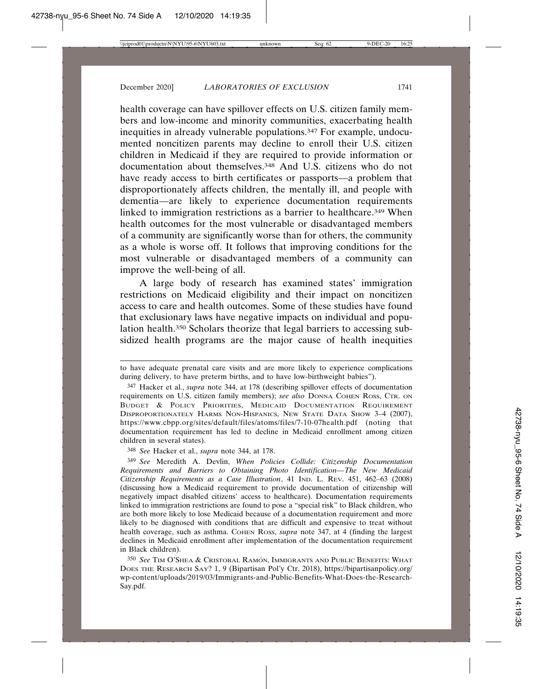health coverage can have spillover effects on U.S. citizen family members and low-income and minority communities, exacerbating health inequities in already vulnerable populations.347 For example, undocumented noncitizen parents may decline to enroll their U.S. citizen children in Medicaid if they are required to provide information or documentation about themselves.348 And U.S. citizens who do not have ready access to birth certificates or passports—a problem that disproportionately affects children, the mentally ill, and people with dementia—are likely to experience documentation requirements linked to immigration restrictions as a barrier to healthcare.<sup>349</sup> When health outcomes for the most vulnerable or disadvantaged members of a community are significantly worse than for others, the community as a whole is worse off. It follows that improving conditions for the most vulnerable or disadvantaged members of a community can improve the well-being of all.

A large body of research has examined states' immigration restrictions on Medicaid eligibility and their impact on noncitizen access to care and health outcomes. Some of these studies have found that exclusionary laws have negative impacts on individual and population health.350 Scholars theorize that legal barriers to accessing subsidized health programs are the major cause of health inequities

348 *See* Hacker et al., *supra* note 344, at 178.

to have adequate prenatal care visits and are more likely to experience complications during delivery, to have preterm births, and to have low-birthweight babies").

<sup>347</sup> Hacker et al., *supra* note 344, at 178 (describing spillover effects of documentation requirements on U.S. citizen family members); *see also* DONNA COHEN ROSS, CTR. ON BUDGET & POLICY PRIORITIES, MEDICAID DOCUMENTATION REQUIREMENT DISPROPORTIONATELY HARMS NON-HISPANICS, NEW STATE DATA SHOW 3–4 (2007), https://www.cbpp.org/sites/default/files/atoms/files/7-10-07health.pdf (noting that documentation requirement has led to decline in Medicaid enrollment among citizen children in several states).

<sup>349</sup> *See* Meredith A. Devlin, *When Policies Collide: Citizenship Documentation Requirements and Barriers to Obtaining Photo Identification—The New Medicaid Citizenship Requirements as a Case Illustration*, 41 IND. L. REV. 451, 462–63 (2008) (discussing how a Medicaid requirement to provide documentation of citizenship will negatively impact disabled citizens' access to healthcare). Documentation requirements linked to immigration restrictions are found to pose a "special risk" to Black children, who are both more likely to lose Medicaid because of a documentation requirement and more likely to be diagnosed with conditions that are difficult and expensive to treat without health coverage, such as asthma. COHEN ROSS, *supra* note 347, at 4 (finding the largest declines in Medicaid enrollment after implementation of the documentation requirement in Black children).

 $350\,$  See Tim O'Shea & Cristobal Ramón, Immigrants and Public Benefits: What DOES THE RESEARCH SAY? 1, 9 (Bipartisan Pol'y Ctr. 2018), https://bipartisanpolicy.org/ wp-content/uploads/2019/03/Immigrants-and-Public-Benefits-What-Does-the-Research-Say.pdf.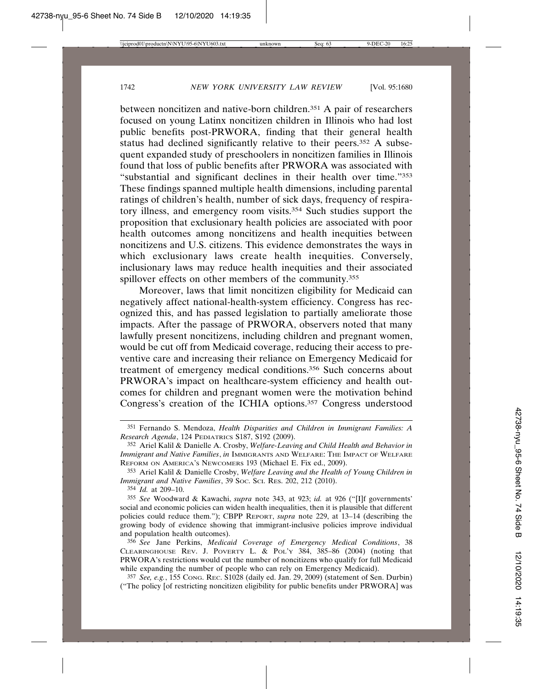between noncitizen and native-born children.351 A pair of researchers focused on young Latinx noncitizen children in Illinois who had lost public benefits post-PRWORA, finding that their general health status had declined significantly relative to their peers.<sup>352</sup> A subsequent expanded study of preschoolers in noncitizen families in Illinois found that loss of public benefits after PRWORA was associated with "substantial and significant declines in their health over time."353 These findings spanned multiple health dimensions, including parental ratings of children's health, number of sick days, frequency of respiratory illness, and emergency room visits.354 Such studies support the proposition that exclusionary health policies are associated with poor health outcomes among noncitizens and health inequities between noncitizens and U.S. citizens. This evidence demonstrates the ways in which exclusionary laws create health inequities. Conversely, inclusionary laws may reduce health inequities and their associated spillover effects on other members of the community.<sup>355</sup>

Moreover, laws that limit noncitizen eligibility for Medicaid can negatively affect national-health-system efficiency. Congress has recognized this, and has passed legislation to partially ameliorate those impacts. After the passage of PRWORA, observers noted that many lawfully present noncitizens, including children and pregnant women, would be cut off from Medicaid coverage, reducing their access to preventive care and increasing their reliance on Emergency Medicaid for treatment of emergency medical conditions.356 Such concerns about PRWORA's impact on healthcare-system efficiency and health outcomes for children and pregnant women were the motivation behind Congress's creation of the ICHIA options.357 Congress understood

357 *See, e.g.*, 155 CONG. REC. S1028 (daily ed. Jan. 29, 2009) (statement of Sen. Durbin) ("The policy [of restricting noncitizen eligibility for public benefits under PRWORA] was

<sup>351</sup> Fernando S. Mendoza, *Health Disparities and Children in Immigrant Families: A Research Agenda*, 124 PEDIATRICS S187, S192 (2009).

<sup>352</sup> Ariel Kalil & Danielle A. Crosby, *Welfare-Leaving and Child Health and Behavior in Immigrant and Native Families*, *in* IMMIGRANTS AND WELFARE: THE IMPACT OF WELFARE REFORM ON AMERICA'S NEWCOMERS 193 (Michael E. Fix ed., 2009).

<sup>353</sup> Ariel Kalil & Danielle Crosby, *Welfare Leaving and the Health of Young Children in Immigrant and Native Families*, 39 Soc. Sci. REs. 202, 212 (2010).

<sup>354</sup> *Id.* at 209–10.

<sup>355</sup> *See* Woodward & Kawachi, *supra* note 343, at 923; *id.* at 926 ("[I]f governments' social and economic policies can widen health inequalities, then it is plausible that different policies could reduce them."); CBPP REPORT, *supra* note 229, at 13–14 (describing the growing body of evidence showing that immigrant-inclusive policies improve individual and population health outcomes).

<sup>356</sup> *See* Jane Perkins, *Medicaid Coverage of Emergency Medical Conditions*, 38 CLEARINGHOUSE REV. J. POVERTY L.  $\&$  POL'Y 384, 385-86 (2004) (noting that PRWORA's restrictions would cut the number of noncitizens who qualify for full Medicaid while expanding the number of people who can rely on Emergency Medicaid).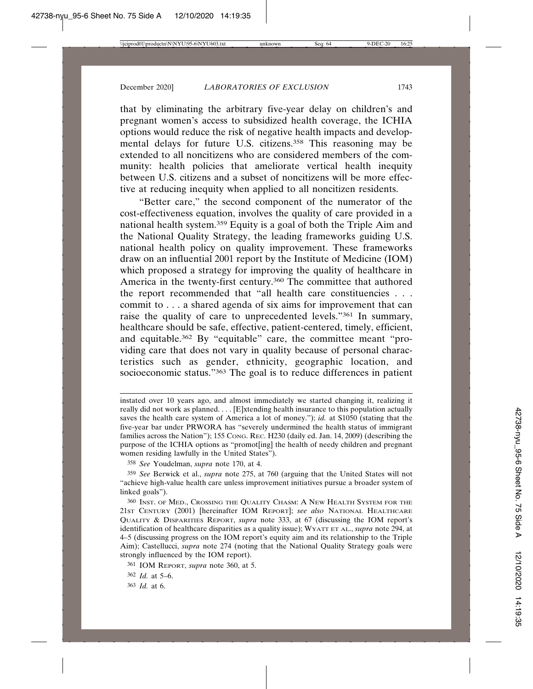that by eliminating the arbitrary five-year delay on children's and pregnant women's access to subsidized health coverage, the ICHIA options would reduce the risk of negative health impacts and developmental delays for future U.S. citizens.358 This reasoning may be extended to all noncitizens who are considered members of the community: health policies that ameliorate vertical health inequity between U.S. citizens and a subset of noncitizens will be more effective at reducing inequity when applied to all noncitizen residents.

"Better care," the second component of the numerator of the cost-effectiveness equation, involves the quality of care provided in a national health system.359 Equity is a goal of both the Triple Aim and the National Quality Strategy, the leading frameworks guiding U.S. national health policy on quality improvement. These frameworks draw on an influential 2001 report by the Institute of Medicine (IOM) which proposed a strategy for improving the quality of healthcare in America in the twenty-first century.360 The committee that authored the report recommended that "all health care constituencies . . . commit to . . . a shared agenda of six aims for improvement that can raise the quality of care to unprecedented levels."361 In summary, healthcare should be safe, effective, patient-centered, timely, efficient, and equitable.362 By "equitable" care, the committee meant "providing care that does not vary in quality because of personal characteristics such as gender, ethnicity, geographic location, and socioeconomic status."363 The goal is to reduce differences in patient

363 *Id.* at 6.

instated over 10 years ago, and almost immediately we started changing it, realizing it really did not work as planned. . . . [E]xtending health insurance to this population actually saves the health care system of America a lot of money."); *id.* at S1050 (stating that the five-year bar under PRWORA has "severely undermined the health status of immigrant families across the Nation"); 155 Cong. Rec. H230 (daily ed. Jan. 14, 2009) (describing the purpose of the ICHIA options as "promot[ing] the health of needy children and pregnant women residing lawfully in the United States").

<sup>358</sup> *See* Youdelman, *supra* note 170, at 4.

<sup>359</sup> *See* Berwick et al., *supra* note 275, at 760 (arguing that the United States will not "achieve high-value health care unless improvement initiatives pursue a broader system of linked goals").

<sup>360</sup> INST. OF MED., CROSSING THE QUALITY CHASM: A NEW HEALTH SYSTEM FOR THE 21ST CENTURY (2001) [hereinafter IOM REPORT]; *see also* NATIONAL HEALTHCARE QUALITY & DISPARITIES REPORT, *supra* note 333, at 67 (discussing the IOM report's identification of healthcare disparities as a quality issue); WYATT ET AL., *supra* note 294, at 4–5 (discussing progress on the IOM report's equity aim and its relationship to the Triple Aim); Castellucci, *supra* note 274 (noting that the National Quality Strategy goals were strongly influenced by the IOM report).

<sup>361</sup> IOM REPORT, *supra* note 360, at 5.

<sup>362</sup> *Id.* at 5–6.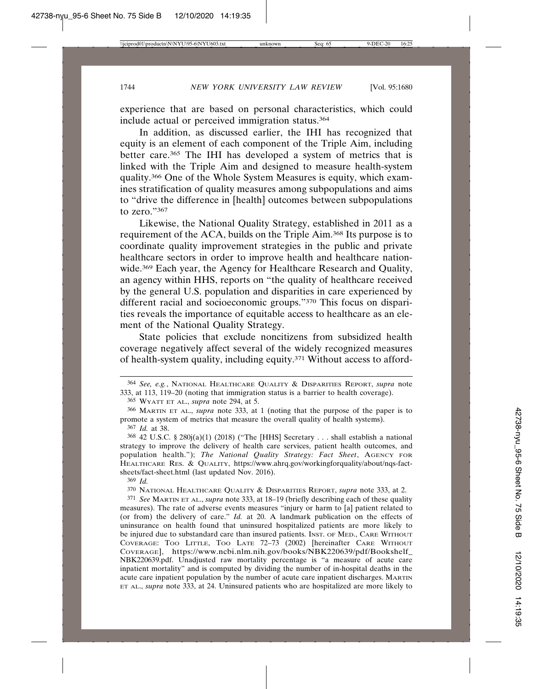experience that are based on personal characteristics, which could include actual or perceived immigration status.364

In addition, as discussed earlier, the IHI has recognized that equity is an element of each component of the Triple Aim, including better care.365 The IHI has developed a system of metrics that is linked with the Triple Aim and designed to measure health-system quality.366 One of the Whole System Measures is equity, which examines stratification of quality measures among subpopulations and aims to "drive the difference in [health] outcomes between subpopulations to zero."367

Likewise, the National Quality Strategy, established in 2011 as a requirement of the ACA, builds on the Triple Aim.368 Its purpose is to coordinate quality improvement strategies in the public and private healthcare sectors in order to improve health and healthcare nationwide.<sup>369</sup> Each year, the Agency for Healthcare Research and Quality, an agency within HHS, reports on "the quality of healthcare received by the general U.S. population and disparities in care experienced by different racial and socioeconomic groups."370 This focus on disparities reveals the importance of equitable access to healthcare as an element of the National Quality Strategy.

State policies that exclude noncitizens from subsidized health coverage negatively affect several of the widely recognized measures of health-system quality, including equity.371 Without access to afford-

365 WYATT ET AL., *supra* note 294, at 5.

367 *Id.* at 38.

<sup>364</sup> *See, e.g.*, NATIONAL HEALTHCARE QUALITY & DISPARITIES REPORT, *supra* note 333, at 113, 119–20 (noting that immigration status is a barrier to health coverage).

<sup>366</sup> MARTIN ET AL., *supra* note 333, at 1 (noting that the purpose of the paper is to promote a system of metrics that measure the overall quality of health systems).

<sup>368</sup> 42 U.S.C. § 280j(a)(1) (2018) ("The [HHS] Secretary . . . shall establish a national strategy to improve the delivery of health care services, patient health outcomes, and population health."); *The National Quality Strategy: Fact Sheet*, AGENCY FOR HEALTHCARE RES. & QUALITY, https://www.ahrq.gov/workingforquality/about/nqs-factsheets/fact-sheet.html (last updated Nov. 2016).

<sup>369</sup> *Id.*

<sup>370</sup> NATIONAL HEALTHCARE QUALITY & DISPARITIES REPORT, *supra* note 333, at 2.

<sup>371</sup> *See* MARTIN ET AL., *supra* note 333, at 18–19 (briefly describing each of these quality measures). The rate of adverse events measures "injury or harm to [a] patient related to (or from) the delivery of care." *Id.* at 20. A landmark publication on the effects of uninsurance on health found that uninsured hospitalized patients are more likely to be injured due to substandard care than insured patients. INST. OF MED., CARE WITHOUT COVERAGE: TOO LITTLE, TOO LATE 72–73 (2002) [hereinafter CARE WITHOUT COVERAGE], https://www.ncbi.nlm.nih.gov/books/NBK220639/pdf/Bookshelf\_ NBK220639.pdf. Unadjusted raw mortality percentage is "a measure of acute care inpatient mortality" and is computed by dividing the number of in-hospital deaths in the acute care inpatient population by the number of acute care inpatient discharges. MARTIN ET AL., *supra* note 333, at 24. Uninsured patients who are hospitalized are more likely to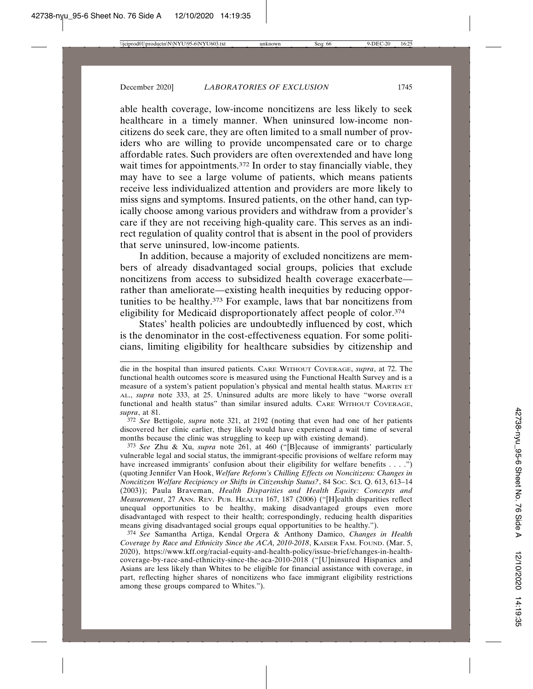able health coverage, low-income noncitizens are less likely to seek healthcare in a timely manner. When uninsured low-income noncitizens do seek care, they are often limited to a small number of providers who are willing to provide uncompensated care or to charge affordable rates. Such providers are often overextended and have long wait times for appointments.<sup>372</sup> In order to stay financially viable, they may have to see a large volume of patients, which means patients receive less individualized attention and providers are more likely to miss signs and symptoms. Insured patients, on the other hand, can typically choose among various providers and withdraw from a provider's care if they are not receiving high-quality care. This serves as an indirect regulation of quality control that is absent in the pool of providers that serve uninsured, low-income patients.

In addition, because a majority of excluded noncitizens are members of already disadvantaged social groups, policies that exclude noncitizens from access to subsidized health coverage exacerbate rather than ameliorate—existing health inequities by reducing opportunities to be healthy.373 For example, laws that bar noncitizens from eligibility for Medicaid disproportionately affect people of color.374

States' health policies are undoubtedly influenced by cost, which is the denominator in the cost-effectiveness equation. For some politicians, limiting eligibility for healthcare subsidies by citizenship and

372 *See* Bettigole, *supra* note 321, at 2192 (noting that even had one of her patients discovered her clinic earlier, they likely would have experienced a wait time of several months because the clinic was struggling to keep up with existing demand).

373 *See* Zhu & Xu, *supra* note 261, at 460 ("[B]ecause of immigrants' particularly vulnerable legal and social status, the immigrant-specific provisions of welfare reform may have increased immigrants' confusion about their eligibility for welfare benefits . . . .") (quoting Jennifer Van Hook, *Welfare Reform's Chilling Effects on Noncitizens: Changes in Noncitizen Welfare Recipiency or Shifts in Citizenship Status?*, 84 SOC. SCI. Q. 613, 613–14 (2003)); Paula Braveman, *Health Disparities and Health Equity: Concepts and Measurement*, 27 ANN. REV. PUB. HEALTH 167, 187 (2006) ("[H]ealth disparities reflect unequal opportunities to be healthy, making disadvantaged groups even more disadvantaged with respect to their health; correspondingly, reducing health disparities means giving disadvantaged social groups equal opportunities to be healthy.").

374 *See* Samantha Artiga, Kendal Orgera & Anthony Damico, *Changes in Health Coverage by Race and Ethnicity Since the ACA, 2010-2018*, KAISER FAM. FOUND. (Mar. 5, 2020), https://www.kff.org/racial-equity-and-health-policy/issue-brief/changes-in-healthcoverage-by-race-and-ethnicity-since-the-aca-2010-2018 ("[U]ninsured Hispanics and Asians are less likely than Whites to be eligible for financial assistance with coverage, in part, reflecting higher shares of noncitizens who face immigrant eligibility restrictions among these groups compared to Whites.").

die in the hospital than insured patients. CARE WITHOUT COVERAGE, *supra*, at 72. The functional health outcomes score is measured using the Functional Health Survey and is a measure of a system's patient population's physical and mental health status. MARTIN ET AL., *supra* note 333, at 25. Uninsured adults are more likely to have "worse overall functional and health status" than similar insured adults. CARE WITHOUT COVERAGE, *supra*, at 81.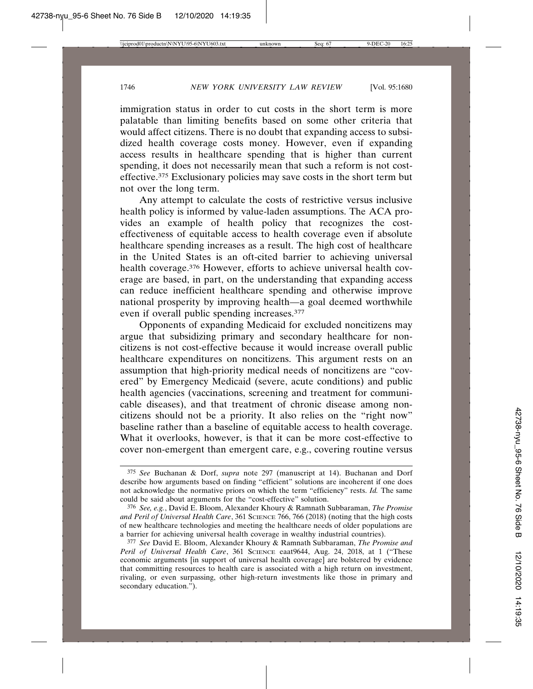immigration status in order to cut costs in the short term is more palatable than limiting benefits based on some other criteria that would affect citizens. There is no doubt that expanding access to subsidized health coverage costs money. However, even if expanding access results in healthcare spending that is higher than current spending, it does not necessarily mean that such a reform is not costeffective.375 Exclusionary policies may save costs in the short term but not over the long term.

Any attempt to calculate the costs of restrictive versus inclusive health policy is informed by value-laden assumptions. The ACA provides an example of health policy that recognizes the costeffectiveness of equitable access to health coverage even if absolute healthcare spending increases as a result. The high cost of healthcare in the United States is an oft-cited barrier to achieving universal health coverage.376 However, efforts to achieve universal health coverage are based, in part, on the understanding that expanding access can reduce inefficient healthcare spending and otherwise improve national prosperity by improving health—a goal deemed worthwhile even if overall public spending increases.377

Opponents of expanding Medicaid for excluded noncitizens may argue that subsidizing primary and secondary healthcare for noncitizens is not cost-effective because it would increase overall public healthcare expenditures on noncitizens. This argument rests on an assumption that high-priority medical needs of noncitizens are "covered" by Emergency Medicaid (severe, acute conditions) and public health agencies (vaccinations, screening and treatment for communicable diseases), and that treatment of chronic disease among noncitizens should not be a priority. It also relies on the "right now" baseline rather than a baseline of equitable access to health coverage. What it overlooks, however, is that it can be more cost-effective to cover non-emergent than emergent care, e.g., covering routine versus

<sup>375</sup> *See* Buchanan & Dorf, *supra* note 297 (manuscript at 14). Buchanan and Dorf describe how arguments based on finding "efficient" solutions are incoherent if one does not acknowledge the normative priors on which the term "efficiency" rests. *Id.* The same could be said about arguments for the "cost-effective" solution.

<sup>376</sup> *See, e.g.*, David E. Bloom, Alexander Khoury & Ramnath Subbaraman, *The Promise and Peril of Universal Health Care*, 361 SCIENCE 766, 766 (2018) (noting that the high costs of new healthcare technologies and meeting the healthcare needs of older populations are a barrier for achieving universal health coverage in wealthy industrial countries).

<sup>377</sup> *See* David E. Bloom, Alexander Khoury & Ramnath Subbaraman, *The Promise and Peril of Universal Health Care*, 361 SCIENCE eaat9644, Aug. 24, 2018, at 1 ("These economic arguments [in support of universal health coverage] are bolstered by evidence that committing resources to health care is associated with a high return on investment, rivaling, or even surpassing, other high-return investments like those in primary and secondary education.").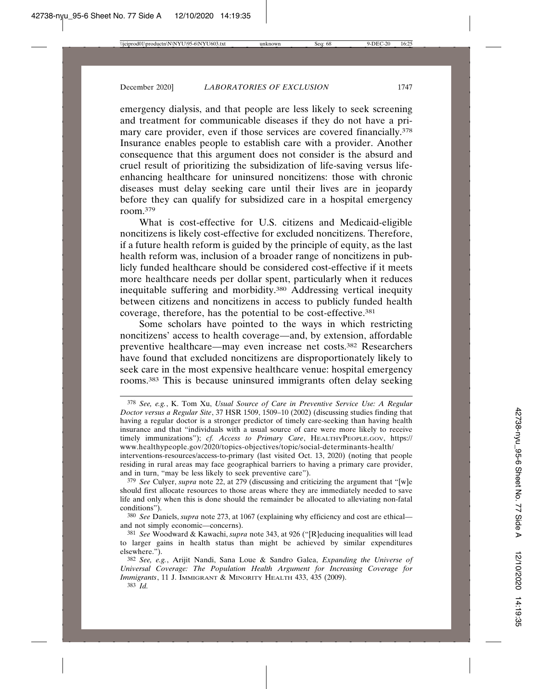emergency dialysis, and that people are less likely to seek screening and treatment for communicable diseases if they do not have a primary care provider, even if those services are covered financially.<sup>378</sup> Insurance enables people to establish care with a provider. Another consequence that this argument does not consider is the absurd and cruel result of prioritizing the subsidization of life-saving versus lifeenhancing healthcare for uninsured noncitizens: those with chronic diseases must delay seeking care until their lives are in jeopardy before they can qualify for subsidized care in a hospital emergency room.379

What is cost-effective for U.S. citizens and Medicaid-eligible noncitizens is likely cost-effective for excluded noncitizens. Therefore, if a future health reform is guided by the principle of equity, as the last health reform was, inclusion of a broader range of noncitizens in publicly funded healthcare should be considered cost-effective if it meets more healthcare needs per dollar spent, particularly when it reduces inequitable suffering and morbidity.380 Addressing vertical inequity between citizens and noncitizens in access to publicly funded health coverage, therefore, has the potential to be cost-effective.381

Some scholars have pointed to the ways in which restricting noncitizens' access to health coverage—and, by extension, affordable preventive healthcare—may even increase net costs.382 Researchers have found that excluded noncitizens are disproportionately likely to seek care in the most expensive healthcare venue: hospital emergency rooms.383 This is because uninsured immigrants often delay seeking

<sup>378</sup> *See, e.g.*, K. Tom Xu, *Usual Source of Care in Preventive Service Use: A Regular Doctor versus a Regular Site*, 37 HSR 1509, 1509–10 (2002) (discussing studies finding that having a regular doctor is a stronger predictor of timely care-seeking than having health insurance and that "individuals with a usual source of care were more likely to receive timely immunizations"); *cf. Access to Primary Care*, HEALTHYPEOPLE.GOV, https:// www.healthypeople.gov/2020/topics-objectives/topic/social-determinants-health/ interventions-resources/access-to-primary (last visited Oct. 13, 2020) (noting that people residing in rural areas may face geographical barriers to having a primary care provider, and in turn, "may be less likely to seek preventive care").

<sup>379</sup> *See* Culyer, *supra* note 22, at 279 (discussing and criticizing the argument that "[w]e should first allocate resources to those areas where they are immediately needed to save life and only when this is done should the remainder be allocated to alleviating non-fatal conditions").

<sup>380</sup> *See* Daniels, *supra* note 273, at 1067 (explaining why efficiency and cost are ethical and not simply economic—concerns).

<sup>381</sup> *See* Woodward & Kawachi, *supra* note 343, at 926 ("[R]educing inequalities will lead to larger gains in health status than might be achieved by similar expenditures elsewhere.").

<sup>382</sup> *See, e.g.*, Arijit Nandi, Sana Loue & Sandro Galea, *Expanding the Universe of Universal Coverage: The Population Health Argument for Increasing Coverage for Immigrants*, 11 J. IMMIGRANT & MINORITY HEALTH 433, 435 (2009).

<sup>383</sup> *Id.*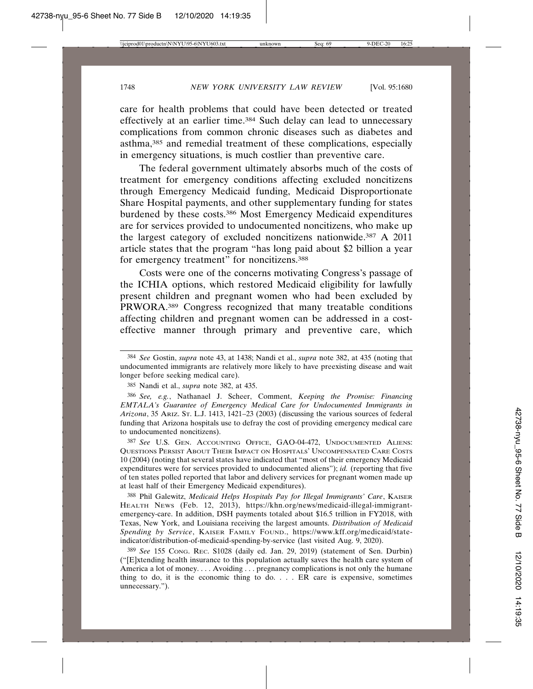care for health problems that could have been detected or treated effectively at an earlier time.384 Such delay can lead to unnecessary complications from common chronic diseases such as diabetes and asthma,385 and remedial treatment of these complications, especially in emergency situations, is much costlier than preventive care.

The federal government ultimately absorbs much of the costs of treatment for emergency conditions affecting excluded noncitizens through Emergency Medicaid funding, Medicaid Disproportionate Share Hospital payments, and other supplementary funding for states burdened by these costs.386 Most Emergency Medicaid expenditures are for services provided to undocumented noncitizens, who make up the largest category of excluded noncitizens nationwide.387 A 2011 article states that the program "has long paid about \$2 billion a year for emergency treatment" for noncitizens.388

Costs were one of the concerns motivating Congress's passage of the ICHIA options, which restored Medicaid eligibility for lawfully present children and pregnant women who had been excluded by PRWORA.389 Congress recognized that many treatable conditions affecting children and pregnant women can be addressed in a costeffective manner through primary and preventive care, which

386 *See, e.g.*, Nathanael J. Scheer, Comment, *Keeping the Promise: Financing EMTALA's Guarantee of Emergency Medical Care for Undocumented Immigrants in Arizona*, 35 ARIZ. ST. L.J. 1413, 1421–23 (2003) (discussing the various sources of federal funding that Arizona hospitals use to defray the cost of providing emergency medical care to undocumented noncitizens).

387 *See* U.S. GEN. ACCOUNTING OFFICE, GAO-04-472, UNDOCUMENTED ALIENS: QUESTIONS PERSIST ABOUT THEIR IMPACT ON HOSPITALS' UNCOMPENSATED CARE COSTS 10 (2004) (noting that several states have indicated that "most of their emergency Medicaid expenditures were for services provided to undocumented aliens"); *id.* (reporting that five of ten states polled reported that labor and delivery services for pregnant women made up at least half of their Emergency Medicaid expenditures).

388 Phil Galewitz, *Medicaid Helps Hospitals Pay for Illegal Immigrants' Care*, KAISER HEALTH NEWS (Feb. 12, 2013), https://khn.org/news/medicaid-illegal-immigrantemergency-care. In addition, DSH payments totaled about \$16.5 trillion in FY2018, with Texas, New York, and Louisiana receiving the largest amounts. *Distribution of Medicaid Spending by Service*, KAISER FAMILY FOUND., https://www.kff.org/medicaid/stateindicator/distribution-of-medicaid-spending-by-service (last visited Aug. 9, 2020).

389 *See* 155 CONG. REC. S1028 (daily ed. Jan. 29, 2019) (statement of Sen. Durbin) ("[E]xtending health insurance to this population actually saves the health care system of America a lot of money.... Avoiding ... pregnancy complications is not only the humane thing to do, it is the economic thing to do. . . . ER care is expensive, sometimes unnecessary.").

<sup>384</sup> *See* Gostin, *supra* note 43, at 1438; Nandi et al., *supra* note 382, at 435 (noting that undocumented immigrants are relatively more likely to have preexisting disease and wait longer before seeking medical care).

<sup>385</sup> Nandi et al., *supra* note 382, at 435.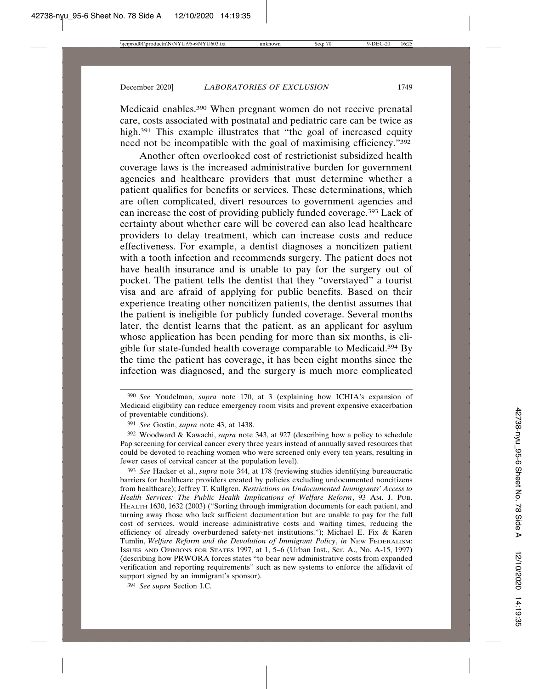Medicaid enables.390 When pregnant women do not receive prenatal care, costs associated with postnatal and pediatric care can be twice as high.<sup>391</sup> This example illustrates that "the goal of increased equity need not be incompatible with the goal of maximising efficiency."392

Another often overlooked cost of restrictionist subsidized health coverage laws is the increased administrative burden for government agencies and healthcare providers that must determine whether a patient qualifies for benefits or services. These determinations, which are often complicated, divert resources to government agencies and can increase the cost of providing publicly funded coverage.393 Lack of certainty about whether care will be covered can also lead healthcare providers to delay treatment, which can increase costs and reduce effectiveness. For example, a dentist diagnoses a noncitizen patient with a tooth infection and recommends surgery. The patient does not have health insurance and is unable to pay for the surgery out of pocket. The patient tells the dentist that they "overstayed" a tourist visa and are afraid of applying for public benefits. Based on their experience treating other noncitizen patients, the dentist assumes that the patient is ineligible for publicly funded coverage. Several months later, the dentist learns that the patient, as an applicant for asylum whose application has been pending for more than six months, is eligible for state-funded health coverage comparable to Medicaid.394 By the time the patient has coverage, it has been eight months since the infection was diagnosed, and the surgery is much more complicated

392 Woodward & Kawachi, *supra* note 343, at 927 (describing how a policy to schedule Pap screening for cervical cancer every three years instead of annually saved resources that could be devoted to reaching women who were screened only every ten years, resulting in fewer cases of cervical cancer at the population level).

393 *See* Hacker et al., *supra* note 344, at 178 (reviewing studies identifying bureaucratic barriers for healthcare providers created by policies excluding undocumented noncitizens from healthcare); Jeffrey T. Kullgren, *Restrictions on Undocumented Immigrants' Access to Health Services: The Public Health Implications of Welfare Reform*, 93 AM. J. PUB. HEALTH 1630, 1632 (2003) ("Sorting through immigration documents for each patient, and turning away those who lack sufficient documentation but are unable to pay for the full cost of services, would increase administrative costs and waiting times, reducing the efficiency of already overburdened safety-net institutions."); Michael E. Fix & Karen Tumlin, *Welfare Reform and the Devolution of Immigrant Policy*, *in* NEW FEDERALISM: ISSUES AND OPINIONS FOR STATES 1997, at 1, 5–6 (Urban Inst., Ser. A., No. A-15, 1997) (describing how PRWORA forces states "to bear new administrative costs from expanded verification and reporting requirements" such as new systems to enforce the affidavit of support signed by an immigrant's sponsor).

394 *See supra* Section I.C.

<sup>390</sup> *See* Youdelman, *supra* note 170, at 3 (explaining how ICHIA's expansion of Medicaid eligibility can reduce emergency room visits and prevent expensive exacerbation of preventable conditions).

<sup>391</sup> *See* Gostin, *supra* note 43, at 1438.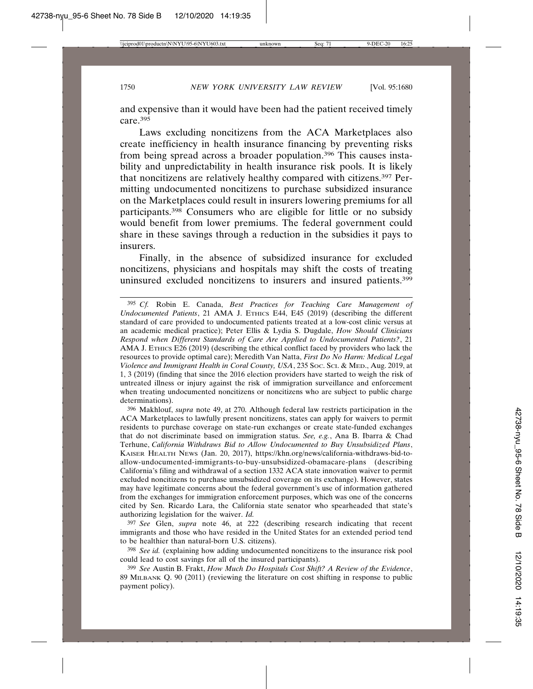and expensive than it would have been had the patient received timely care.395

Laws excluding noncitizens from the ACA Marketplaces also create inefficiency in health insurance financing by preventing risks from being spread across a broader population.396 This causes instability and unpredictability in health insurance risk pools. It is likely that noncitizens are relatively healthy compared with citizens.397 Permitting undocumented noncitizens to purchase subsidized insurance on the Marketplaces could result in insurers lowering premiums for all participants.398 Consumers who are eligible for little or no subsidy would benefit from lower premiums. The federal government could share in these savings through a reduction in the subsidies it pays to insurers.

Finally, in the absence of subsidized insurance for excluded noncitizens, physicians and hospitals may shift the costs of treating uninsured excluded noncitizens to insurers and insured patients.399

396 Makhlouf, *supra* note 49, at 270. Although federal law restricts participation in the ACA Marketplaces to lawfully present noncitizens, states can apply for waivers to permit residents to purchase coverage on state-run exchanges or create state-funded exchanges that do not discriminate based on immigration status. *See, e.g.*, Ana B. Ibarra & Chad Terhune, *California Withdraws Bid to Allow Undocumented to Buy Unsubsidized Plans*, KAISER HEALTH NEWS (Jan. 20, 2017), https://khn.org/news/california-withdraws-bid-toallow-undocumented-immigrants-to-buy-unsubsidized-obamacare-plans (describing California's filing and withdrawal of a section 1332 ACA state innovation waiver to permit excluded noncitizens to purchase unsubsidized coverage on its exchange). However, states may have legitimate concerns about the federal government's use of information gathered from the exchanges for immigration enforcement purposes, which was one of the concerns cited by Sen. Ricardo Lara, the California state senator who spearheaded that state's authorizing legislation for the waiver. *Id.*

397 *See* Glen, *supra* note 46, at 222 (describing research indicating that recent immigrants and those who have resided in the United States for an extended period tend to be healthier than natural-born U.S. citizens).

398 *See id.* (explaining how adding undocumented noncitizens to the insurance risk pool could lead to cost savings for all of the insured participants).

399 *See* Austin B. Frakt, *How Much Do Hospitals Cost Shift? A Review of the Evidence*, 89 MILBANK Q. 90 (2011) (reviewing the literature on cost shifting in response to public payment policy).

<sup>395</sup> *Cf.* Robin E. Canada, *Best Practices for Teaching Care Management of Undocumented Patients*, 21 AMA J. ETHICS E44, E45 (2019) (describing the different standard of care provided to undocumented patients treated at a low-cost clinic versus at an academic medical practice); Peter Ellis & Lydia S. Dugdale, *How Should Clinicians Respond when Different Standards of Care Are Applied to Undocumented Patients?*, 21 AMA J. ETHICS E26 (2019) (describing the ethical conflict faced by providers who lack the resources to provide optimal care); Meredith Van Natta, *First Do No Harm: Medical Legal Violence and Immigrant Health in Coral County, USA*, 235 SOC. SCI. & MED., Aug. 2019, at 1, 3 (2019) (finding that since the 2016 election providers have started to weigh the risk of untreated illness or injury against the risk of immigration surveillance and enforcement when treating undocumented noncitizens or noncitizens who are subject to public charge determinations).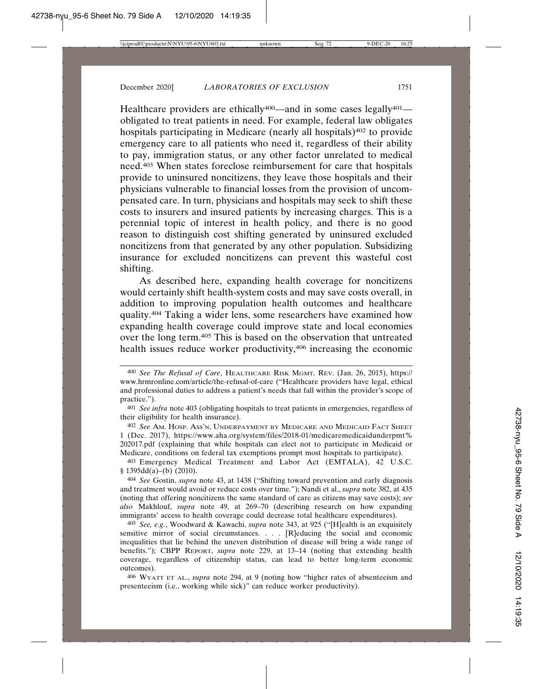Healthcare providers are ethically<sup>400</sup>—and in some cases legally<sup>401</sup> obligated to treat patients in need. For example, federal law obligates hospitals participating in Medicare (nearly all hospitals)<sup>402</sup> to provide emergency care to all patients who need it, regardless of their ability to pay, immigration status, or any other factor unrelated to medical need.403 When states foreclose reimbursement for care that hospitals provide to uninsured noncitizens, they leave those hospitals and their physicians vulnerable to financial losses from the provision of uncompensated care. In turn, physicians and hospitals may seek to shift these costs to insurers and insured patients by increasing charges. This is a perennial topic of interest in health policy, and there is no good reason to distinguish cost shifting generated by uninsured excluded noncitizens from that generated by any other population. Subsidizing insurance for excluded noncitizens can prevent this wasteful cost shifting.

As described here, expanding health coverage for noncitizens would certainly shift health-system costs and may save costs overall, in addition to improving population health outcomes and healthcare quality.404 Taking a wider lens, some researchers have examined how expanding health coverage could improve state and local economies over the long term.405 This is based on the observation that untreated health issues reduce worker productivity,406 increasing the economic

402 *See* AM. HOSP. ASS'N, UNDERPAYMENT BY MEDICARE AND MEDICAID FACT SHEET 1 (Dec. 2017), https://www.aha.org/system/files/2018-01/medicaremedicaidunderpmt% 202017.pdf (explaining that while hospitals can elect not to participate in Medicaid or Medicare, conditions on federal tax exemptions prompt most hospitals to participate).

403 Emergency Medical Treatment and Labor Act (EMTALA), 42 U.S.C.  $§ 1395dd(a)–(b) (2010).$ 

404 *See* Gostin, *supra* note 43, at 1438 ("Shifting toward prevention and early diagnosis and treatment would avoid or reduce costs over time."); Nandi et al., *supra* note 382, at 435 (noting that offering noncitizens the same standard of care as citizens may save costs); *see also* Makhlouf, *supra* note 49, at 269–70 (describing research on how expanding immigrants' access to health coverage could decrease total healthcare expenditures).

405 *See, e.g.*, Woodward & Kawachi, *supra* note 343, at 925 ("[H]ealth is an exquisitely sensitive mirror of social circumstances. . . . [R]educing the social and economic inequalities that lie behind the uneven distribution of disease will bring a wide range of benefits."); CBPP REPORT, *supra* note 229, at 13–14 (noting that extending health coverage, regardless of citizenship status, can lead to better long-term economic outcomes).

406 WYATT ET AL., *supra* note 294, at 9 (noting how "higher rates of absenteeism and presenteeism (i.e., working while sick)" can reduce worker productivity).

<sup>400</sup> *See The Refusal of Care*, HEALTHCARE RISK MGMT. REV. (Jan. 26, 2015), https:// www.hrmronline.com/article/the-refusal-of-care ("Healthcare providers have legal, ethical and professional duties to address a patient's needs that fall within the provider's scope of practice.").

<sup>401</sup> *See infra* note 403 (obligating hospitals to treat patients in emergencies, regardless of their eligibility for health insurance).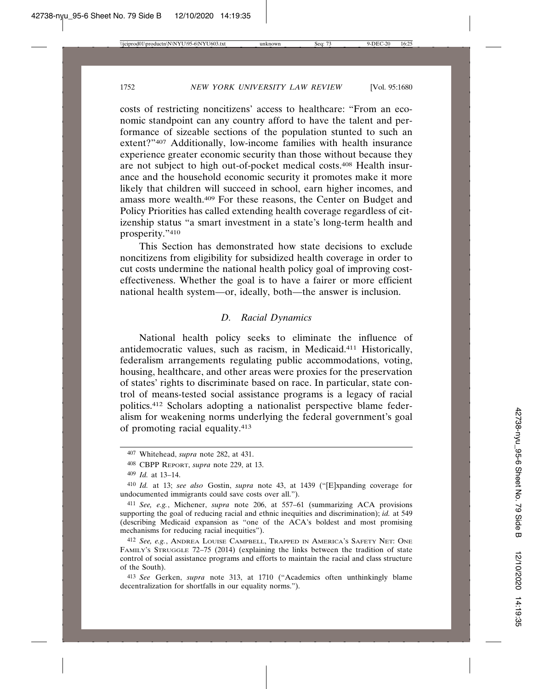costs of restricting noncitizens' access to healthcare: "From an economic standpoint can any country afford to have the talent and performance of sizeable sections of the population stunted to such an extent?"407 Additionally, low-income families with health insurance experience greater economic security than those without because they are not subject to high out-of-pocket medical costs.408 Health insurance and the household economic security it promotes make it more likely that children will succeed in school, earn higher incomes, and amass more wealth.409 For these reasons, the Center on Budget and Policy Priorities has called extending health coverage regardless of citizenship status "a smart investment in a state's long-term health and prosperity."410

This Section has demonstrated how state decisions to exclude noncitizens from eligibility for subsidized health coverage in order to cut costs undermine the national health policy goal of improving costeffectiveness. Whether the goal is to have a fairer or more efficient national health system—or, ideally, both—the answer is inclusion.

### *D. Racial Dynamics*

National health policy seeks to eliminate the influence of antidemocratic values, such as racism, in Medicaid.411 Historically, federalism arrangements regulating public accommodations, voting, housing, healthcare, and other areas were proxies for the preservation of states' rights to discriminate based on race. In particular, state control of means-tested social assistance programs is a legacy of racial politics.412 Scholars adopting a nationalist perspective blame federalism for weakening norms underlying the federal government's goal of promoting racial equality.413

<sup>407</sup> Whitehead, *supra* note 282, at 431.

<sup>408</sup> CBPP REPORT, *supra* note 229, at 13.

<sup>409</sup> *Id.* at 13–14.

<sup>410</sup> *Id.* at 13; *see also* Gostin, *supra* note 43, at 1439 ("[E]xpanding coverage for undocumented immigrants could save costs over all.").

<sup>411</sup> *See, e.g.*, Michener, *supra* note 206, at 557–61 (summarizing ACA provisions supporting the goal of reducing racial and ethnic inequities and discrimination); *id.* at 549 (describing Medicaid expansion as "one of the ACA's boldest and most promising mechanisms for reducing racial inequities").

<sup>412</sup> *See, e.g.*, ANDREA LOUISE CAMPBELL, TRAPPED IN AMERICA'S SAFETY NET: ONE FAMILY'S STRUGGLE 72–75 (2014) (explaining the links between the tradition of state control of social assistance programs and efforts to maintain the racial and class structure of the South).

<sup>413</sup> *See* Gerken, *supra* note 313, at 1710 ("Academics often unthinkingly blame decentralization for shortfalls in our equality norms.").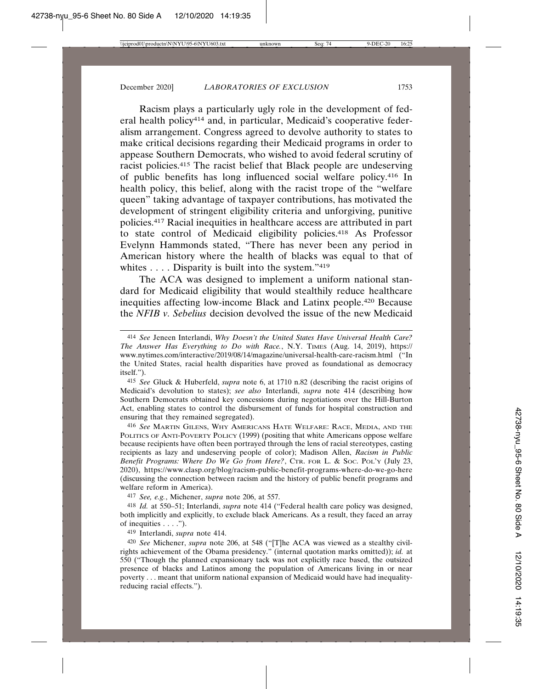Racism plays a particularly ugly role in the development of federal health policy414 and, in particular, Medicaid's cooperative federalism arrangement. Congress agreed to devolve authority to states to make critical decisions regarding their Medicaid programs in order to appease Southern Democrats, who wished to avoid federal scrutiny of racist policies.415 The racist belief that Black people are undeserving of public benefits has long influenced social welfare policy.416 In health policy, this belief, along with the racist trope of the "welfare queen" taking advantage of taxpayer contributions, has motivated the development of stringent eligibility criteria and unforgiving, punitive policies.417 Racial inequities in healthcare access are attributed in part to state control of Medicaid eligibility policies.418 As Professor Evelynn Hammonds stated, "There has never been any period in American history where the health of blacks was equal to that of whites . . . . Disparity is built into the system."<sup>419</sup>

The ACA was designed to implement a uniform national standard for Medicaid eligibility that would stealthily reduce healthcare inequities affecting low-income Black and Latinx people.420 Because the *NFIB v. Sebelius* decision devolved the issue of the new Medicaid

415 *See* Gluck & Huberfeld, *supra* note 6, at 1710 n.82 (describing the racist origins of Medicaid's devolution to states); *see also* Interlandi, *supra* note 414 (describing how Southern Democrats obtained key concessions during negotiations over the Hill-Burton Act, enabling states to control the disbursement of funds for hospital construction and ensuring that they remained segregated).

416 *See* MARTIN GILENS, WHY AMERICANS HATE WELFARE: RACE, MEDIA, AND THE POLITICS OF ANTI-POVERTY POLICY (1999) (positing that white Americans oppose welfare because recipients have often been portrayed through the lens of racial stereotypes, casting recipients as lazy and undeserving people of color); Madison Allen, *Racism in Public Benefit Programs: Where Do We Go from Here?*, CTR. FOR L. & SOC. POL'Y (July 23, 2020), https://www.clasp.org/blog/racism-public-benefit-programs-where-do-we-go-here (discussing the connection between racism and the history of public benefit programs and welfare reform in America).

417 *See, e.g.*, Michener, *supra* note 206, at 557.

418 *Id.* at 550–51; Interlandi, *supra* note 414 ("Federal health care policy was designed, both implicitly and explicitly, to exclude black Americans. As a result, they faced an array of inequities  $\dots$ .").

419 Interlandi, *supra* note 414.

420 *See* Michener, *supra* note 206, at 548 ("[T]he ACA was viewed as a stealthy civilrights achievement of the Obama presidency." (internal quotation marks omitted)); *id.* at 550 ("Though the planned expansionary tack was not explicitly race based, the outsized presence of blacks and Latinos among the population of Americans living in or near poverty . . . meant that uniform national expansion of Medicaid would have had inequalityreducing racial effects.").

<sup>414</sup> *See* Jeneen Interlandi, *Why Doesn't the United States Have Universal Health Care? The Answer Has Everything to Do with Race.*, N.Y. TIMES (Aug. 14, 2019), https:// www.nytimes.com/interactive/2019/08/14/magazine/universal-health-care-racism.html ("In the United States, racial health disparities have proved as foundational as democracy itself.").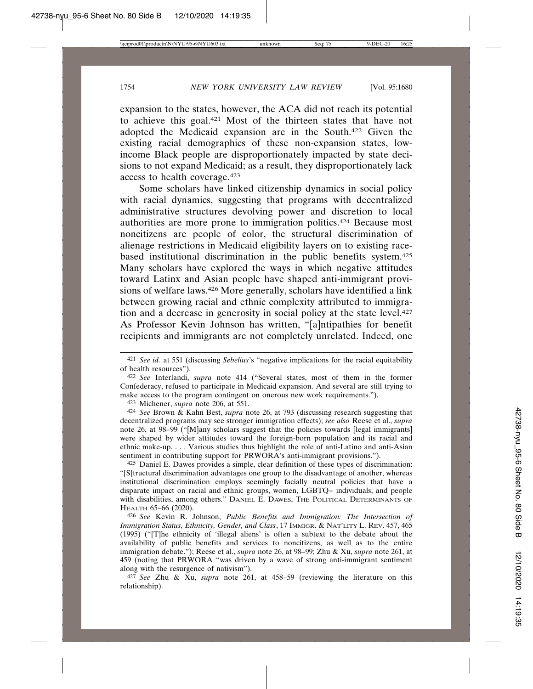expansion to the states, however, the ACA did not reach its potential to achieve this goal.421 Most of the thirteen states that have not adopted the Medicaid expansion are in the South.422 Given the existing racial demographics of these non-expansion states, lowincome Black people are disproportionately impacted by state decisions to not expand Medicaid; as a result, they disproportionately lack access to health coverage.423

Some scholars have linked citizenship dynamics in social policy with racial dynamics, suggesting that programs with decentralized administrative structures devolving power and discretion to local authorities are more prone to immigration politics.424 Because most noncitizens are people of color, the structural discrimination of alienage restrictions in Medicaid eligibility layers on to existing racebased institutional discrimination in the public benefits system.425 Many scholars have explored the ways in which negative attitudes toward Latinx and Asian people have shaped anti-immigrant provisions of welfare laws.426 More generally, scholars have identified a link between growing racial and ethnic complexity attributed to immigration and a decrease in generosity in social policy at the state level.427 As Professor Kevin Johnson has written, "[a]ntipathies for benefit recipients and immigrants are not completely unrelated. Indeed, one

423 Michener, *supra* note 206, at 551.

424 *See* Brown & Kahn Best, *supra* note 26, at 793 (discussing research suggesting that decentralized programs may see stronger immigration effects); *see also* Reese et al., *supra* note 26, at 98–99 ("[M]any scholars suggest that the policies towards [legal immigrants] were shaped by wider attitudes toward the foreign-born population and its racial and ethnic make-up. . . . Various studies thus highlight the role of anti-Latino and anti-Asian sentiment in contributing support for PRWORA's anti-immigrant provisions.").

425 Daniel E. Dawes provides a simple, clear definition of these types of discrimination: "[S]tructural discrimination advantages one group to the disadvantage of another, whereas institutional discrimination employs seemingly facially neutral policies that have a disparate impact on racial and ethnic groups, women, LGBTQ+ individuals, and people with disabilities, among others." DANIEL E. DAWES, THE POLITICAL DETERMINANTS OF HEALTH 65–66 (2020).

426 *See* Kevin R. Johnson, *Public Benefits and Immigration: The Intersection of Immigration Status, Ethnicity, Gender, and Class*, 17 IMMIGR. & NAT'LITY L. REV. 457, 465 (1995) ("[T]he ethnicity of 'illegal aliens' is often a subtext to the debate about the availability of public benefits and services to noncitizens, as well as to the entire immigration debate."); Reese et al., *supra* note 26, at 98–99; Zhu & Xu, *supra* note 261, at 459 (noting that PRWORA "was driven by a wave of strong anti-immigrant sentiment along with the resurgence of nativism").

427 *See* Zhu & Xu, *supra* note 261, at 458–59 (reviewing the literature on this relationship).

<sup>421</sup> *See id.* at 551 (discussing *Sebelius*'s "negative implications for the racial equitability of health resources").

<sup>422</sup> *See* Interlandi, *supra* note 414 ("Several states, most of them in the former Confederacy, refused to participate in Medicaid expansion. And several are still trying to make access to the program contingent on onerous new work requirements.").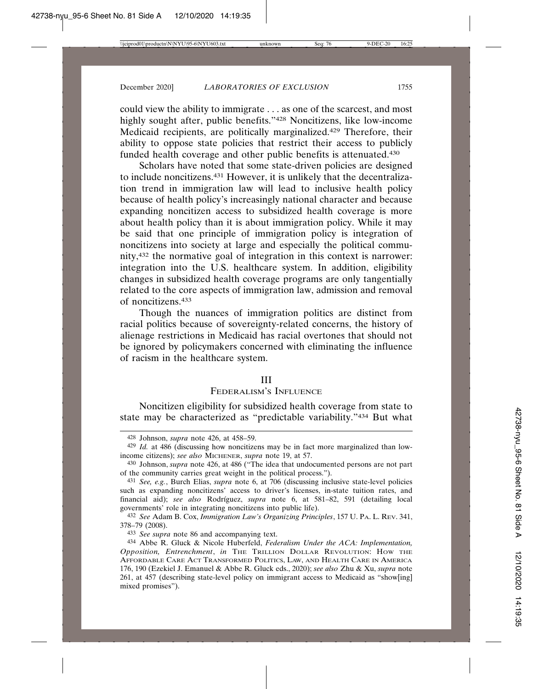could view the ability to immigrate . . . as one of the scarcest, and most highly sought after, public benefits."428 Noncitizens, like low-income Medicaid recipients, are politically marginalized.429 Therefore, their ability to oppose state policies that restrict their access to publicly funded health coverage and other public benefits is attenuated.430

Scholars have noted that some state-driven policies are designed to include noncitizens.431 However, it is unlikely that the decentralization trend in immigration law will lead to inclusive health policy because of health policy's increasingly national character and because expanding noncitizen access to subsidized health coverage is more about health policy than it is about immigration policy. While it may be said that one principle of immigration policy is integration of noncitizens into society at large and especially the political community,432 the normative goal of integration in this context is narrower: integration into the U.S. healthcare system. In addition, eligibility changes in subsidized health coverage programs are only tangentially related to the core aspects of immigration law, admission and removal of noncitizens.433

Though the nuances of immigration politics are distinct from racial politics because of sovereignty-related concerns, the history of alienage restrictions in Medicaid has racial overtones that should not be ignored by policymakers concerned with eliminating the influence of racism in the healthcare system.

### III

## FEDERALISM'S INFLUENCE

Noncitizen eligibility for subsidized health coverage from state to state may be characterized as "predictable variability."434 But what

433 *See supra* note 86 and accompanying text.

<sup>428</sup> Johnson, *supra* note 426, at 458–59.

<sup>429</sup> *Id.* at 486 (discussing how noncitizens may be in fact more marginalized than lowincome citizens); *see also* MICHENER, *supra* note 19, at 57.

<sup>430</sup> Johnson, *supra* note 426, at 486 ("The idea that undocumented persons are not part of the community carries great weight in the political process.").

<sup>431</sup> *See, e.g.*, Burch Elias, *supra* note 6, at 706 (discussing inclusive state-level policies such as expanding noncitizens' access to driver's licenses, in-state tuition rates, and financial aid); *see also* Rodríguez, *supra* note 6, at 581-82, 591 (detailing local governments' role in integrating noncitizens into public life).

<sup>432</sup> *See* Adam B. Cox, *Immigration Law's Organizing Principles*, 157 U. PA. L. REV. 341, 378–79 (2008).

<sup>434</sup> Abbe R. Gluck & Nicole Huberfeld, *Federalism Under the ACA: Implementation, Opposition, Entrenchment*, *in* THE TRILLION DOLLAR REVOLUTION: HOW THE AFFORDABLE CARE ACT TRANSFORMED POLITICS, LAW, AND HEALTH CARE IN AMERICA 176, 190 (Ezekiel J. Emanuel & Abbe R. Gluck eds., 2020); *see also* Zhu & Xu, *supra* note 261, at 457 (describing state-level policy on immigrant access to Medicaid as "show[ing] mixed promises").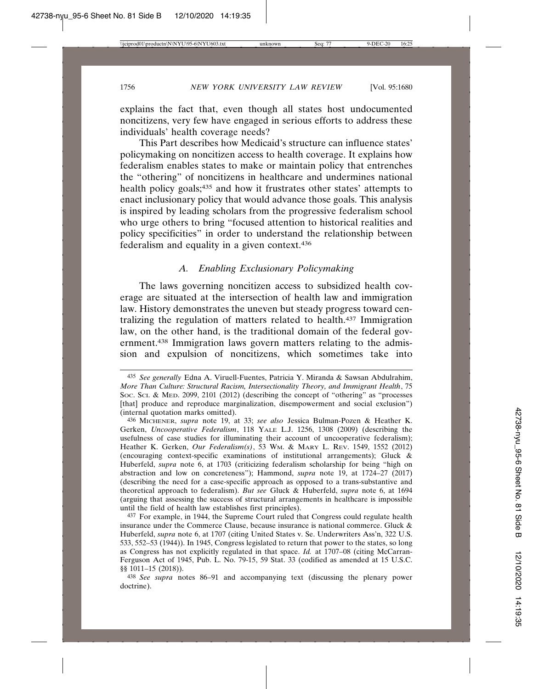explains the fact that, even though all states host undocumented noncitizens, very few have engaged in serious efforts to address these individuals' health coverage needs?

This Part describes how Medicaid's structure can influence states' policymaking on noncitizen access to health coverage. It explains how federalism enables states to make or maintain policy that entrenches the "othering" of noncitizens in healthcare and undermines national health policy goals;435 and how it frustrates other states' attempts to enact inclusionary policy that would advance those goals. This analysis is inspired by leading scholars from the progressive federalism school who urge others to bring "focused attention to historical realities and policy specificities" in order to understand the relationship between federalism and equality in a given context.436

### *A. Enabling Exclusionary Policymaking*

The laws governing noncitizen access to subsidized health coverage are situated at the intersection of health law and immigration law. History demonstrates the uneven but steady progress toward centralizing the regulation of matters related to health.437 Immigration law, on the other hand, is the traditional domain of the federal government.438 Immigration laws govern matters relating to the admission and expulsion of noncitizens, which sometimes take into

<sup>435</sup> *See generally* Edna A. Viruell-Fuentes, Patricia Y. Miranda & Sawsan Abdulrahim, *More Than Culture: Structural Racism, Intersectionality Theory, and Immigrant Health*, 75 SOC. SCI. & MED. 2099, 2101 (2012) (describing the concept of "othering" as "processes [that] produce and reproduce marginalization, disempowerment and social exclusion") (internal quotation marks omitted).

<sup>436</sup> MICHENER, *supra* note 19, at 33; *see also* Jessica Bulman-Pozen & Heather K. Gerken, *Uncooperative Federalism*, 118 YALE L.J. 1256, 1308 (2009) (describing the usefulness of case studies for illuminating their account of uncooperative federalism); Heather K. Gerken, *Our Federalism(s)*, 53 WM. & MARY L. REV. 1549, 1552 (2012) (encouraging context-specific examinations of institutional arrangements); Gluck & Huberfeld, *supra* note 6, at 1703 (criticizing federalism scholarship for being "high on abstraction and low on concreteness"); Hammond, *supra* note 19, at 1724–27 (2017) (describing the need for a case-specific approach as opposed to a trans-substantive and theoretical approach to federalism). *But see* Gluck & Huberfeld, *supra* note 6, at 1694 (arguing that assessing the success of structural arrangements in healthcare is impossible until the field of health law establishes first principles).

<sup>437</sup> For example, in 1944, the Supreme Court ruled that Congress could regulate health insurance under the Commerce Clause, because insurance is national commerce. Gluck & Huberfeld, *supra* note 6, at 1707 (citing United States v. Se. Underwriters Ass'n, 322 U.S. 533, 552–53 (1944)). In 1945, Congress legislated to return that power to the states, so long as Congress has not explicitly regulated in that space. *Id.* at 1707–08 (citing McCarran-Ferguson Act of 1945, Pub. L. No. 79-15, 59 Stat. 33 (codified as amended at 15 U.S.C. §§ 1011–15 (2018)).

<sup>438</sup> *See supra* notes 86–91 and accompanying text (discussing the plenary power doctrine).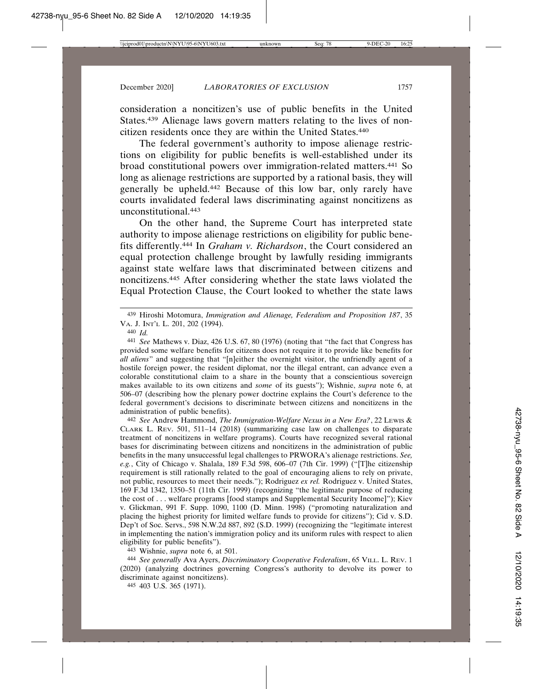consideration a noncitizen's use of public benefits in the United States.439 Alienage laws govern matters relating to the lives of noncitizen residents once they are within the United States.440

The federal government's authority to impose alienage restrictions on eligibility for public benefits is well-established under its broad constitutional powers over immigration-related matters.441 So long as alienage restrictions are supported by a rational basis, they will generally be upheld.442 Because of this low bar, only rarely have courts invalidated federal laws discriminating against noncitizens as unconstitutional.443

On the other hand, the Supreme Court has interpreted state authority to impose alienage restrictions on eligibility for public benefits differently.444 In *Graham v. Richardson*, the Court considered an equal protection challenge brought by lawfully residing immigrants against state welfare laws that discriminated between citizens and noncitizens.445 After considering whether the state laws violated the Equal Protection Clause, the Court looked to whether the state laws

440 *Id.*

441 *See* Mathews v. Diaz, 426 U.S. 67, 80 (1976) (noting that "the fact that Congress has provided some welfare benefits for citizens does not require it to provide like benefits for *all aliens*" and suggesting that "[n]either the overnight visitor, the unfriendly agent of a hostile foreign power, the resident diplomat, nor the illegal entrant, can advance even a colorable constitutional claim to a share in the bounty that a conscientious sovereign makes available to its own citizens and *some* of its guests"); Wishnie, *supra* note 6, at 506–07 (describing how the plenary power doctrine explains the Court's deference to the federal government's decisions to discriminate between citizens and noncitizens in the administration of public benefits).

442 *See* Andrew Hammond, *The Immigration-Welfare Nexus in a New Era?*, 22 LEWIS & CLARK L. REV. 501, 511–14 (2018) (summarizing case law on challenges to disparate treatment of noncitizens in welfare programs). Courts have recognized several rational bases for discriminating between citizens and noncitizens in the administration of public benefits in the many unsuccessful legal challenges to PRWORA's alienage restrictions. *See, e.g.*, City of Chicago v. Shalala, 189 F.3d 598, 606–07 (7th Cir. 1999) ("[T]he citizenship requirement is still rationally related to the goal of encouraging aliens to rely on private, not public, resources to meet their needs."); Rodriguez *ex rel.* Rodriguez v. United States, 169 F.3d 1342, 1350–51 (11th Cir. 1999) (recognizing "the legitimate purpose of reducing the cost of . . . welfare programs [food stamps and Supplemental Security Income]"); Kiev v. Glickman, 991 F. Supp. 1090, 1100 (D. Minn. 1998) ("promoting naturalization and placing the highest priority for limited welfare funds to provide for citizens"); Cid v. S.D. Dep't of Soc. Servs., 598 N.W.2d 887, 892 (S.D. 1999) (recognizing the "legitimate interest in implementing the nation's immigration policy and its uniform rules with respect to alien eligibility for public benefits").

443 Wishnie, *supra* note 6, at 501.

444 *See generally* Ava Ayers, *Discriminatory Cooperative Federalism*, 65 VILL. L. REV. 1 (2020) (analyzing doctrines governing Congress's authority to devolve its power to discriminate against noncitizens).

445 403 U.S. 365 (1971).

<sup>439</sup> Hiroshi Motomura, *Immigration and Alienage, Federalism and Proposition 187*, 35 VA. J. INT'L L. 201, 202 (1994).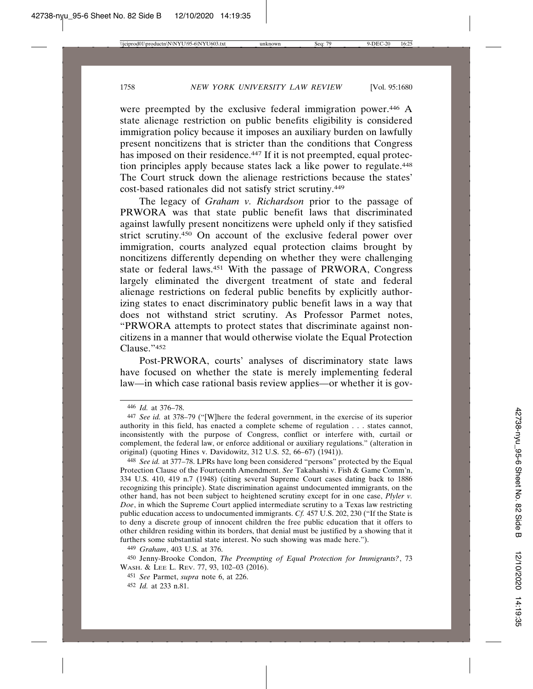were preempted by the exclusive federal immigration power.446 A state alienage restriction on public benefits eligibility is considered immigration policy because it imposes an auxiliary burden on lawfully present noncitizens that is stricter than the conditions that Congress has imposed on their residence.<sup>447</sup> If it is not preempted, equal protection principles apply because states lack a like power to regulate.448 The Court struck down the alienage restrictions because the states' cost-based rationales did not satisfy strict scrutiny.449

The legacy of *Graham v. Richardson* prior to the passage of PRWORA was that state public benefit laws that discriminated against lawfully present noncitizens were upheld only if they satisfied strict scrutiny.450 On account of the exclusive federal power over immigration, courts analyzed equal protection claims brought by noncitizens differently depending on whether they were challenging state or federal laws.451 With the passage of PRWORA, Congress largely eliminated the divergent treatment of state and federal alienage restrictions on federal public benefits by explicitly authorizing states to enact discriminatory public benefit laws in a way that does not withstand strict scrutiny. As Professor Parmet notes, "PRWORA attempts to protect states that discriminate against noncitizens in a manner that would otherwise violate the Equal Protection Clause."452

Post-PRWORA, courts' analyses of discriminatory state laws have focused on whether the state is merely implementing federal law—in which case rational basis review applies—or whether it is gov-

<sup>446</sup> *Id.* at 376–78.

<sup>447</sup> *See id.* at 378–79 ("[W]here the federal government, in the exercise of its superior authority in this field, has enacted a complete scheme of regulation . . . states cannot, inconsistently with the purpose of Congress, conflict or interfere with, curtail or complement, the federal law, or enforce additional or auxiliary regulations." (alteration in original) (quoting Hines v. Davidowitz, 312 U.S. 52, 66–67) (1941)).

<sup>448</sup> *See id.* at 377–78. LPRs have long been considered "persons" protected by the Equal Protection Clause of the Fourteenth Amendment. *See* Takahashi v. Fish & Game Comm'n, 334 U.S. 410, 419 n.7 (1948) (citing several Supreme Court cases dating back to 1886 recognizing this principle). State discrimination against undocumented immigrants, on the other hand, has not been subject to heightened scrutiny except for in one case, *Plyler v. Doe*, in which the Supreme Court applied intermediate scrutiny to a Texas law restricting public education access to undocumented immigrants. *Cf.* 457 U.S. 202, 230 ("If the State is to deny a discrete group of innocent children the free public education that it offers to other children residing within its borders, that denial must be justified by a showing that it furthers some substantial state interest. No such showing was made here.").

<sup>449</sup> *Graham*, 403 U.S. at 376.

<sup>450</sup> Jenny-Brooke Condon, *The Preempting of Equal Protection for Immigrants?*, 73 WASH. & LEE L. REV. 77, 93, 102–03 (2016).

<sup>451</sup> *See* Parmet, *supra* note 6, at 226.

<sup>452</sup> *Id.* at 233 n.81.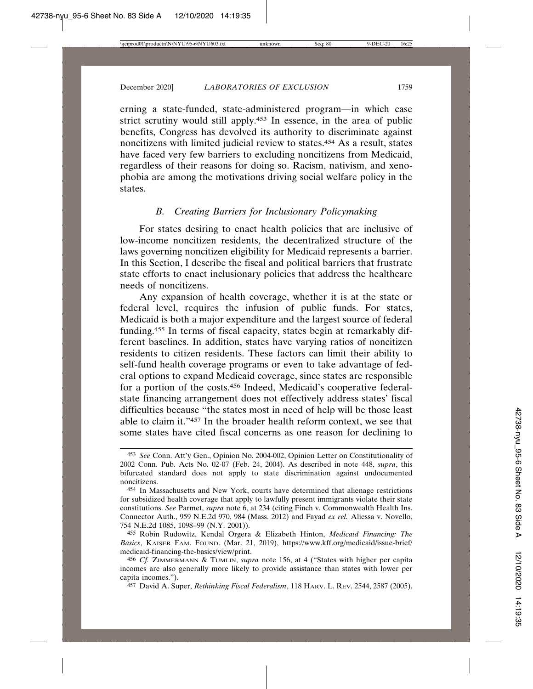erning a state-funded, state-administered program—in which case strict scrutiny would still apply.453 In essence, in the area of public benefits, Congress has devolved its authority to discriminate against noncitizens with limited judicial review to states.454 As a result, states have faced very few barriers to excluding noncitizens from Medicaid, regardless of their reasons for doing so. Racism, nativism, and xenophobia are among the motivations driving social welfare policy in the states.

# *B. Creating Barriers for Inclusionary Policymaking*

For states desiring to enact health policies that are inclusive of low-income noncitizen residents, the decentralized structure of the laws governing noncitizen eligibility for Medicaid represents a barrier. In this Section, I describe the fiscal and political barriers that frustrate state efforts to enact inclusionary policies that address the healthcare needs of noncitizens.

Any expansion of health coverage, whether it is at the state or federal level, requires the infusion of public funds. For states, Medicaid is both a major expenditure and the largest source of federal funding.455 In terms of fiscal capacity, states begin at remarkably different baselines. In addition, states have varying ratios of noncitizen residents to citizen residents. These factors can limit their ability to self-fund health coverage programs or even to take advantage of federal options to expand Medicaid coverage, since states are responsible for a portion of the costs.456 Indeed, Medicaid's cooperative federalstate financing arrangement does not effectively address states' fiscal difficulties because "the states most in need of help will be those least able to claim it."457 In the broader health reform context, we see that some states have cited fiscal concerns as one reason for declining to

457 David A. Super, *Rethinking Fiscal Federalism*, 118 HARV. L. REV. 2544, 2587 (2005).

<sup>453</sup> *See* Conn. Att'y Gen., Opinion No. 2004-002, Opinion Letter on Constitutionality of 2002 Conn. Pub. Acts No. 02-07 (Feb. 24, 2004). As described in note 448, *supra*, this bifurcated standard does not apply to state discrimination against undocumented noncitizens.

<sup>454</sup> In Massachusetts and New York, courts have determined that alienage restrictions for subsidized health coverage that apply to lawfully present immigrants violate their state constitutions. *See* Parmet, *supra* note 6, at 234 (citing Finch v. Commonwealth Health Ins. Connector Auth., 959 N.E.2d 970, 984 (Mass. 2012) and Fayad *ex rel.* Aliessa v. Novello, 754 N.E.2d 1085, 1098–99 (N.Y. 2001)).

<sup>455</sup> Robin Rudowitz, Kendal Orgera & Elizabeth Hinton, *Medicaid Financing: The Basics*, KAISER FAM. FOUND. (Mar. 21, 2019), https://www.kff.org/medicaid/issue-brief/ medicaid-financing-the-basics/view/print.

<sup>456</sup> *Cf.* ZIMMERMANN & TUMLIN, *supra* note 156, at 4 ("States with higher per capita incomes are also generally more likely to provide assistance than states with lower per capita incomes.").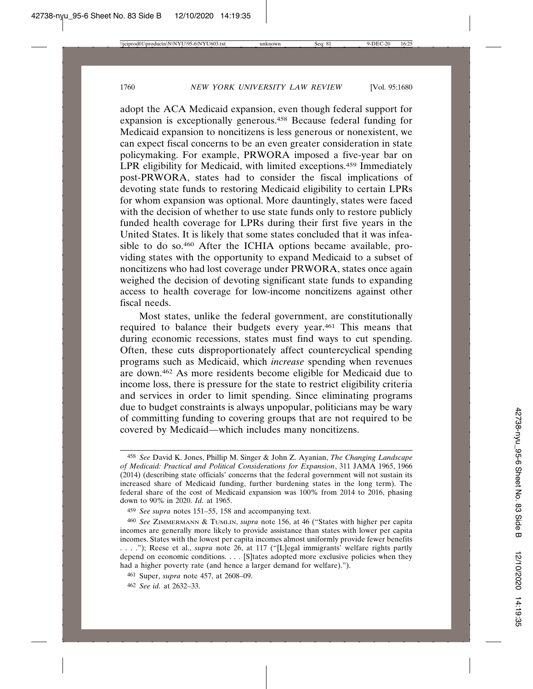adopt the ACA Medicaid expansion, even though federal support for expansion is exceptionally generous.458 Because federal funding for Medicaid expansion to noncitizens is less generous or nonexistent, we can expect fiscal concerns to be an even greater consideration in state policymaking. For example, PRWORA imposed a five-year bar on LPR eligibility for Medicaid, with limited exceptions.459 Immediately post-PRWORA, states had to consider the fiscal implications of devoting state funds to restoring Medicaid eligibility to certain LPRs for whom expansion was optional. More dauntingly, states were faced with the decision of whether to use state funds only to restore publicly funded health coverage for LPRs during their first five years in the United States. It is likely that some states concluded that it was infeasible to do so.460 After the ICHIA options became available, providing states with the opportunity to expand Medicaid to a subset of noncitizens who had lost coverage under PRWORA, states once again weighed the decision of devoting significant state funds to expanding access to health coverage for low-income noncitizens against other fiscal needs.

Most states, unlike the federal government, are constitutionally required to balance their budgets every year.461 This means that during economic recessions, states must find ways to cut spending. Often, these cuts disproportionately affect countercyclical spending programs such as Medicaid, which *increase* spending when revenues are down.462 As more residents become eligible for Medicaid due to income loss, there is pressure for the state to restrict eligibility criteria and services in order to limit spending. Since eliminating programs due to budget constraints is always unpopular, politicians may be wary of committing funding to covering groups that are not required to be covered by Medicaid—which includes many noncitizens.

<sup>458</sup> *See* David K. Jones, Phillip M. Singer & John Z. Ayanian, *The Changing Landscape of Medicaid: Practical and Political Considerations for Expansion*, 311 JAMA 1965, 1966 (2014) (describing state officials' concerns that the federal government will not sustain its increased share of Medicaid funding, further burdening states in the long term). The federal share of the cost of Medicaid expansion was 100% from 2014 to 2016, phasing down to 90% in 2020. *Id.* at 1965.

<sup>459</sup> *See supra* notes 151–55, 158 and accompanying text.

<sup>460</sup> *See* ZIMMERMANN & TUMLIN, *supra* note 156, at 46 ("States with higher per capita incomes are generally more likely to provide assistance than states with lower per capita incomes. States with the lowest per capita incomes almost uniformly provide fewer benefits . . . ."); Reese et al., *supra* note 26, at 117 ("[L]egal immigrants' welfare rights partly depend on economic conditions. . . . [S]tates adopted more exclusive policies when they had a higher poverty rate (and hence a larger demand for welfare).").

<sup>461</sup> Super, *supra* note 457, at 2608–09.

<sup>462</sup> *See id.* at 2632–33.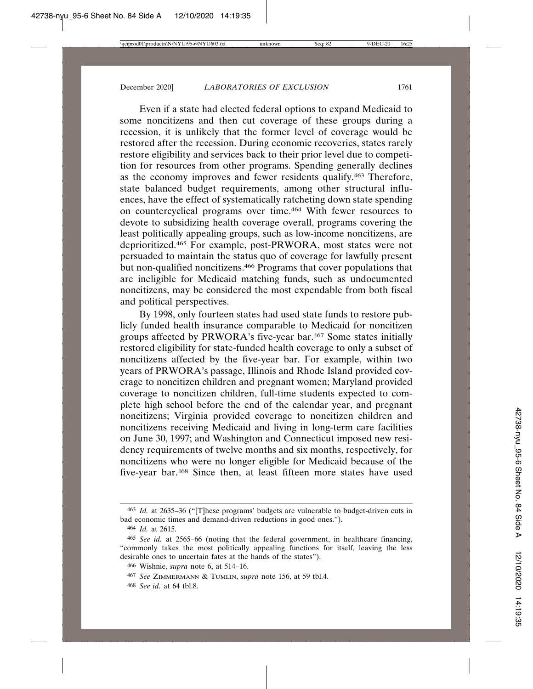Even if a state had elected federal options to expand Medicaid to some noncitizens and then cut coverage of these groups during a recession, it is unlikely that the former level of coverage would be restored after the recession. During economic recoveries, states rarely restore eligibility and services back to their prior level due to competition for resources from other programs. Spending generally declines as the economy improves and fewer residents qualify.463 Therefore, state balanced budget requirements, among other structural influences, have the effect of systematically ratcheting down state spending on countercyclical programs over time.464 With fewer resources to devote to subsidizing health coverage overall, programs covering the least politically appealing groups, such as low-income noncitizens, are deprioritized.465 For example, post-PRWORA, most states were not persuaded to maintain the status quo of coverage for lawfully present but non-qualified noncitizens.<sup>466</sup> Programs that cover populations that are ineligible for Medicaid matching funds, such as undocumented noncitizens, may be considered the most expendable from both fiscal and political perspectives.

By 1998, only fourteen states had used state funds to restore publicly funded health insurance comparable to Medicaid for noncitizen groups affected by PRWORA's five-year bar.467 Some states initially restored eligibility for state-funded health coverage to only a subset of noncitizens affected by the five-year bar. For example, within two years of PRWORA's passage, Illinois and Rhode Island provided coverage to noncitizen children and pregnant women; Maryland provided coverage to noncitizen children, full-time students expected to complete high school before the end of the calendar year, and pregnant noncitizens; Virginia provided coverage to noncitizen children and noncitizens receiving Medicaid and living in long-term care facilities on June 30, 1997; and Washington and Connecticut imposed new residency requirements of twelve months and six months, respectively, for noncitizens who were no longer eligible for Medicaid because of the five-year bar.468 Since then, at least fifteen more states have used

<sup>&</sup>lt;sup>463</sup> *Id.* at 2635–36 ("[T]hese programs' budgets are vulnerable to budget-driven cuts in bad economic times and demand-driven reductions in good ones.").

<sup>464</sup> *Id.* at 2615.

<sup>465</sup> *See id.* at 2565–66 (noting that the federal government, in healthcare financing, "commonly takes the most politically appealing functions for itself, leaving the less desirable ones to uncertain fates at the hands of the states").

<sup>466</sup> Wishnie, *supra* note 6, at 514–16.

<sup>467</sup> *See* ZIMMERMANN & TUMLIN, *supra* note 156, at 59 tbl.4.

<sup>468</sup> *See id.* at 64 tbl.8.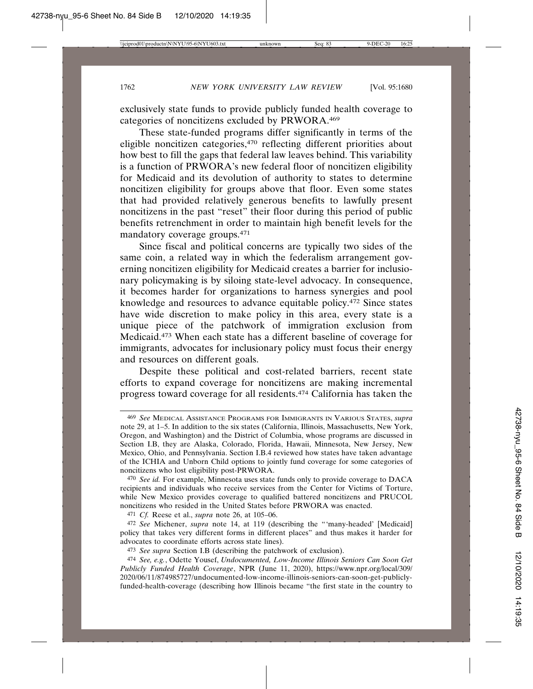exclusively state funds to provide publicly funded health coverage to categories of noncitizens excluded by PRWORA.469

These state-funded programs differ significantly in terms of the eligible noncitizen categories,470 reflecting different priorities about how best to fill the gaps that federal law leaves behind. This variability is a function of PRWORA's new federal floor of noncitizen eligibility for Medicaid and its devolution of authority to states to determine noncitizen eligibility for groups above that floor. Even some states that had provided relatively generous benefits to lawfully present noncitizens in the past "reset" their floor during this period of public benefits retrenchment in order to maintain high benefit levels for the mandatory coverage groups.471

Since fiscal and political concerns are typically two sides of the same coin, a related way in which the federalism arrangement governing noncitizen eligibility for Medicaid creates a barrier for inclusionary policymaking is by siloing state-level advocacy. In consequence, it becomes harder for organizations to harness synergies and pool knowledge and resources to advance equitable policy.472 Since states have wide discretion to make policy in this area, every state is a unique piece of the patchwork of immigration exclusion from Medicaid.473 When each state has a different baseline of coverage for immigrants, advocates for inclusionary policy must focus their energy and resources on different goals.

Despite these political and cost-related barriers, recent state efforts to expand coverage for noncitizens are making incremental progress toward coverage for all residents.474 California has taken the

<sup>469</sup> *See* MEDICAL ASSISTANCE PROGRAMS FOR IMMIGRANTS IN VARIOUS STATES, *supra* note 29, at 1–5. In addition to the six states (California, Illinois, Massachusetts, New York, Oregon, and Washington) and the District of Columbia, whose programs are discussed in Section I.B, they are Alaska, Colorado, Florida, Hawaii, Minnesota, New Jersey, New Mexico, Ohio, and Pennsylvania. Section I.B.4 reviewed how states have taken advantage of the ICHIA and Unborn Child options to jointly fund coverage for some categories of noncitizens who lost eligibility post-PRWORA.

<sup>470</sup> *See id.* For example, Minnesota uses state funds only to provide coverage to DACA recipients and individuals who receive services from the Center for Victims of Torture, while New Mexico provides coverage to qualified battered noncitizens and PRUCOL noncitizens who resided in the United States before PRWORA was enacted.

<sup>471</sup> *Cf.* Reese et al., *supra* note 26, at 105–06.

<sup>472</sup> *See* Michener, *supra* note 14, at 119 (describing the "'many-headed' [Medicaid] policy that takes very different forms in different places" and thus makes it harder for advocates to coordinate efforts across state lines).

<sup>473</sup> *See supra* Section I.B (describing the patchwork of exclusion).

<sup>474</sup> *See, e.g.*, Odette Yousef, *Undocumented, Low-Income Illinois Seniors Can Soon Get Publicly Funded Health Coverage*, NPR (June 11, 2020), https://www.npr.org/local/309/ 2020/06/11/874985727/undocumented-low-income-illinois-seniors-can-soon-get-publiclyfunded-health-coverage (describing how Illinois became "the first state in the country to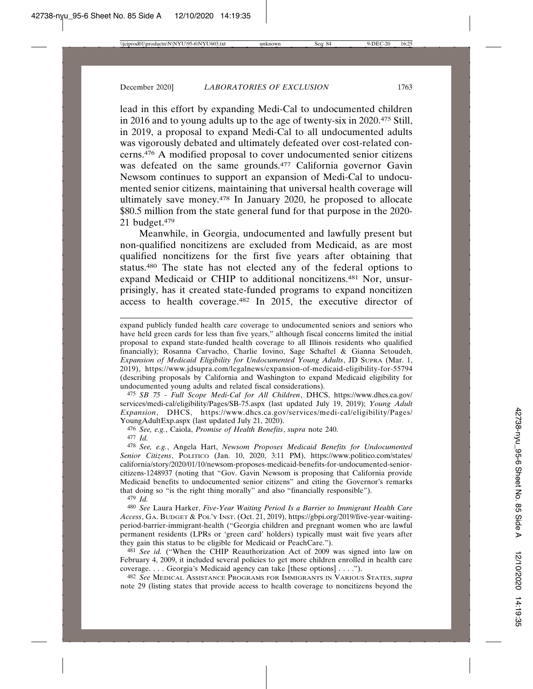lead in this effort by expanding Medi-Cal to undocumented children in 2016 and to young adults up to the age of twenty-six in 2020.475 Still, in 2019, a proposal to expand Medi-Cal to all undocumented adults was vigorously debated and ultimately defeated over cost-related concerns.476 A modified proposal to cover undocumented senior citizens was defeated on the same grounds.<sup>477</sup> California governor Gavin Newsom continues to support an expansion of Medi-Cal to undocumented senior citizens, maintaining that universal health coverage will ultimately save money.478 In January 2020, he proposed to allocate \$80.5 million from the state general fund for that purpose in the 2020- 21 budget.479

Meanwhile, in Georgia, undocumented and lawfully present but non-qualified noncitizens are excluded from Medicaid, as are most qualified noncitizens for the first five years after obtaining that status.480 The state has not elected any of the federal options to expand Medicaid or CHIP to additional noncitizens.481 Nor, unsurprisingly, has it created state-funded programs to expand noncitizen access to health coverage.482 In 2015, the executive director of

475 *SB 75 - Full Scope Medi-Cal for All Children*, DHCS, https://www.dhcs.ca.gov/ services/medi-cal/eligibility/Pages/SB-75.aspx (last updated July 19, 2019); *Young Adult Expansion*, DHCS, https://www.dhcs.ca.gov/services/medi-cal/eligibility/Pages/ YoungAdultExp.aspx (last updated July 21, 2020).

476 *See, e.g.*, Caiola, *Promise of Health Benefits*, *supra* note 240. 477 *Id.*

478 *See, e.g.*, Angela Hart, *Newsom Proposes Medicaid Benefits for Undocumented Senior Citizens*, POLITICO (Jan. 10, 2020, 3:11 PM), https://www.politico.com/states/ california/story/2020/01/10/newsom-proposes-medicaid-benefits-for-undocumented-seniorcitizens-1248937 (noting that "Gov. Gavin Newsom is proposing that California provide Medicaid benefits to undocumented senior citizens" and citing the Governor's remarks that doing so "is the right thing morally" and also "financially responsible").

479 *Id.*

480 *See* Laura Harker, *Five-Year Waiting Period Is a Barrier to Immigrant Health Care Access*, GA. BUDGET & POL'Y INST. (Oct. 21, 2019), https://gbpi.org/2019/five-year-waitingperiod-barrier-immigrant-health ("Georgia children and pregnant women who are lawful permanent residents (LPRs or 'green card' holders) typically must wait five years after they gain this status to be eligible for Medicaid or PeachCare.").

481 *See id.* ("When the CHIP Reauthorization Act of 2009 was signed into law on February 4, 2009, it included several policies to get more children enrolled in health care coverage. . . . Georgia's Medicaid agency can take [these options] . . . .").

482 *See* MEDICAL ASSISTANCE PROGRAMS FOR IMMIGRANTS IN VARIOUS STATES, *supra* note 29 (listing states that provide access to health coverage to noncitizens beyond the

expand publicly funded health care coverage to undocumented seniors and seniors who have held green cards for less than five years," although fiscal concerns limited the initial proposal to expand state-funded health coverage to all Illinois residents who qualified financially); Rosanna Carvacho, Charlie Iovino, Sage Schaftel & Gianna Setoudeh, *Expansion of Medicaid Eligibility for Undocumented Young Adults*, JD SUPRA (Mar. 1, 2019), https://www.jdsupra.com/legalnews/expansion-of-medicaid-eligibility-for-55794 (describing proposals by California and Washington to expand Medicaid eligibility for undocumented young adults and related fiscal considerations).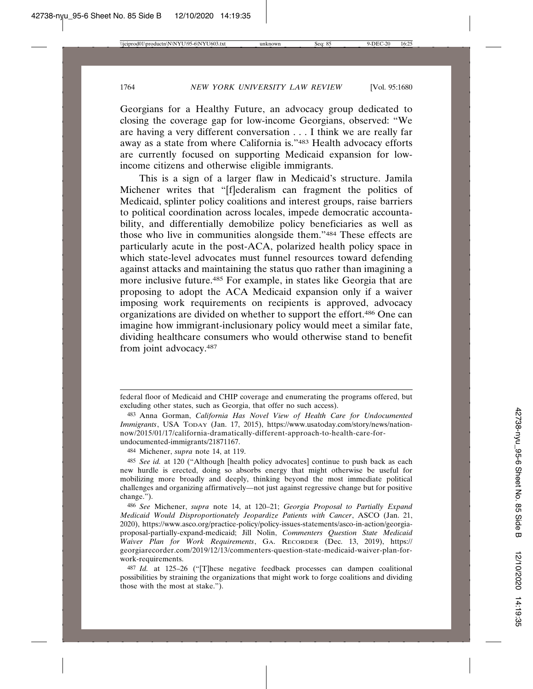Georgians for a Healthy Future, an advocacy group dedicated to closing the coverage gap for low-income Georgians, observed: "We are having a very different conversation . . . I think we are really far away as a state from where California is."483 Health advocacy efforts are currently focused on supporting Medicaid expansion for lowincome citizens and otherwise eligible immigrants.

This is a sign of a larger flaw in Medicaid's structure. Jamila Michener writes that "[f]ederalism can fragment the politics of Medicaid, splinter policy coalitions and interest groups, raise barriers to political coordination across locales, impede democratic accountability, and differentially demobilize policy beneficiaries as well as those who live in communities alongside them."484 These effects are particularly acute in the post-ACA, polarized health policy space in which state-level advocates must funnel resources toward defending against attacks and maintaining the status quo rather than imagining a more inclusive future.485 For example, in states like Georgia that are proposing to adopt the ACA Medicaid expansion only if a waiver imposing work requirements on recipients is approved, advocacy organizations are divided on whether to support the effort.486 One can imagine how immigrant-inclusionary policy would meet a similar fate, dividing healthcare consumers who would otherwise stand to benefit from joint advocacy.487

484 Michener, *supra* note 14, at 119.

federal floor of Medicaid and CHIP coverage and enumerating the programs offered, but excluding other states, such as Georgia, that offer no such access).

<sup>483</sup> Anna Gorman, *California Has Novel View of Health Care for Undocumented Immigrants*, USA TODAY (Jan. 17, 2015), https://www.usatoday.com/story/news/nationnow/2015/01/17/california-dramatically-different-approach-to-health-care-forundocumented-immigrants/21871167.

<sup>485</sup> *See id.* at 120 ("Although [health policy advocates] continue to push back as each new hurdle is erected, doing so absorbs energy that might otherwise be useful for mobilizing more broadly and deeply, thinking beyond the most immediate political challenges and organizing affirmatively—not just against regressive change but for positive change.").

<sup>486</sup> *See* Michener, *supra* note 14, at 120–21; *Georgia Proposal to Partially Expand Medicaid Would Disproportionately Jeopardize Patients with Cancer*, ASCO (Jan. 21, 2020), https://www.asco.org/practice-policy/policy-issues-statements/asco-in-action/georgiaproposal-partially-expand-medicaid; Jill Nolin, *Commenters Question State Medicaid Waiver Plan for Work Requirements*, GA. RECORDER (Dec. 13, 2019), https:// georgiarecorder.com/2019/12/13/commenters-question-state-medicaid-waiver-plan-forwork-requirements.

<sup>487</sup> *Id.* at 125–26 ("[T]hese negative feedback processes can dampen coalitional possibilities by straining the organizations that might work to forge coalitions and dividing those with the most at stake.").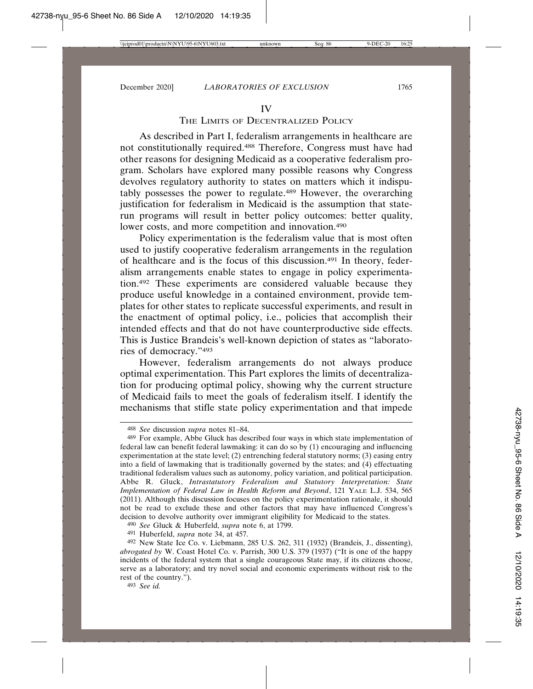#### IV

## THE LIMITS OF DECENTRALIZED POLICY

As described in Part I, federalism arrangements in healthcare are not constitutionally required.488 Therefore, Congress must have had other reasons for designing Medicaid as a cooperative federalism program. Scholars have explored many possible reasons why Congress devolves regulatory authority to states on matters which it indisputably possesses the power to regulate.489 However, the overarching justification for federalism in Medicaid is the assumption that staterun programs will result in better policy outcomes: better quality, lower costs, and more competition and innovation.<sup>490</sup>

Policy experimentation is the federalism value that is most often used to justify cooperative federalism arrangements in the regulation of healthcare and is the focus of this discussion.491 In theory, federalism arrangements enable states to engage in policy experimentation.492 These experiments are considered valuable because they produce useful knowledge in a contained environment, provide templates for other states to replicate successful experiments, and result in the enactment of optimal policy, i.e., policies that accomplish their intended effects and that do not have counterproductive side effects. This is Justice Brandeis's well-known depiction of states as "laboratories of democracy."493

However, federalism arrangements do not always produce optimal experimentation. This Part explores the limits of decentralization for producing optimal policy, showing why the current structure of Medicaid fails to meet the goals of federalism itself. I identify the mechanisms that stifle state policy experimentation and that impede

493 *See id.*

<sup>488</sup> *See* discussion *supra* notes 81–84.

<sup>489</sup> For example, Abbe Gluck has described four ways in which state implementation of federal law can benefit federal lawmaking: it can do so by (1) encouraging and influencing experimentation at the state level; (2) entrenching federal statutory norms; (3) easing entry into a field of lawmaking that is traditionally governed by the states; and (4) effectuating traditional federalism values such as autonomy, policy variation, and political participation. Abbe R. Gluck, *Intrastatutory Federalism and Statutory Interpretation: State Implementation of Federal Law in Health Reform and Beyond*, 121 YALE L.J. 534, 565 (2011). Although this discussion focuses on the policy experimentation rationale, it should not be read to exclude these and other factors that may have influenced Congress's decision to devolve authority over immigrant eligibility for Medicaid to the states.

<sup>490</sup> *See* Gluck & Huberfeld, *supra* note 6, at 1799.

<sup>491</sup> Huberfeld, *supra* note 34, at 457.

<sup>492</sup> New State Ice Co. v. Liebmann, 285 U.S. 262, 311 (1932) (Brandeis, J., dissenting), *abrogated by* W. Coast Hotel Co. v. Parrish, 300 U.S. 379 (1937) ("It is one of the happy incidents of the federal system that a single courageous State may, if its citizens choose, serve as a laboratory; and try novel social and economic experiments without risk to the rest of the country.").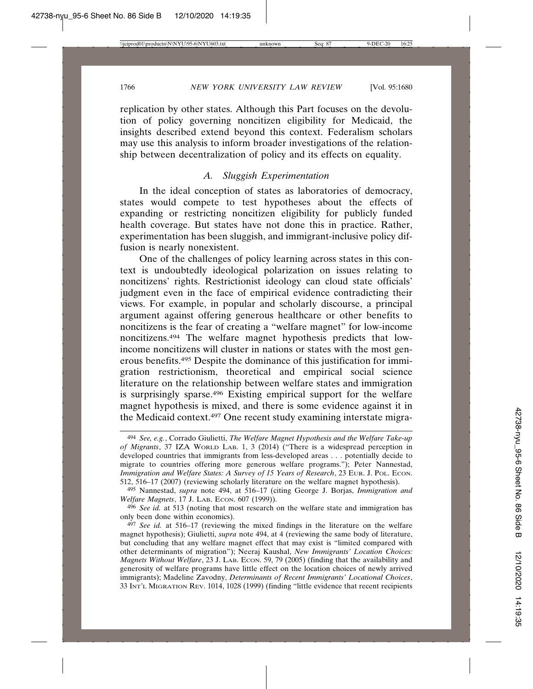replication by other states. Although this Part focuses on the devolution of policy governing noncitizen eligibility for Medicaid, the insights described extend beyond this context. Federalism scholars may use this analysis to inform broader investigations of the relationship between decentralization of policy and its effects on equality.

## *A. Sluggish Experimentation*

In the ideal conception of states as laboratories of democracy, states would compete to test hypotheses about the effects of expanding or restricting noncitizen eligibility for publicly funded health coverage. But states have not done this in practice. Rather, experimentation has been sluggish, and immigrant-inclusive policy diffusion is nearly nonexistent.

One of the challenges of policy learning across states in this context is undoubtedly ideological polarization on issues relating to noncitizens' rights. Restrictionist ideology can cloud state officials' judgment even in the face of empirical evidence contradicting their views. For example, in popular and scholarly discourse, a principal argument against offering generous healthcare or other benefits to noncitizens is the fear of creating a "welfare magnet" for low-income noncitizens.494 The welfare magnet hypothesis predicts that lowincome noncitizens will cluster in nations or states with the most generous benefits.495 Despite the dominance of this justification for immigration restrictionism, theoretical and empirical social science literature on the relationship between welfare states and immigration is surprisingly sparse.496 Existing empirical support for the welfare magnet hypothesis is mixed, and there is some evidence against it in the Medicaid context.497 One recent study examining interstate migra-

<sup>494</sup> *See, e.g.*, Corrado Giulietti, *The Welfare Magnet Hypothesis and the Welfare Take-up of Migrants*, 37 IZA WORLD LAB. 1, 3 (2014) ("There is a widespread perception in developed countries that immigrants from less-developed areas . . . potentially decide to migrate to countries offering more generous welfare programs."); Peter Nannestad, *Immigration and Welfare States: A Survey of 15 Years of Research*, 23 EUR. J. POL. ECON. 512, 516–17 (2007) (reviewing scholarly literature on the welfare magnet hypothesis).

<sup>495</sup> Nannestad, *supra* note 494, at 516–17 (citing George J. Borjas, *Immigration and Welfare Magnets*, 17 J. LAB. ECON. 607 (1999)).

<sup>496</sup> *See id.* at 513 (noting that most research on the welfare state and immigration has only been done within economics).

<sup>497</sup> *See id.* at 516–17 (reviewing the mixed findings in the literature on the welfare magnet hypothesis); Giulietti, *supra* note 494, at 4 (reviewing the same body of literature, but concluding that any welfare magnet effect that may exist is "limited compared with other determinants of migration"); Neeraj Kaushal, *New Immigrants' Location Choices: Magnets Without Welfare*, 23 J. LAB. ECON. 59, 79 (2005) (finding that the availability and generosity of welfare programs have little effect on the location choices of newly arrived immigrants); Madeline Zavodny, *Determinants of Recent Immigrants' Locational Choices*, 33 INT'L MIGRATION REV. 1014, 1028 (1999) (finding "little evidence that recent recipients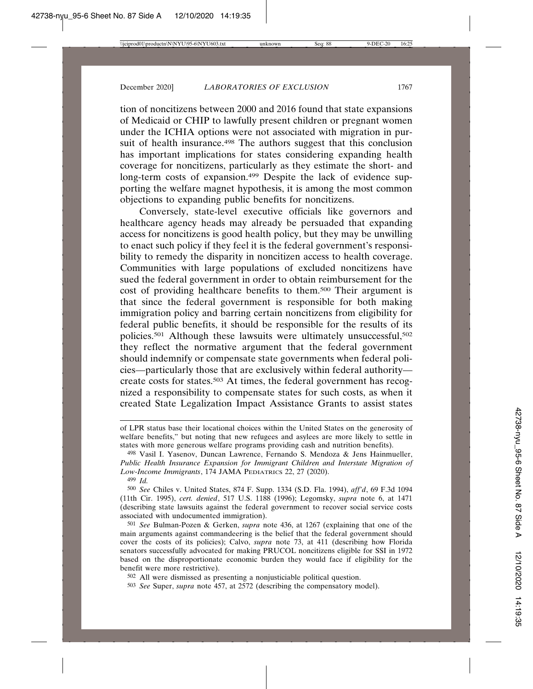tion of noncitizens between 2000 and 2016 found that state expansions of Medicaid or CHIP to lawfully present children or pregnant women under the ICHIA options were not associated with migration in pursuit of health insurance.<sup>498</sup> The authors suggest that this conclusion has important implications for states considering expanding health coverage for noncitizens, particularly as they estimate the short- and long-term costs of expansion.499 Despite the lack of evidence supporting the welfare magnet hypothesis, it is among the most common objections to expanding public benefits for noncitizens.

Conversely, state-level executive officials like governors and healthcare agency heads may already be persuaded that expanding access for noncitizens is good health policy, but they may be unwilling to enact such policy if they feel it is the federal government's responsibility to remedy the disparity in noncitizen access to health coverage. Communities with large populations of excluded noncitizens have sued the federal government in order to obtain reimbursement for the cost of providing healthcare benefits to them.500 Their argument is that since the federal government is responsible for both making immigration policy and barring certain noncitizens from eligibility for federal public benefits, it should be responsible for the results of its policies.501 Although these lawsuits were ultimately unsuccessful,502 they reflect the normative argument that the federal government should indemnify or compensate state governments when federal policies—particularly those that are exclusively within federal authority create costs for states.503 At times, the federal government has recognized a responsibility to compensate states for such costs, as when it created State Legalization Impact Assistance Grants to assist states

501 *See* Bulman-Pozen & Gerken, *supra* note 436, at 1267 (explaining that one of the main arguments against commandeering is the belief that the federal government should cover the costs of its policies); Calvo, *supra* note 73, at 411 (describing how Florida senators successfully advocated for making PRUCOL noncitizens eligible for SSI in 1972 based on the disproportionate economic burden they would face if eligibility for the benefit were more restrictive).

502 All were dismissed as presenting a nonjusticiable political question.

503 *See* Super, *supra* note 457, at 2572 (describing the compensatory model).

of LPR status base their locational choices within the United States on the generosity of welfare benefits," but noting that new refugees and asylees are more likely to settle in states with more generous welfare programs providing cash and nutrition benefits).

<sup>498</sup> Vasil I. Yasenov, Duncan Lawrence, Fernando S. Mendoza & Jens Hainmueller, *Public Health Insurance Expansion for Immigrant Children and Interstate Migration of Low-Income Immigrants*, 174 JAMA PEDIATRICS 22, 27 (2020).

<sup>499</sup> *Id.*

<sup>500</sup> *See* Chiles v. United States, 874 F. Supp. 1334 (S.D. Fla. 1994), *aff'd*, 69 F.3d 1094 (11th Cir. 1995), *cert. denied*, 517 U.S. 1188 (1996); Legomsky, *supra* note 6, at 1471 (describing state lawsuits against the federal government to recover social service costs associated with undocumented immigration).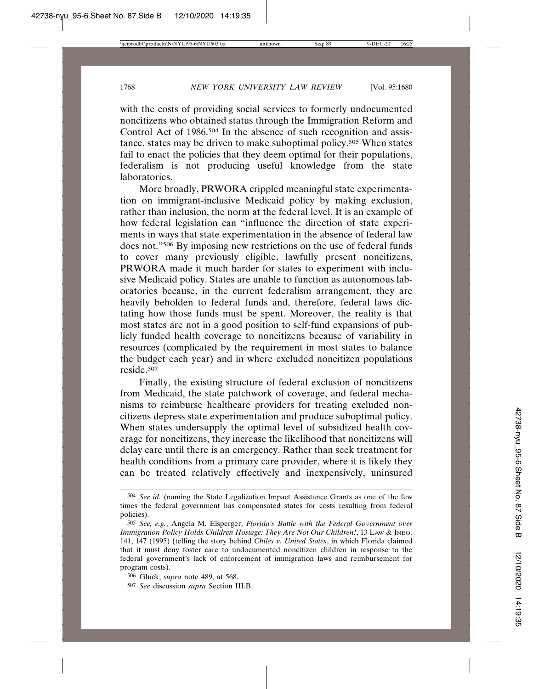with the costs of providing social services to formerly undocumented noncitizens who obtained status through the Immigration Reform and Control Act of 1986.<sup>504</sup> In the absence of such recognition and assistance, states may be driven to make suboptimal policy.505 When states fail to enact the policies that they deem optimal for their populations, federalism is not producing useful knowledge from the state laboratories.

More broadly, PRWORA crippled meaningful state experimentation on immigrant-inclusive Medicaid policy by making exclusion, rather than inclusion, the norm at the federal level. It is an example of how federal legislation can "influence the direction of state experiments in ways that state experimentation in the absence of federal law does not."506 By imposing new restrictions on the use of federal funds to cover many previously eligible, lawfully present noncitizens, PRWORA made it much harder for states to experiment with inclusive Medicaid policy. States are unable to function as autonomous laboratories because, in the current federalism arrangement, they are heavily beholden to federal funds and, therefore, federal laws dictating how those funds must be spent. Moreover, the reality is that most states are not in a good position to self-fund expansions of publicly funded health coverage to noncitizens because of variability in resources (complicated by the requirement in most states to balance the budget each year) and in where excluded noncitizen populations reside.507

Finally, the existing structure of federal exclusion of noncitizens from Medicaid, the state patchwork of coverage, and federal mechanisms to reimburse healthcare providers for treating excluded noncitizens depress state experimentation and produce suboptimal policy. When states undersupply the optimal level of subsidized health coverage for noncitizens, they increase the likelihood that noncitizens will delay care until there is an emergency. Rather than seek treatment for health conditions from a primary care provider, where it is likely they can be treated relatively effectively and inexpensively, uninsured

<sup>504</sup> *See id.* (naming the State Legalization Impact Assistance Grants as one of the few times the federal government has compensated states for costs resulting from federal policies).

<sup>505</sup> *See, e.g.*, Angela M. Elsperger, *Florida's Battle with the Federal Government over Immigration Policy Holds Children Hostage: They Are Not Our Children!*, 13 LAW & INEQ. 141, 147 (1995) (telling the story behind *Chiles v. United States*, in which Florida claimed that it must deny foster care to undocumented noncitizen children in response to the federal government's lack of enforcement of immigration laws and reimbursement for program costs).

<sup>506</sup> Gluck, *supra* note 489, at 568.

<sup>507</sup> *See* discussion *supra* Section III.B.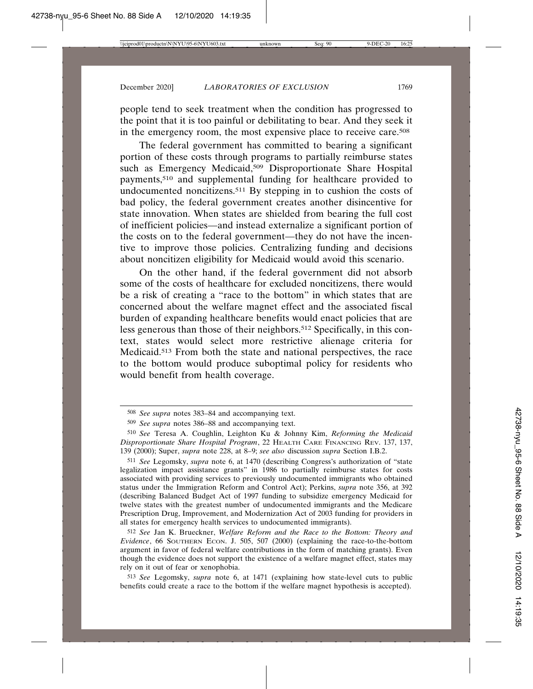people tend to seek treatment when the condition has progressed to the point that it is too painful or debilitating to bear. And they seek it in the emergency room, the most expensive place to receive care.508

The federal government has committed to bearing a significant portion of these costs through programs to partially reimburse states such as Emergency Medicaid,<sup>509</sup> Disproportionate Share Hospital payments,510 and supplemental funding for healthcare provided to undocumented noncitizens.<sup>511</sup> By stepping in to cushion the costs of bad policy, the federal government creates another disincentive for state innovation. When states are shielded from bearing the full cost of inefficient policies—and instead externalize a significant portion of the costs on to the federal government—they do not have the incentive to improve those policies. Centralizing funding and decisions about noncitizen eligibility for Medicaid would avoid this scenario.

On the other hand, if the federal government did not absorb some of the costs of healthcare for excluded noncitizens, there would be a risk of creating a "race to the bottom" in which states that are concerned about the welfare magnet effect and the associated fiscal burden of expanding healthcare benefits would enact policies that are less generous than those of their neighbors.512 Specifically, in this context, states would select more restrictive alienage criteria for Medicaid.513 From both the state and national perspectives, the race to the bottom would produce suboptimal policy for residents who would benefit from health coverage.

513 *See* Legomsky, *supra* note 6, at 1471 (explaining how state-level cuts to public benefits could create a race to the bottom if the welfare magnet hypothesis is accepted).

<sup>508</sup> *See supra* notes 383–84 and accompanying text.

<sup>509</sup> *See supra* notes 386–88 and accompanying text.

<sup>510</sup> *See* Teresa A. Coughlin, Leighton Ku & Johnny Kim, *Reforming the Medicaid Disproportionate Share Hospital Program*, 22 HEALTH CARE FINANCING REV. 137, 137, 139 (2000); Super, *supra* note 228, at 8–9; *see also* discussion *supra* Section I.B.2.

<sup>511</sup> *See* Legomsky, *supra* note 6, at 1470 (describing Congress's authorization of "state legalization impact assistance grants" in 1986 to partially reimburse states for costs associated with providing services to previously undocumented immigrants who obtained status under the Immigration Reform and Control Act); Perkins, *supra* note 356, at 392 (describing Balanced Budget Act of 1997 funding to subsidize emergency Medicaid for twelve states with the greatest number of undocumented immigrants and the Medicare Prescription Drug, Improvement, and Modernization Act of 2003 funding for providers in all states for emergency health services to undocumented immigrants).

<sup>512</sup> *See* Jan K. Brueckner, *Welfare Reform and the Race to the Bottom: Theory and Evidence*, 66 SOUTHERN ECON. J. 505, 507 (2000) (explaining the race-to-the-bottom argument in favor of federal welfare contributions in the form of matching grants). Even though the evidence does not support the existence of a welfare magnet effect, states may rely on it out of fear or xenophobia.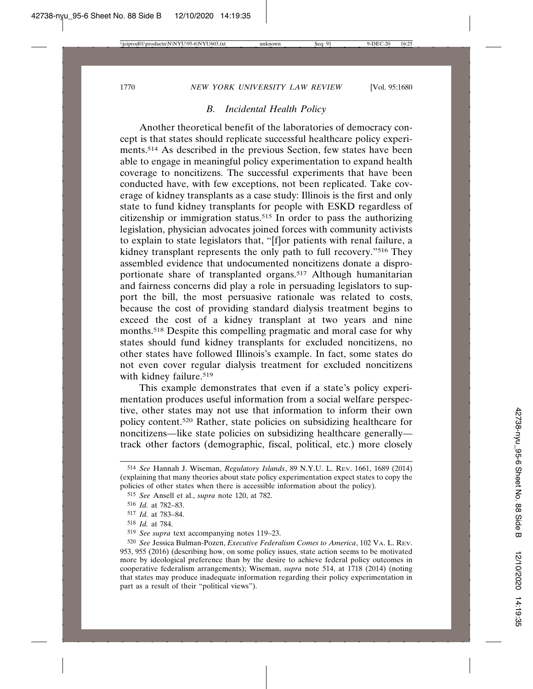### *B. Incidental Health Policy*

Another theoretical benefit of the laboratories of democracy concept is that states should replicate successful healthcare policy experiments.514 As described in the previous Section, few states have been able to engage in meaningful policy experimentation to expand health coverage to noncitizens. The successful experiments that have been conducted have, with few exceptions, not been replicated. Take coverage of kidney transplants as a case study: Illinois is the first and only state to fund kidney transplants for people with ESKD regardless of citizenship or immigration status.515 In order to pass the authorizing legislation, physician advocates joined forces with community activists to explain to state legislators that, "[f]or patients with renal failure, a kidney transplant represents the only path to full recovery."516 They assembled evidence that undocumented noncitizens donate a disproportionate share of transplanted organs.517 Although humanitarian and fairness concerns did play a role in persuading legislators to support the bill, the most persuasive rationale was related to costs, because the cost of providing standard dialysis treatment begins to exceed the cost of a kidney transplant at two years and nine months.518 Despite this compelling pragmatic and moral case for why states should fund kidney transplants for excluded noncitizens, no other states have followed Illinois's example. In fact, some states do not even cover regular dialysis treatment for excluded noncitizens with kidney failure.<sup>519</sup>

This example demonstrates that even if a state's policy experimentation produces useful information from a social welfare perspective, other states may not use that information to inform their own policy content.520 Rather, state policies on subsidizing healthcare for noncitizens—like state policies on subsidizing healthcare generally track other factors (demographic, fiscal, political, etc.) more closely

<sup>514</sup> *See* Hannah J. Wiseman, *Regulatory Islands*, 89 N.Y.U. L. REV. 1661, 1689 (2014) (explaining that many theories about state policy experimentation expect states to copy the policies of other states when there is accessible information about the policy).

<sup>515</sup> *See* Ansell et al., *supra* note 120, at 782.

<sup>516</sup> *Id.* at 782–83.

<sup>517</sup> *Id.* at 783–84.

<sup>518</sup> *Id.* at 784.

<sup>519</sup> *See supra* text accompanying notes 119–23.

<sup>520</sup> *See* Jessica Bulman-Pozen, *Executive Federalism Comes to America*, 102 VA. L. REV. 953, 955 (2016) (describing how, on some policy issues, state action seems to be motivated more by ideological preference than by the desire to achieve federal policy outcomes in cooperative federalism arrangements); Wiseman, *supra* note 514, at 1718 (2014) (noting that states may produce inadequate information regarding their policy experimentation in part as a result of their "political views").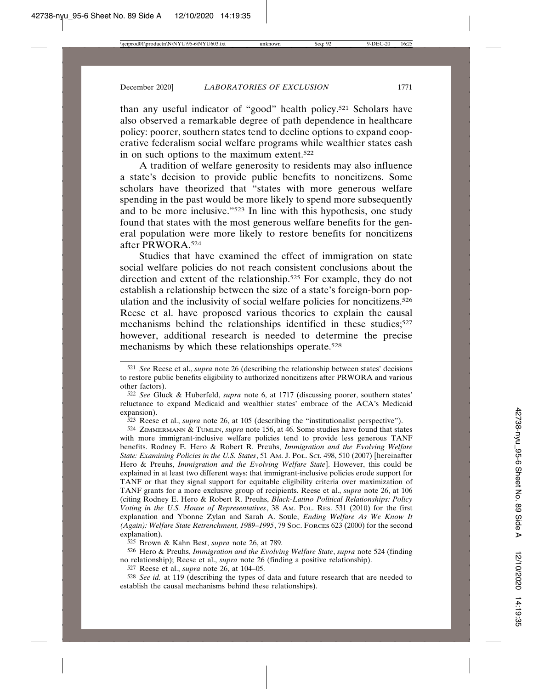than any useful indicator of "good" health policy.521 Scholars have also observed a remarkable degree of path dependence in healthcare policy: poorer, southern states tend to decline options to expand cooperative federalism social welfare programs while wealthier states cash in on such options to the maximum extent.522

A tradition of welfare generosity to residents may also influence a state's decision to provide public benefits to noncitizens. Some scholars have theorized that "states with more generous welfare spending in the past would be more likely to spend more subsequently and to be more inclusive."523 In line with this hypothesis, one study found that states with the most generous welfare benefits for the general population were more likely to restore benefits for noncitizens after PRWORA.524

Studies that have examined the effect of immigration on state social welfare policies do not reach consistent conclusions about the direction and extent of the relationship.525 For example, they do not establish a relationship between the size of a state's foreign-born population and the inclusivity of social welfare policies for noncitizens.<sup>526</sup> Reese et al. have proposed various theories to explain the causal mechanisms behind the relationships identified in these studies;<sup>527</sup> however, additional research is needed to determine the precise mechanisms by which these relationships operate.528

525 Brown & Kahn Best, *supra* note 26, at 789.

526 Hero & Preuhs, *Immigration and the Evolving Welfare State*, *supra* note 524 (finding no relationship); Reese et al., *supra* note 26 (finding a positive relationship).

527 Reese et al., *supra* note 26, at 104–05.

528 *See id.* at 119 (describing the types of data and future research that are needed to establish the causal mechanisms behind these relationships).

<sup>521</sup> *See* Reese et al., *supra* note 26 (describing the relationship between states' decisions to restore public benefits eligibility to authorized noncitizens after PRWORA and various other factors).

<sup>522</sup> *See* Gluck & Huberfeld, *supra* note 6, at 1717 (discussing poorer, southern states' reluctance to expand Medicaid and wealthier states' embrace of the ACA's Medicaid expansion).

<sup>523</sup> Reese et al., *supra* note 26, at 105 (describing the "institutionalist perspective").

<sup>524</sup> ZIMMERMANN & TUMLIN, *supra* note 156, at 46. Some studies have found that states with more immigrant-inclusive welfare policies tend to provide less generous TANF benefits. Rodney E. Hero & Robert R. Preuhs, *Immigration and the Evolving Welfare State: Examining Policies in the U.S. States*, 51 AM. J. POL. SCI. 498, 510 (2007) [hereinafter Hero & Preuhs, *Immigration and the Evolving Welfare State*]. However, this could be explained in at least two different ways: that immigrant-inclusive policies erode support for TANF or that they signal support for equitable eligibility criteria over maximization of TANF grants for a more exclusive group of recipients. Reese et al., *supra* note 26, at 106 (citing Rodney E. Hero & Robert R. Preuhs, *Black-Latino Political Relationships: Policy Voting in the U.S. House of Representatives*, 38 AM. POL. RES. 531 (2010) for the first explanation and Ybonne Zylan and Sarah A. Soule, *Ending Welfare As We Know It (Again): Welfare State Retrenchment, 1989–1995*, 79 SOC. FORCES 623 (2000) for the second explanation).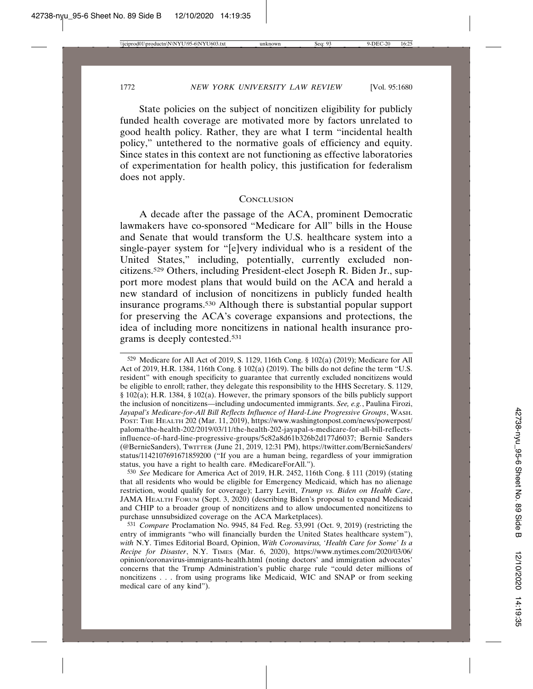State policies on the subject of noncitizen eligibility for publicly funded health coverage are motivated more by factors unrelated to good health policy. Rather, they are what I term "incidental health policy," untethered to the normative goals of efficiency and equity. Since states in this context are not functioning as effective laboratories of experimentation for health policy, this justification for federalism does not apply.

#### **CONCLUSION**

A decade after the passage of the ACA, prominent Democratic lawmakers have co-sponsored "Medicare for All" bills in the House and Senate that would transform the U.S. healthcare system into a single-payer system for "[e]very individual who is a resident of the United States," including, potentially, currently excluded noncitizens.529 Others, including President-elect Joseph R. Biden Jr., support more modest plans that would build on the ACA and herald a new standard of inclusion of noncitizens in publicly funded health insurance programs.530 Although there is substantial popular support for preserving the ACA's coverage expansions and protections, the idea of including more noncitizens in national health insurance programs is deeply contested.531

530 *See* Medicare for America Act of 2019, H.R. 2452, 116th Cong. § 111 (2019) (stating that all residents who would be eligible for Emergency Medicaid, which has no alienage restriction, would qualify for coverage); Larry Levitt, *Trump vs. Biden on Health Care*, JAMA HEALTH FORUM (Sept. 3, 2020) (describing Biden's proposal to expand Medicaid and CHIP to a broader group of noncitizens and to allow undocumented noncitizens to purchase unnsubsidized coverage on the ACA Marketplaces).

531 *Compare* Proclamation No. 9945, 84 Fed. Reg. 53,991 (Oct. 9, 2019) (restricting the entry of immigrants "who will financially burden the United States healthcare system"), *with* N.Y. Times Editorial Board, Opinion, *With Coronavirus, 'Health Care for Some' Is a Recipe for Disaster*, N.Y. TIMES (Mar. 6, 2020), https://www.nytimes.com/2020/03/06/ opinion/coronavirus-immigrants-health.html (noting doctors' and immigration advocates' concerns that the Trump Administration's public charge rule "could deter millions of noncitizens . . . from using programs like Medicaid, WIC and SNAP or from seeking medical care of any kind").

<sup>529</sup> Medicare for All Act of 2019, S. 1129, 116th Cong. § 102(a) (2019); Medicare for All Act of 2019, H.R. 1384, 116th Cong. § 102(a) (2019). The bills do not define the term "U.S. resident" with enough specificity to guarantee that currently excluded noncitizens would be eligible to enroll; rather, they delegate this responsibility to the HHS Secretary. S. 1129, § 102(a); H.R. 1384, § 102(a). However, the primary sponsors of the bills publicly support the inclusion of noncitizens—including undocumented immigrants. *See, e.g.*, Paulina Firozi, *Jayapal's Medicare-for-All Bill Reflects Influence of Hard-Line Progressive Groups*, WASH. POST: THE HEALTH 202 (Mar. 11, 2019), https://www.washingtonpost.com/news/powerpost/ paloma/the-health-202/2019/03/11/the-health-202-jayapal-s-medicare-for-all-bill-reflectsinfluence-of-hard-line-progressive-groups/5c82a8d61b326b2d177d6037; Bernie Sanders (@BernieSanders), TWITTER (June 21, 2019, 12:31 PM), https://twitter.com/BernieSanders/ status/1142107691671859200 ("If you are a human being, regardless of your immigration status, you have a right to health care. #MedicareForAll.").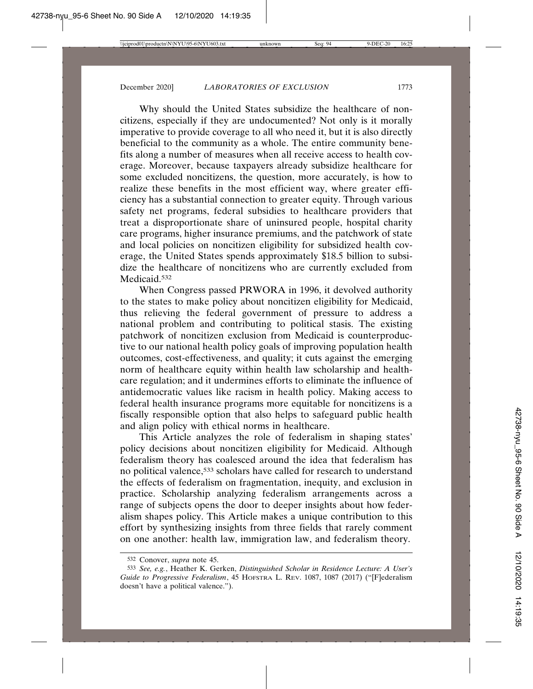Why should the United States subsidize the healthcare of noncitizens, especially if they are undocumented? Not only is it morally imperative to provide coverage to all who need it, but it is also directly beneficial to the community as a whole. The entire community benefits along a number of measures when all receive access to health coverage. Moreover, because taxpayers already subsidize healthcare for some excluded noncitizens, the question, more accurately, is how to realize these benefits in the most efficient way, where greater efficiency has a substantial connection to greater equity. Through various safety net programs, federal subsidies to healthcare providers that treat a disproportionate share of uninsured people, hospital charity care programs, higher insurance premiums, and the patchwork of state and local policies on noncitizen eligibility for subsidized health coverage, the United States spends approximately \$18.5 billion to subsidize the healthcare of noncitizens who are currently excluded from Medicaid.<sup>532</sup>

When Congress passed PRWORA in 1996, it devolved authority to the states to make policy about noncitizen eligibility for Medicaid, thus relieving the federal government of pressure to address a national problem and contributing to political stasis. The existing patchwork of noncitizen exclusion from Medicaid is counterproductive to our national health policy goals of improving population health outcomes, cost-effectiveness, and quality; it cuts against the emerging norm of healthcare equity within health law scholarship and healthcare regulation; and it undermines efforts to eliminate the influence of antidemocratic values like racism in health policy. Making access to federal health insurance programs more equitable for noncitizens is a fiscally responsible option that also helps to safeguard public health and align policy with ethical norms in healthcare.

This Article analyzes the role of federalism in shaping states' policy decisions about noncitizen eligibility for Medicaid. Although federalism theory has coalesced around the idea that federalism has no political valence,533 scholars have called for research to understand the effects of federalism on fragmentation, inequity, and exclusion in practice. Scholarship analyzing federalism arrangements across a range of subjects opens the door to deeper insights about how federalism shapes policy. This Article makes a unique contribution to this effort by synthesizing insights from three fields that rarely comment on one another: health law, immigration law, and federalism theory.

<sup>532</sup> Conover, *supra* note 45.

<sup>533</sup> *See, e.g.*, Heather K. Gerken, *Distinguished Scholar in Residence Lecture: A User's Guide to Progressive Federalism*, 45 HOFSTRA L. REV. 1087, 1087 (2017) ("[F]ederalism doesn't have a political valence.").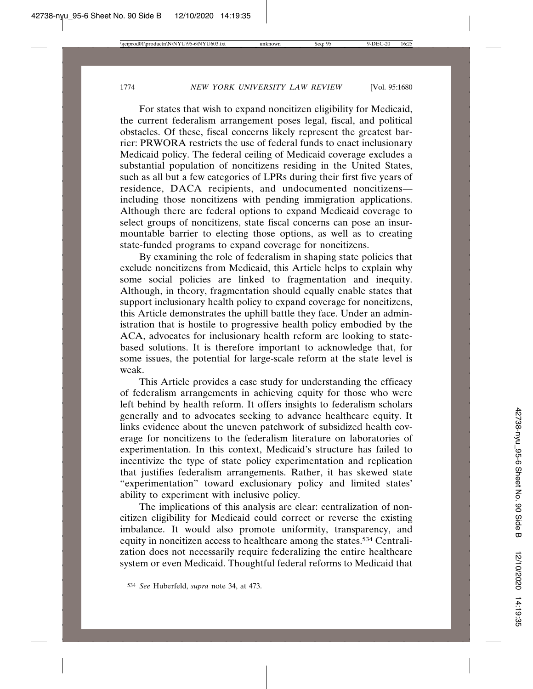For states that wish to expand noncitizen eligibility for Medicaid, the current federalism arrangement poses legal, fiscal, and political obstacles. Of these, fiscal concerns likely represent the greatest barrier: PRWORA restricts the use of federal funds to enact inclusionary Medicaid policy. The federal ceiling of Medicaid coverage excludes a substantial population of noncitizens residing in the United States, such as all but a few categories of LPRs during their first five years of residence, DACA recipients, and undocumented noncitizens including those noncitizens with pending immigration applications. Although there are federal options to expand Medicaid coverage to select groups of noncitizens, state fiscal concerns can pose an insurmountable barrier to electing those options, as well as to creating state-funded programs to expand coverage for noncitizens.

By examining the role of federalism in shaping state policies that exclude noncitizens from Medicaid, this Article helps to explain why some social policies are linked to fragmentation and inequity. Although, in theory, fragmentation should equally enable states that support inclusionary health policy to expand coverage for noncitizens, this Article demonstrates the uphill battle they face. Under an administration that is hostile to progressive health policy embodied by the ACA, advocates for inclusionary health reform are looking to statebased solutions. It is therefore important to acknowledge that, for some issues, the potential for large-scale reform at the state level is weak.

This Article provides a case study for understanding the efficacy of federalism arrangements in achieving equity for those who were left behind by health reform. It offers insights to federalism scholars generally and to advocates seeking to advance healthcare equity. It links evidence about the uneven patchwork of subsidized health coverage for noncitizens to the federalism literature on laboratories of experimentation. In this context, Medicaid's structure has failed to incentivize the type of state policy experimentation and replication that justifies federalism arrangements. Rather, it has skewed state "experimentation" toward exclusionary policy and limited states' ability to experiment with inclusive policy.

The implications of this analysis are clear: centralization of noncitizen eligibility for Medicaid could correct or reverse the existing imbalance. It would also promote uniformity, transparency, and equity in noncitizen access to healthcare among the states.534 Centralization does not necessarily require federalizing the entire healthcare system or even Medicaid. Thoughtful federal reforms to Medicaid that

<sup>534</sup> *See* Huberfeld, *supra* note 34, at 473.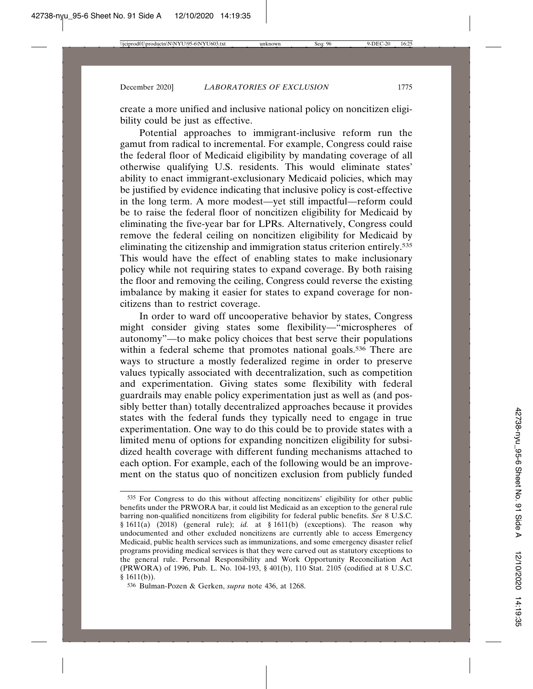create a more unified and inclusive national policy on noncitizen eligibility could be just as effective.

Potential approaches to immigrant-inclusive reform run the gamut from radical to incremental. For example, Congress could raise the federal floor of Medicaid eligibility by mandating coverage of all otherwise qualifying U.S. residents. This would eliminate states' ability to enact immigrant-exclusionary Medicaid policies, which may be justified by evidence indicating that inclusive policy is cost-effective in the long term. A more modest—yet still impactful—reform could be to raise the federal floor of noncitizen eligibility for Medicaid by eliminating the five-year bar for LPRs. Alternatively, Congress could remove the federal ceiling on noncitizen eligibility for Medicaid by eliminating the citizenship and immigration status criterion entirely.535 This would have the effect of enabling states to make inclusionary policy while not requiring states to expand coverage. By both raising the floor and removing the ceiling, Congress could reverse the existing imbalance by making it easier for states to expand coverage for noncitizens than to restrict coverage.

In order to ward off uncooperative behavior by states, Congress might consider giving states some flexibility—"microspheres of autonomy"—to make policy choices that best serve their populations within a federal scheme that promotes national goals.<sup>536</sup> There are ways to structure a mostly federalized regime in order to preserve values typically associated with decentralization, such as competition and experimentation. Giving states some flexibility with federal guardrails may enable policy experimentation just as well as (and possibly better than) totally decentralized approaches because it provides states with the federal funds they typically need to engage in true experimentation. One way to do this could be to provide states with a limited menu of options for expanding noncitizen eligibility for subsidized health coverage with different funding mechanisms attached to each option. For example, each of the following would be an improvement on the status quo of noncitizen exclusion from publicly funded

<sup>535</sup> For Congress to do this without affecting noncitizens' eligibility for other public benefits under the PRWORA bar, it could list Medicaid as an exception to the general rule barring non-qualified noncitizens from eligibility for federal public benefits. *See* 8 U.S.C. § 1611(a) (2018) (general rule); *id.* at § 1611(b) (exceptions). The reason why undocumented and other excluded noncitizens are currently able to access Emergency Medicaid, public health services such as immunizations, and some emergency disaster relief programs providing medical services is that they were carved out as statutory exceptions to the general rule. Personal Responsibility and Work Opportunity Reconciliation Act (PRWORA) of 1996, Pub. L. No. 104-193, § 401(b), 110 Stat. 2105 (codified at 8 U.S.C.  $§ 1611(b)).$ 

<sup>536</sup> Bulman-Pozen & Gerken, *supra* note 436, at 1268.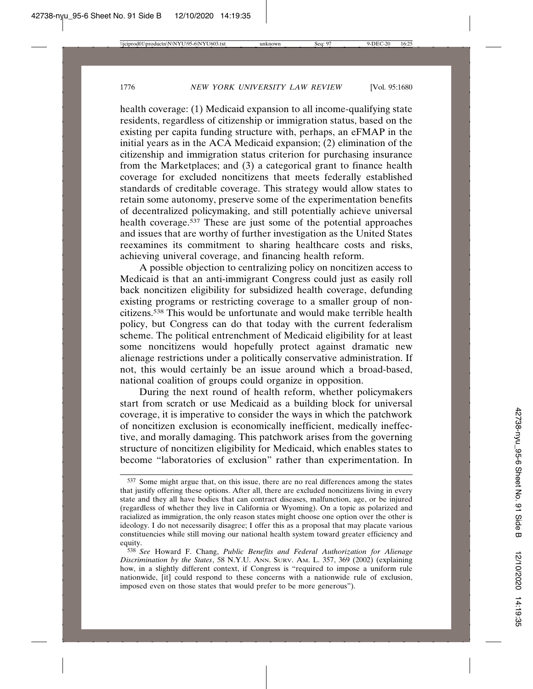health coverage: (1) Medicaid expansion to all income-qualifying state residents, regardless of citizenship or immigration status, based on the existing per capita funding structure with, perhaps, an eFMAP in the initial years as in the ACA Medicaid expansion; (2) elimination of the citizenship and immigration status criterion for purchasing insurance from the Marketplaces; and (3) a categorical grant to finance health coverage for excluded noncitizens that meets federally established standards of creditable coverage. This strategy would allow states to retain some autonomy, preserve some of the experimentation benefits of decentralized policymaking, and still potentially achieve universal health coverage.537 These are just some of the potential approaches and issues that are worthy of further investigation as the United States reexamines its commitment to sharing healthcare costs and risks, achieving univeral coverage, and financing health reform.

A possible objection to centralizing policy on noncitizen access to Medicaid is that an anti-immigrant Congress could just as easily roll back noncitizen eligibility for subsidized health coverage, defunding existing programs or restricting coverage to a smaller group of noncitizens.538 This would be unfortunate and would make terrible health policy, but Congress can do that today with the current federalism scheme. The political entrenchment of Medicaid eligibility for at least some noncitizens would hopefully protect against dramatic new alienage restrictions under a politically conservative administration. If not, this would certainly be an issue around which a broad-based, national coalition of groups could organize in opposition.

During the next round of health reform, whether policymakers start from scratch or use Medicaid as a building block for universal coverage, it is imperative to consider the ways in which the patchwork of noncitizen exclusion is economically inefficient, medically ineffective, and morally damaging. This patchwork arises from the governing structure of noncitizen eligibility for Medicaid, which enables states to become "laboratories of exclusion" rather than experimentation. In

<sup>537</sup> Some might argue that, on this issue, there are no real differences among the states that justify offering these options. After all, there are excluded noncitizens living in every state and they all have bodies that can contract diseases, malfunction, age, or be injured (regardless of whether they live in California or Wyoming). On a topic as polarized and racialized as immigration, the only reason states might choose one option over the other is ideology. I do not necessarily disagree; I offer this as a proposal that may placate various constituencies while still moving our national health system toward greater efficiency and equity.

<sup>538</sup> *See* Howard F. Chang, *Public Benefits and Federal Authorization for Alienage Discrimination by the States*, 58 N.Y.U. ANN. SURV. AM. L. 357, 369 (2002) (explaining how, in a slightly different context, if Congress is "required to impose a uniform rule nationwide, [it] could respond to these concerns with a nationwide rule of exclusion, imposed even on those states that would prefer to be more generous").